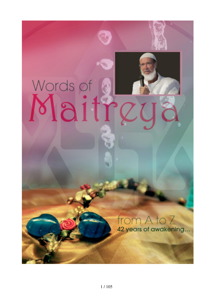# Words of **OLLER Maitreya Topics tackle**

# from A to Z 42 years of awakening...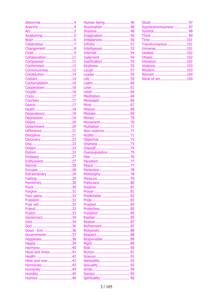| Abnormal4                        |
|----------------------------------|
|                                  |
|                                  |
| Awakening5                       |
|                                  |
| Celebration 7                    |
| Changement 8                     |
|                                  |
| Collaboration11                  |
| Compassion 11                    |
| Conformism 12<br>Consciousness12 |
| Constitution 14                  |
| Contact14                        |
| Contemplation15                  |
| Cooperation 16                   |
| Couple16                         |
|                                  |
| Courtesy17                       |
| Dance17                          |
| Death 18                         |
| Dependency19                     |
| Depression19                     |
|                                  |
| Detachment 20                    |
| Difference 21                    |
| Discipline 21                    |
| Discovery22                      |
|                                  |
| Dream 23                         |
| Elohim 23                        |
| Embassy27                        |
| Enthusiasm 27                    |
| Eternal28                        |
| Excuses 28                       |
| Extraordinary 29                 |
| Fasting 29                       |
| Femininity                       |
|                                  |
| Forgive 31                       |
| Four plans32<br>Freedom 32       |
| Free will32                      |
| Friend33                         |
| Fusion 33                        |
| Geniocracy34                     |
|                                  |
|                                  |
| Good - Evil36                    |
| Governments 37                   |
| Happiness38                      |
|                                  |
| Harmony40                        |
| Have and know 41                 |
| Health 42                        |
| Here and now 42                  |
| Hormones 43                      |
| Humanity44                       |
| Humility 45                      |
| Humour 46                        |

| Human being 46                   |
|----------------------------------|
| Illumination  48                 |
| Illusions 48                     |
| Imagination  50                  |
| Imbalances 50                    |
|                                  |
| Intelligence 53<br>Internet54    |
| Judament  54                     |
| Justification  55                |
| Kindness 55                      |
|                                  |
|                                  |
|                                  |
|                                  |
|                                  |
|                                  |
| Meditation  64                   |
| Messages  66                     |
|                                  |
| Mission  68                      |
| Mistake  69                      |
|                                  |
|                                  |
| Non-violence71                   |
|                                  |
|                                  |
|                                  |
|                                  |
|                                  |
|                                  |
| Overpopulation 75                |
|                                  |
|                                  |
| Perfection 78                    |
|                                  |
|                                  |
| Politicians  80                  |
| Positive  81                     |
|                                  |
| Predictable  83                  |
|                                  |
| Prophet  84                      |
| Protection 85                    |
| Pulsation  85<br>Raelian  85     |
| Reason87                         |
|                                  |
| Refinement 87<br>Religiosity  88 |
| Respect  88                      |
| Responsible  89                  |
|                                  |
|                                  |
|                                  |
|                                  |
|                                  |
| Sensuality 92<br>Sexuality  93   |
|                                  |
| Spirituality  96                 |

| Supraconsciousness 97 |  |
|-----------------------|--|
| Symbol 98             |  |
|                       |  |
|                       |  |
| Transhumanism101      |  |
| Universe101           |  |
| Useless 102           |  |
| Utopia102             |  |
| Vibration 102         |  |
| Violence 103          |  |
| Wisdom103             |  |
| Women 104             |  |
| Work of art104        |  |
|                       |  |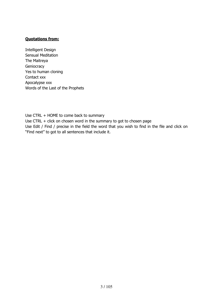# **Quotations from:**

Intelligent Design Sensual Meditation The Maitreya **Geniocracy** Yes to human cloning Contact xxx Apocalypse xxx Words of the Last of the Prophets

Use CTRL + HOME to come back to summary Use CTRL + click on chosen word in the summary to got to chosen page Use Edit / Find / precise in the field the word that you wish to find in the file and click on "Find next" to got to all sentences that include it.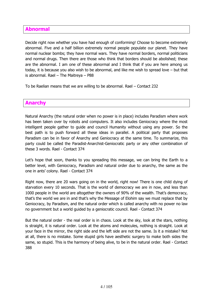# <span id="page-3-0"></span>**Abnormal**

Decide right now whether you have had enough of conforming! Choose to become extremely abnormal. Five and a half billion extremely normal people populate our planet. They have normal nuclear bombs; they have normal wars. They have normal borders, normal politicians and normal drugs. Then there are those who think that borders should be abolished; these are the abnormal. I am one of these abnormal and I think that if you are here among us today, it is because you also wish to be abnormal, and like me wish to spread love – but that is abnormal. Rael – The Maitreya – P88

To be Raelian means that we are willing to be abnormal. Rael – Contact 232

# <span id="page-3-1"></span>**Anarchy**

Natural Anarchy (the natural order when no power is in place) includes Paradism where work has been taken over by robots and computers. It also includes Geniocracy where the most intelligent people gather to guide and council Humanity without using any power. So the best path is to push forward all these ideas in parallel. A political party that proposes Paradism can be in favor of Anarchy and Geniocracy at the same time. To summarize, this party could be called the Paradist-Anarchist-Geniocratic party or any other combination of these 3 words. Rael - Contact 374

Let's hope that soon, thanks to you spreading this message, we can bring the Earth to a better level, with Geniocracy, Paradism and natural order due to anarchy, the same as the one in ants" colony. Rael - Contact 374

Right now, there are 20 wars going on in the world, right now! There is one child dying of starvation every 10 seconds. That is the world of democracy we are in now, and less than 1000 people in the world are altogether the owners of 90% of the wealth. That's democracy, that"s the world we are in and that"s why the Message of Elohim say we must replace that by Geniocracy, by Paradism, and the natural order which is called anarchy with no power no law no government but a world guided by a geniocratic council. Rael - Contact 374

But the natural order - the real order is in chaos. Look at the sky, look at the stars, nothing is straight, it is natural order. Look at the atoms and molecules, nothing is straight. Look at your face in the mirror, the right side and the left side are not the same. Is it a mistake? Not at all, there is no mistake. Some stupid girls have aesthetic surgery to make both sides the same, so stupid. This is the harmony of being alive, to be in the natural order. Rael - Contact 388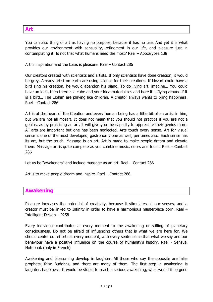<span id="page-4-0"></span>**Art**

You can also thing of art as having no purpose, because it has no use. And yet it is what provides our environment with sensuality, refinement in our life, and pleasure just in contemplating it. Is not that what humans need the most? Rael – Apocalypse 138

Art is inspiration and the basis is pleasure. Rael – Contact 286

Our creators created with scientists and artists. If only scientists have done creation, it would be grey. Already artist on earth are using science for their creations. If Mozart could have a bird sing his creation, he would abandon his piano. To do living art, imagine… You could have an idea, then there is a cube and your idea materializes and here it is flying around if it is a bird… The Elohim are playing like children. A creator always wants to bring happiness. Rael – Contact 286

Art is at the heart of the Creation and every human being has a little bit of an artist in him, but we are not all Mozart. It does not mean that you should not practice if you are not a genius, as by practicing an art, it will give you the capacity to appreciate their genius more. All arts are important but one has been neglected. Arts touch every sense. Art for visual sense is one of the most developed, gastronomy one as well, perfumes also. Each sense has its art, but the touch. Massage is an art. Art is made to make people dream and elevate them. Massage art is quite complete as you combine music, odors and touch. Rael – Contact 286

Let us be "awakeners" and include massage as an art. Rael – Contact 286

Art is to make people dream and inspire. Rael – Contact 286

# <span id="page-4-1"></span>**Awakening**

Pleasure increases the potential of creativity, because it stimulates all our senses, and a creator must be linked to Infinity in order to have a harmonious masterpiece born. Rael – Intelligent Design – P258

Every individual contributes at every moment to the awakening or stifling of planetary consciousness. Do not be afraid of influencing others that is what we are here for. We should center our efforts at every moment, with every sentence so that what we say and our behaviour have a positive influence on the course of humanity's history. Rael - Sensual Notebook (only in French)

Awakening and blossoming develop in laughter. All those who say the opposite are false prophets, false Buddhas, and there are many of them. The first step in awakening is laughter, happiness. It would be stupid to reach a serious awakening, what would it be good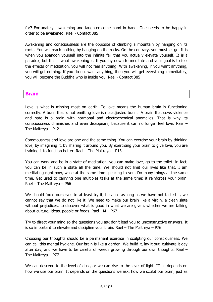for? Fortunately, awakening and laughter come hand in hand. One needs to be happy in order to be awakened. Rael - Contact 385

Awakening and consciousness are the opposite of climbing a mountain by hanging on its rocks. You will reach nothing by hanging on the rocks. On the contrary, you must let go. It is when you abandon yourself into the infinite fall that you actually elevate yourself. It is a paradox, but this is what awakening is. If you lay down to meditate and your goal is to feel the effects of meditation, you will not feel anything. With awakening, if you want anything, you will get nothing. If you do not want anything, then you will get everything immediately, you will become the Buddha who is inside you. Rael - Contact 385

# <span id="page-5-0"></span>**Brain**

Love is what is missing most on earth. To love means the human brain is functioning correctly. A brain that is not emitting love is maladjusted brain. A brain that sows violence and hate is a brain with hormonal and electrochemical anomalies. That is why its consciousness diminishes and even disappears, because it can no longer feel love. Rael – The Maitreya – P12

Consciousness and love are one and the same thing. You can exercise your brain by thinking love, by imagining it, by sharing it around you. By exercising your brain to give love, you are training it to function better. Rael – The Maitreya – P13

You can work and be in a state of meditation, you can make love, go to the toilet; in fact, you can be in such a state all the time. We should not limit our lives like that. I am meditating right now, while at the same time speaking to you. Do many things at the same time. Get used to carrying one multiples tasks at the same time; it reinforces your brain. Rael – The Maitreya – P66

We should force ourselves to at least try it, because as long as we have not tasted it, we cannot say that we do not like it. We need to make our brain like a virgin, a clean slate without prejudices, to discover what is good in what we are given, whether we are talking about culture, ideas, people or foods. Rael - M – P67

Try to direct your mind so the questions you ask don"t lead you to unconstructive answers. It is so important to elevate and discipline your brain. Rael – The Maitreya – P76

Choosing our thoughts should be a permanent exercise in sculpting our consciousness. We can call this mental hygiene. Our brain is like a garden. We build it, lay it out, cultivate it day after day, and we have to be careful of weeds growing through our own thoughts. Rael  $-$ The Maitreya – P77

We can descend to the level of dust, or we can rise to the level of light. IT all depends on how we use our brain. It depends on the questions we ask, how we sculpt our brain, just as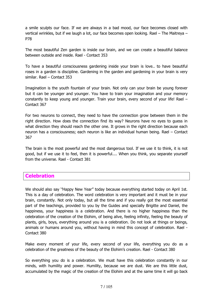a smile sculpts our face. If we are always in a bad mood, our face becomes closed with vertical wrinkles, but if we laugh a lot, our face becomes open looking. Rael – The Maitreya – P78

The most beautiful Zen garden is inside our brain, and we can create a beautiful balance between outside and inside. Rael - Contact 353

To have a beautiful consciousness gardening inside your brain is love.. to have beautiful roses in a garden is discipline. Gardening in the garden and gardening in your brain is very similar. Rael – Contact 353

Imagination is the youth fountain of your brain. Not only can your brain be young forever but it can be younger and younger. You have to train your imagination and your memory constantly to keep young and younger. Train your brain, every second of your life! Rael – Contact 367

For two neurons to connect, they need to have the connection grow between them in the right direction. How does the connection find its way? Neurons have no eyes to guess in what direction they should reach the other one. It grows in the right direction because each neuron has a consciousness; each neuron is like an individual human being. Rael – Contact 367

The brain is the most powerful and the most dangerous tool. If we use it to think, it is not good, but if we use it to feel, then it is powerful.... When you think, you separate yourself from the universe. Rael - Contact 381

# <span id="page-6-0"></span>**Celebration**

We should also say "Happy New Year" today because everything started today on April 1st. This is a day of celebration. The word celebration is very important and it must be in your brain, constantly. Not only today, but all the time and if you really got the most essential part of the teachings, provided to you by the Guides and specially Brigitte and Daniel, the happiness, your happiness is a celebration. And there is no higher happiness than the celebration of the creation of the Elohim, of being alive, feeling infinity, feeling the beauty of plants, girls, boys, everything around you is a celebration. Do not look at things or beings, animals or humans around you, without having in mind this concept of celebration. Rael - Contact 380

Make every moment of your life, every second of your life, everything you do as a celebration of the greatness of the beauty of the Elohim"s creation. Rael - Contact 380

So everything you do is a celebration. We must have this celebration constantly in our minds, with humility and power. Humility, because we are dust. We are this little dust, accumulated by the magic of the creation of the Elohim and at the same time it will go back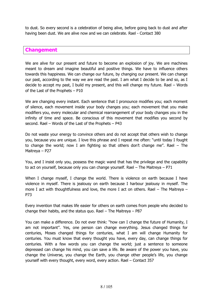to dust. So every second is a celebration of being alive, before going back to dust and after having been dust. We are alive now and we can celebrate. Rael - Contact 380

# <span id="page-7-0"></span>**Changement**

We are alive for our present and future to become an explosion of joy. We are machines meant to dream and imagine beautiful and positive things. We have to influence others towards this happiness. We can change our future, by changing our present. We can change our past, according to the way we are read the past. I am what I decide to be and so, as I decide to accept my past, I build my present, and this will change my future. Rael – Words of the Last of the Prophets – P10

We are changing every instant. Each sentence that I pronounce modifies you; each moment of silence, each movement inside your body changes you; each movement that you make modifiers you, every molecular and chemical rearrangement of your body changes you in the infinity of time and space. Be conscious of this movement that modifies you second by second. Rael – Words of the Last of the Prophets – P43

Do not waste your energy to convince others and do not accept that others wish to change you, because you are unique. I love this phrase and I repeat me often: "until today I fought to change the world; now I am fighting so that others don't change me". Rael  $-$  The Maitreya – P27

You, and I insist only you, possess the magic wand that has the privilege and the capability to act on yourself, because only you can change yourself. Rael – The Maitreya – P71

When I change myself, I change the world. There is violence on earth because I have violence in myself. There is jealousy on earth because I harbour jealousy in myself. The more I act with thoughtfulness and love, the more I act on others. Rael – The Maitreya – P73

Every invention that makes life easier for others on earth comes from people who decided to change their habits, and the status quo. Rael – The Maitreya – P87

You can make a difference. Do not ever think: "how can I change the future of Humanity, I am not important". Yes, one person can change everything. Jesus changed things for centuries, Moses changed things for centuries, what I am will change Humanity for centuries. You must know that every thought you have, every day, can change things for centuries. With a few words you can change the world; just a sentence to someone depressed can change his mind, you can save a life. Be aware of the power you have, you change the Universe, you change the Earth, you change other people"s life, you change yourself with every thought, every word, every action. Rael – Contact 357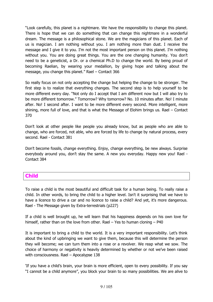"Look carefully, this planet is a nightmare. We have the responsibility to change this planet. There is hope that we can do something that can change this nightmare in a wonderful dream. The message is a philosophical stone. We are the magicians of this planet. Each of us is magician. I am nothing without you. I am nothing more than dust. I receive the message and I give it to you. I"m not the most important person on this planet. I"m nothing without you. You are doing great things. You are the one changing humanity. You don"t need to be a geneticist, a Dr. or a chemical Ph.D to change the world. By being proud of becoming Raelian, by wearing your medallion, by giving hope and talking about the message, you change this planet." Rael – Contact 366

So really focus on not only accepting the change but helping the change to be stronger. The first step is to realize that everything changes. The second step is to help yourself to be more different every day. "Not only do I accept that I am different now but I will also try to be more different tomorrow." Tomorrow? Why tomorrow? No. 10 minutes after. No! I minute after. No! I second after. I want to be more different every second. More intelligent, more shining, more full of love, and that is what the Message of Elohim brings us. Rael – Contact 370

Don"t look at other people like people you already know, but as people who are able to change, who are forced, not able, who are forced by life to change by natural process, every second. Rael - Contact 381

Don"t become fossils, change everything. Enjoy, change everything, be new always. Surprise everybody around you, don't stay the same. A new you everyday. Happy new you! Rael -Contact 384

<span id="page-8-0"></span>

| <b>Child</b> |  |  |  |
|--------------|--|--|--|
|              |  |  |  |

To raise a child is the most beautiful and difficult task for a human being. To really raise a child. In other words, to bring the child to a higher level. Isn't it surprising that we have to have a licence to drive a car and no licence to raise a child? And yet, it's more dangerous. Rael - The Message given by Extra-terrestrials (p227)

If a child is well brought up, he will learn that his happiness depends on his own love for himself, rather than on the love from other. Rael – Yes to human cloning – P40

It is important to bring a child to the world. It is a very important responsibility. Let's think about the kind of upbringing we want to give them, because this will determine the person they will become; we can turn them into a rose or a revolver. We reap what we sow. The choice of harmony or negativity is heavily determined by whether or not we"ve been raised with consciousness. Rael – Apocalypse 138

"If you have a child"s brain, your brain is more efficient, open to every possibility. If you say "I cannot be a child anymore", you block your brain to so many possibilities. We are alive to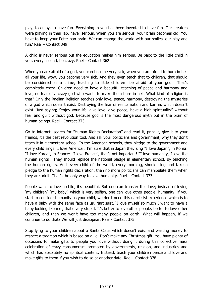play, to enjoy, to have fun. Everything in you has been invented to have fun. Our creators were playing in their lab, never serious. When you are serious, your brain becomes old. You have to keep your Peter pan brain. We can change the world with our smiles, our play and fun." Rael – Contact 349

A child is never serious but the education makes him serious. Be back to the little child in you, every second, be crazy. Rael – Contact 362

When you are afraid of a god, you can become very sick, when you are afraid to burn in hell all your life, wow, you become very sick. And they even teach that to children, that should be considered as a crime; teaching to little children ''be afraid of your god"! That's completely crazy. Children need to have a beautiful teaching of peace and harmony and love, no fear of a crazy god who wants to make them burn in hell. What kind of religion is that? Only the Raelian Religion teaches only love, peace, harmony, destroying the mysteries of a god which doesn"t exist. Destroying the fear of reincarnation and karma, which doesn"t exist. Just saying; "enjoy your life, give love, give peace, have a high spirituality" without fear and guilt without god. Because god is the most dangerous myth put in the brain of human beings. Rael - Contact 373

Go to internet; search for ""Human Rights Declaration"" and read it, print it, give it to your friends, it's the best revolution tool. And ask your politicians and government, why they don't teach it in elementary school. In the American schools, they pledge to the government and every child sings "I love America". I'm sure that in Japan they sing "I love Japan", in Korea: "I love Korea", in France: "I love France", that's not important! "I love humanity, I love the human rights". They should replace the national pledge in elementary school, by teaching the human rights. And every child of the world, every morning, should sing and take a pledge to the human rights declaration, then no more politicians can manipulate them when they are adult. That's the only way to save humanity. Rael – Contact 373

People want to love a child, it's beautiful. But one can transfer this love; instead of loving "my children", 'my baby', which is very selfish, one can love other people, humanity; if you start to consider humanity as your child, we don"t need this narcissist experience which is to have a baby with the same face as us. Narcissist, 'I love myself so much I want to have a baby looking like me", that"s very stupid. It"s better to love other people, better to love other children, and then we won"t have too many people on earth. What will happen, if we continue to do that? We will just disappear. Rael - Contact 375

Stop lying to your children about a Santa Claus which doesn"t exist and wasting money to respect a tradition which is based on a lie. Don"t make any Christmas gift! You have plenty of occasions to make gifts to people you love without doing it during this collective mass celebration of crazy consumerism promoted by governments, religion, and industries and which has absolutely no spiritual content. Instead, teach your children peace and love and make gifts to them if you wish to do so at another date. Rael - Contact 378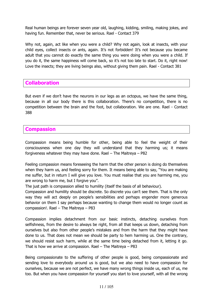Real human beings are forever seven year old, laughing, kidding, smiling, making jokes, and having fun. Remember that, never be serious. Rael - Contact 379

Why not, again, act like when you were a child? Why not again, look at insects, with your child eyes, collect insects or ants, again. It"s not forbidden! It"s not because you became adult that you cannot do exactly the same thing you were doing when you were a child. If you do it, the same happiness will come back, so it's not too late to start. Do it, right now! Love the insects; they are living beings also, without giving them pain. Rael - Contact 381

# <span id="page-10-0"></span>**Collaboration**

But even if we don't have the neurons in our legs as an octopus, we have the same thing, because in all our body there is this collaboration. There"s no competition, there is no competition between the brain and the foot, but collaboration. We are one. Rael - Contact 388

# <span id="page-10-1"></span>**Compassion**

Compassion means being humble for other, being able to feel the weight of their consciousness when one day they will understand that they harming us; it means forgiveness whatever they may have done. Rael – The Maitreya – P82

Feeling compassion means foreseeing the harm that the other person is doing do themselves when they harm us, and feeling sorry for them. It means being able to say, "You are making me suffer, but in return I will give you love. You must realise that you are harming me, you are wrong to harm me, but I forgive you".

The just path is compassion allied to humility (itself the basis of all behaviour).

Compassion and humility should be discrete. So discrete you can"t see them. That is the only way they will act deeply on people"s sensibilities and perhaps engender more generous behavior on them I say perhaps because wanting to change them would no longer count as compassion!. Rael – The Maitreya – P83

Compassion implies detachment from our basic instincts, detaching ourselves from selfishness, from the desire to always be right, from all that keeps us down, detaching from ourselves but also from other people"s mistakes and from the harm that they might have done to us. That does not mean we should be party to hem harming us. One the contrary, we should resist such harm, while at the same time being detached from it, letting it go. That is how we arrive at compassion. Rael – The Maitreya – P83

Being compassionate to the suffering of other people is good, being compassionate and sending love to everybody around us is good, but we also need to have compassion for ourselves, because we are not perfect, we have many wrong things inside us, each of us, me too. But when you have compassion for yourself you start to love yourself, with all the wrong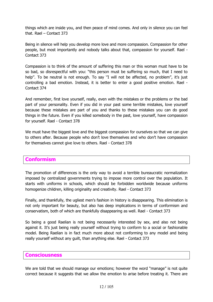things which are inside you, and then peace of mind comes. And only in silence you can feel that. Rael – Contact 373

Being in silence will help you develop more love and more compassion. Compassion for other people, but most importantly and nobody talks about that, compassion for yourself. Rael - Contact 373

Compassion is to think of the amount of suffering this man or this woman must have to be so bad, so disrespectful with you: "this person must be suffering so much, that I need to help". To be neutral is not enough. To say "I will not be affected, no problem", it's just controlling a bad emotion. Instead, it is better to enter a good positive emotion. Rael - Contact 374

And remember, first love yourself, really, even with the mistakes or the problems or the bad part of your personality. Even if you did in your past some terrible mistakes, love yourself because these mistakes are part of you and thanks to these mistakes you can do good things in the future. Even if you killed somebody in the past, love yourself, have compassion for yourself. Rael - Contact 378

We must have the biggest love and the biggest compassion for ourselves so that we can give to others after. Because people who don"t love themselves and who don"t have compassion for themselves cannot give love to others. Rael - Contact 378

# <span id="page-11-0"></span>**Conformism**

The promotion of differences is the only way to avoid a terrible bureaucratic normalization imposed by centralized governments trying to impose more control over the population. It starts with uniforms in schools, which should be forbidden worldwide because uniforms homogenize children, killing originality and creativity. Rael - Contact 373

Finally, and thankfully, the ugliest men"s fashion in history is disappearing. This elimination is not only important for beauty, but also has deep implications in terms of conformism and conservatism, both of which are thankfully disappearing as well. Rael - Contact 373

So being a good Raelian is not being necessarily interested by sex, and also not being against it. It's just being really yourself without trying to conform to a social or fashionable model. Being Raelian is in fact much more about not conforming to any model and being really yourself without any guilt, than anything else. Rael - Contact 373

#### <span id="page-11-1"></span>**Consciousness**

We are told that we should manage our emotions; however the word "manage" is not quite correct because it suggests that we allow the emotion to arise before treating it. There are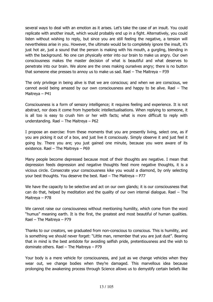several ways to deal with an emotion as it arises. Let's take the case of an insult. You could replicate with another insult, which would probably end up in a fight. Alternatively, you could listen without wishing to reply, but since you are still feeling the negative, a tension will nevertheless arise in you. However, the ultimate would be to completely ignore the insult, it's just hot air, just a sound that the person is making with his mouth, a gurgling, blending in with the background. No one can physically enter into our brain to make us angry. Our own consciousness makes the master decision of what is beautiful and what deserves to penetrate into our brain. We alone are the ones making ourselves angry; there is no button that someone else presses to annoy us to make us sad. Rael – The Maitreya – P39

The only privilege in being alive is that we are conscious; and when we are conscious, we cannot avoid being amazed by our own consciousness and happy to be alive. Rael – The Maitreya – P41

Consciousness is a form of sensory intelligence; it requires feeling and experience. It is not abstract, nor does it come from hyperbolic intellectualisations. When replying to someone, it is all too is easy to crush him or her with facts; what is more difficult to reply with understanding. Rael – The Maitreya – P62

I propose an exercise: from these moments that you are presently living, select one, as if you are picking it out of a box, and just live it consciously. Simply observe it and just feel it going by. There you are; you just gained one minute, because you were aware of its existence. Rael – The Maitreya – P69

Many people become depressed because most of their thoughts are negative. I mean that depression feeds depression and negative thoughts feed more negative thoughts, it is a vicious circle. Consecrate your consciousness kike you would a diamond, by only selecting your best thoughts. You deserve the best. Rael – The Maitreya – P77

We have the capacity to be selective and act on our own glands; it is our consciousness that can do that, helped by meditation and the quality of our own internal dialogue. Rael – The Maitreya – P78

We cannot raise our consciousness without mentioning humility, which come from the word "humus" meaning earth. It is the first, the greatest and most beautiful of human qualities. Rael – The Maitreya – P79

Thanks to our creators, we graduated from non-conscious to conscious. This is humility, and is something we should never forget: "Little man, remember that you are just dust". Bearing that in mind is the best antidote for avoiding selfish pride, pretentiousness and the wish to dominate others. Rael – The Maitreya – P79

Your body is a mere vehicle for consciousness, and just as we change vehicles when they wear out, we change bodies when they"re damaged. This marvellous idea because prolonging the awakening process through Science allows us to demystify certain beliefs like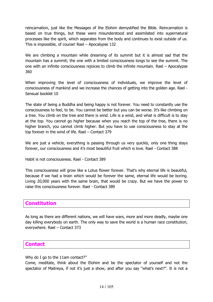reincarnation, just like the Messages of the Elohim demystified the Bible. Reincarnation is based on true things, but these were misunderstood and assimilated into supernatural processes like the spirit, which separates from the body and continues to exist outside of us. This is impossible, of course! Rael – Apocalypse 132

We are climbing a mountain while dreaming of its summit but it is almost sad that the mountain has a summit; the one with a limited consciousness longs to see the summit. The one with an infinite consciousness rejoices to climb the infinite mountain. Rael – Apocalypse 360

When improving the level of consciousness of individuals, we improve the level of consciousness of mankind and we increase the chances of getting into the golden age. Rael - Sensual booklet 10

The state of being a Buddha and being happy is not forever. You need to constantly use the consciousness to feel, to be. You cannot be better but you can be worse. It's like climbing on a tree. You climb on the tree and there is wind. Life is a wind, and what is difficult is to stay at the top. You cannot go higher because when you reach the top of the tree, there is no higher branch, you cannot climb higher. But you have to use consciousness to stay at the top forever in the wind of life. Rael – Contact 379

We are just a vehicle, everything is passing through us very quickly, only one thing stays forever, our consciousness and it's most beautiful fruit which is love. Rael - Contact 388

Habit is not consciousness. Rael - Contact 389

This consciousness will grow like a Lotus flower forever. That's why eternal life is beautiful, because if we had a brain which would be forever the same, eternal life would be boring. Living 20,000 years with the same brain, that would be crazy. But we have the power to raise this consciousness forever. Rael - Contact 389

# <span id="page-13-0"></span>**Constitution**

As long as there are different nations, we will have wars, more and more deadly, maybe one day killing everybody on earth. The only way to save the world is a human race constitution, everywhere. Rael – Contact 373

#### <span id="page-13-1"></span>**Contact**

Why do I go to the 11am contact?"

Come, meditate, think about the Elohim and be the spectator of yourself and not the spectator of Maitreya, if not it's just a show, and after you say "what's next?". It is not a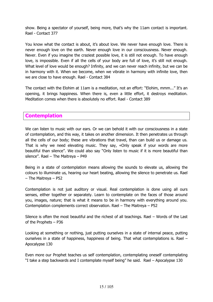show. Being a spectator of yourself, being more, that"s why the 11am contact is important. Rael - Contact 377

You know what the contact is about, it's about love. We never have enough love. There is never enough love on the earth. Never enough love in our consciousness. Never enough. Never. Even if you imagine the craziest possible love, it is still not enough. To have enough love, is impossible. Even if all the cells of your body are full of love, it's still not enough. What level of love would be enough? Infinity, and we can never reach infinity, but we can be in harmony with it. When we become, when we vibrate in harmony with infinite love, then we are close to have enough. Rael - Contact 384

The contact with the Elohim at 11am is a meditation, not an effort: "Elohim, mmm..." It's an opening, it brings happiness. When there is, even a little effort, it destroys meditation. Meditation comes when there is absolutely no effort. Rael - Contact 389

# <span id="page-14-0"></span>**Contemplation**

We can listen to music with our ears. Or we can behold it with our consciousness in a state of contemplation, and this way, it takes on another dimension. It then penetrates us through all the cells of our body; these are vibrations that travel, than can build us or damage us. That is why we need elevating music. They say, «Only speak if your words are more beautiful than silence". We could also say "Only listen to music if it is more beautiful than silence". Rael – The Maitreya – P49

Being in a state of contemplation means allowing the sounds to elevate us, allowing the colours to illuminate us, hearing our heart beating, allowing the silence to penetrate us. Rael – The Maitreya – P52

Contemplation is not just auditory or visual. Real contemplation is done using all ours senses, either together or separately. Learn to contemplate on the faces of those around you, images, nature; that is what it means to be in harmony with everything around you. Contemplation complements correct observation. Rael – The Maitreya – P52

Silence is often the most beautiful and the richest of all teachings. Rael – Words of the Last of the Prophets – P36

Looking at something or nothing, just putting ourselves in a state of internal peace, putting ourselves in a state of happiness, happiness of being. That what contemplations is. Rael -Apocalypse 130

Even more our Prophet teaches us self contemplation, contemplating oneself contemplating "I take a step backwards and I contemplate myself being" he said. Rael – Apocalypse 130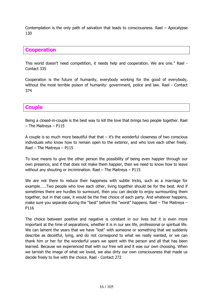Contemplation is the only path of salvation that leads to consciousness. Rael – Apocalypse 130

# <span id="page-15-0"></span>**Cooperation**

This world doesn"t need competition, it needs help and cooperation. We are one." Rael - Contact 335

Cooperation is the future of humanity, everybody working for the good of everybody, without the most terrible poison of humanity: government, police and law. Rael - Contact 374

<span id="page-15-1"></span>**Couple** 

Being a closed-in-couple is the best way to kill the love that brings two people together. Rael – The Maitreya – P115

A couple is so much more beautiful that that  $-$  it's the wonderful closeness of two conscious individuals who know how to remain open to the exterior, and who love each other freely. Rael – The Maitreya – P115

To love means to give the other person the possibility of being even happier through our own presence, and if that does not make them happier, then we need to know how to leave without any shouting or incrimination. Rael – The Maitreya – P115

We are not there to reduce their happiness with subtle tricks, such as a marriage for example……Two people who love each other, living together should be for the best. And if sometimes there are hurdles to surmount, then you can decide to enjoy surmounting them together, but in that case, it would be the free choice of each party. And whatever happens, make sure you separate during the "best" before the "worst" happens. Rael – The Maitreya – P116

The choice between positive and negative is constant in our lives but it is even more important at the time of separations, whether it is in our sex life, professional or spiritual life. We can lament the years that we have "lost" with someone or something that we suddenly describe as deceitful, lying, and do not correspond to what we really wanted, or we can thank him or her for the wonderful years we spent with the person and all that has been learned. Because we experienced that with our free will and it was our own choosing. When we tarnish the image of what we loved, we also dirty our own consciousness that made us decide freely to live with the choice. Rael - Contact 272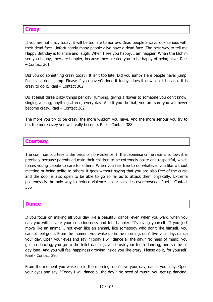<span id="page-16-0"></span>**Crazy** 

If you are not crazy today, it will be too late tomorrow. Dead people always look serious with their dead face. Unfortunately many people alive have a dead face. The best way to tell me Happy Birthday is to smile and laugh. When I see you happy, I am happier. When the Elohim see you happy, they are happier, because they created you to be happy of being alive. Rael – Contact 361

Did you do something crazy today? It isn"t too late. Did you jump? Here people never jump. Politicians don't jump. Please if you haven't done it today, does it now, do it because it is crazy to do it. Rael – Contact 362

Do at least three crazy things per day; jumping, giving a flower to someone you don"t know, singing a song, anything...three, every day! And if you do that, you are sure you will never become crazy. Rael – Contact 362

The more you try to be crazy, the more wisdom you have. And the more serious you try to be, the more crazy you will really become. Rael - Contact 388

# <span id="page-16-1"></span>**Courtesy**

The common courtesy is the basis of non-violence. If the Japanese crime rate is so low, it is precisely because parents educate their children to be extremely polite and respectful, which forces young people to care for others. When you feel free to do whatever you like without meeting or being polite to others, it goes without saying that you are also free of the curse and the door is also open to be able to go so far as to attack them physically. Extreme politeness is the only way to reduce violence in our societies overcrowded. Rael – Contact 356

# <span id="page-16-2"></span>**Dance**

If you focus on making all your day like a beautiful dance, even when you walk, when you eat, you will elevate your consciousness and feel happier. It's loving yourself. If you just move like an animal... not even like an animal, like somebody who don"t like himself, you cannot feel good. From the moment you wake up in the morning, don't live your day, dance your day. Open your eyes and say, "Today I will dance all the day." No need of music, you get up dancing, you go to the toilet dancing, you brush your teeth dancing, and so the all day long. And you will feel happiness growing inside you like crazy. Please do it, for yourself. Rael - Contact 390

From the moment you wake up in the morning, don"t live your day, dance your day. Open your eyes and say, "Today I will dance all the day." No need of music, you get up dancing,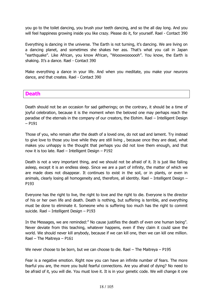you go to the toilet dancing, you brush your teeth dancing, and so the all day long. And you will feel happiness growing inside you like crazy. Please do it, for yourself. Rael - Contact 390

Everything is dancing in the universe. The Earth is not turning, it's dancing. We are living on a dancing planet, and sometimes she shakes her ass. That"s what you call in Japan "earthquake". Like African, you know African, "Wooowooooooh". You know, the Earth is shaking. It's a dance. Rael - Contact 390

Make everything a dance in your life. And when you meditate, you make your neurons dance, and that creates. Rael - Contact 390

# <span id="page-17-0"></span>**Death**

Death should not be an occasion for sad gatherings; on the contrary, it should be a time of joyful celebration, because it is the moment when the beloved one may perhaps reach the paradise of the eternals in the company of our creators, the Elohim. Rael – Intelligent Design – P191

Those of you, who remain after the death of a loved one, do not sad and lament. Try instead to give love to those you love while they are still living , because once they are dead, what makes you unhappy is the thought that perhaps you did not love them enough, and that now it is too late. Rael – Intelligent Design – P192

Death is not a very important thing, and we should not be afraid of it. It is just like falling asleep, except it is an endless sleep. Since we are a part of infinity, the matter of which we are made does not disappear. It continues to exist in the soil, or in plants, or even in animals, clearly losing all homogeneity and, therefore, all identity. Rael – Intelligent Design – P193

Everyone has the right to live, the right to love and the right to die. Everyone is the director of his or her own life and death. Death is nothing, but suffering is terrible, and everything must be done to eliminate it. Someone who is suffering too much has the right to commit suicide. Rael – Intelligent Design – P193

In the Messages, we are reminded:" No cause justifies the death of even one human being". Never deviate from this teaching, whatever happens, even if they claim it could save the world. We should never kill anybody, because if we can kill one, then we can kill one million. Rael – The Maitreya – P161

We never choose to be born, but we can choose to die. Rael – The Maitreya – P195

Fear is a negative emotion. Right now you can have an infinite number of fears. The more fearful you are, the more you build fearful connections. Are you afraid of dying? No need to be afraid of it, you will die. You must love it. It is in your genetic code. We will change it one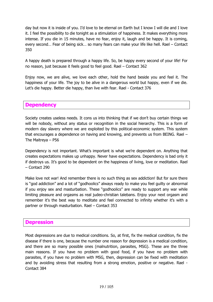day but now it is inside of you. I"d love to be eternal on Earth but I know I will die and I love it. I feel the possibility to die tonight as a stimulation of happiness. It makes everything more intense. If you die in 15 minutes, have no fear, enjoy it, laugh and be happy. It is coming, every second… Fear of being sick… so many fears can make your life like hell. Rael – Contact 350

A happy death is prepared through a happy life. So, be happy every second of your life! For no reason, just because it feels good to feel good. Rael – Contact 362

Enjoy now, we are alive, we love each other, hold the hand beside you and feel it. The happiness of your life. The joy to be alive in a dangerous world but happy, even if we die. Let's die happy. Better die happy, than live with fear. Rael - Contact 376

# <span id="page-18-0"></span>**Dependency**

Society creates useless needs. It cons us into thinking that if we don"t buy certain things we will be nobody, without any status or recognition in the social hierarchy. This is a form of modern day slavery where we are exploited by this political-economic system. This system that encourages a dependence on having and knowing, and prevents us from BEING. Rael – The Maitreya – P56

Dependency is not important. What's important is what we're dependent on. Anything that creates expectations makes up unhappy. Never have expectations. Dependency is bad only it if destroys us. It"s good to be dependent on the happiness of living, love or meditation. Rael – Contact 290

Make love not war! And remember there is no such thing as sex addiction! But for sure there is "god addiction" and a lot of "godhoolics" always ready to make you feel guilty or abnormal if you enjoy sex and masturbation. These "godhoolics" are ready to support any war while limiting pleasure and orgasms as real judeo-christian talebans. Enjoy your next orgasm and remember it's the best way to meditate and feel connected to infinity whether it's with a partner or through masturbation. Rael – Contact 353

# <span id="page-18-1"></span>**Depression**

Most depressions are due to medical conditions. So, at first, fix the medical condition, fix the disease if there is one, because the number one reason for depression is a medical condition, and there are so many possible ones (malnutrition, parasites, MSG). These are the three main reasons. If you have no problem with good food, if you have no problem with parasites, if you have no problem with MSG, then, depression can be fixed with meditation and by avoiding stress that resulting from a strong emotion, positive or negative. Rael - Contact 384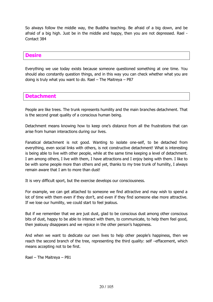So always follow the middle way, the Buddha teaching. Be afraid of a big down, and be afraid of a big high. Just be in the middle and happy, then you are not depressed. Rael - Contact 384

# <span id="page-19-0"></span>**Desire**

Everything we use today exists because someone questioned something at one time. You should also constantly question things, and in this way you can check whether what you are doing is truly what you want to do. Rael – The Maitreya – P87

#### <span id="page-19-1"></span>**Detachment**

People are like trees. The trunk represents humility and the main branches detachment. That is the second great quality of a conscious human being.

Detachment means knowing how to keep one's distance from all the frustrations that can arise from human interactions during our lives.

Fanatical detachment is not good. Wanting to isolate one-self, to be detached from everything, even social links with others, is not constructive detachment! What is interesting is being able to live with other people, while at the same time keeping a level of detachment. I am among others, I live with them, I have attractions and I enjoy being with them. I like to be with some people more than others and yet, thanks to my tree trunk of humility, I always remain aware that I am to more than dust!

It is very difficult sport, but the exercise develops our consciousness.

For example, we can get attached to someone we find attractive and may wish to spend a lot of time with them even if they don't, and even if they find someone else more attractive. If we lose our humility, we could start to feel jealous.

But if we remember that we are just dust, glad to be conscious dust among other conscious bits of dust, happy to be able to interact with them, to communicate, to help them feel good, then jealousy disappears and we rejoice in the other person's happiness.

And when we want to dedicate our own lives to help other people"s happiness, then we reach the second branch of the tree, representing the third quality: self –effacement, which means accepting not to be first.

Rael – The Maitreya – P81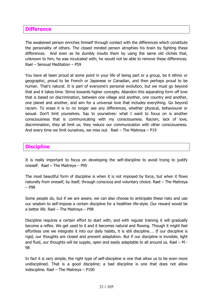#### <span id="page-20-0"></span>**Difference**

The awakened person enriches himself through contact with the differences which constitute the personality of others. The closed minded person atrophies his brain by fighting these differences. And even as he dumbly insults them by using the same old clichés that, unknown to him, he was inculcated with; he would not be able to remove these differences. Rael – Sensual Meditation – P59

You have all been proud at some point in your life of being part or a group, be it ethnic or geographic, proud to be French or Japanese or Canadian, and then perhaps proud to be human. That's natural. It is part of everyone's personal evolution, but we must go beyond that and it takes time. Strive towards higher concepts. Abandon this separating form off love that is based on discrimination, between one village and another, one country and another, one planet and another, and aim for a universal love that includes everything. Go beyond racism. To erase it is to no longer see any differences, whether physical, behavioural or sexual. Don"t limit yourselves. Say to yourselves: what I want to focus on is another consciousness that is communicating with my consciousness. Racism, lack of love, discrimination, they all limit us; they reduce our communication with other consciousness. And every time we limit ourselves, we miss out. Rael – The Maitreya – P19

# <span id="page-20-1"></span>**Discipline**

It is really important to focus on developing the self-discipline to avoid trying to justify oneself. Rael – The Maitreya – P95

The most beautiful form of discipline is when it is not imposed by force, but when it flows naturally from oneself, by itself, through conscious and voluntary choice. Rael – The Maitreya – P98

Some people do, but if we are aware, we can also choose to anticipate these risks and use our wisdom to self-impose a certain discipline for a healthier life-style. Our reward would be a better life. Rael – The Maitreya – P98

Discipline requires a certain effort to start with, and with regular training it will gradually become a reflex. We get used to it and it becomes natural and flowing. Though it might feel effortless one we integrate it into our daily habits, it is still discipline…. If our discipline is rigid, our thoughts are closed and prevent adaptation. But if our discipline is invisible, light and fluid, our thoughts will be supple, open and easily adaptable to all around us. Rael – M - 98

In fact it is very simple, the right type of self-discipline is one that allow us to be even more undisciplined. That is a good discipline; a bad discipline is one that does not allow indiscipline. Rael – The Maitreya – P100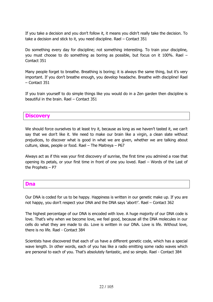If you take a decision and you don"t follow it, it means you didn"t really take the decision. To take a decision and stick to it, you need discipline. Rael – Contact 351

Do something every day for discipline; not something interesting. To train your discipline, you must choose to do something as boring as possible, but focus on it 100%. Rael – Contact 351

Many people forget to breathe. Breathing is boring; it is always the same thing, but it"s very important. If you don"t breathe enough, you develop headache. Breathe with discipline! Rael – Contact 351

If you train yourself to do simple things like you would do in a Zen garden then discipline is beautiful in the brain. Rael – Contact 351

# <span id="page-21-0"></span>**Discovery**

We should force ourselves to at least try it, because as long as we haven't tasted it, we can't say that we don"t like it. We need to make our brain like a virgin, a clean slate without prejudices, to discover what is good in what we are given, whether we are talking about culture, ideas, people or food. Rael – The Maitreya – P67

Always act as if this was your first discovery of sunrise, the first time you admired a rose that opening its petals, or your first time in front of one you loved. Rael – Words of the Last of the Prophets – P7

<span id="page-21-1"></span>

| the contract of the<br>Ine |  |  |
|----------------------------|--|--|
|                            |  |  |

Our DNA is coded for us to be happy. Happiness is written in our genetic make up. If you are not happy, you don't respect your DNA and the DNA says 'abort!'. Rael – Contact 362

The highest percentage of our DNA is encoded with love. A huge majority of our DNA code is love. That"s why when we become love, we feel good, because all the DNA molecules in our cells do what they are made to do. Love is written in our DNA. Love is life. Without love, there is no life. Rael - Contact 384

Scientists have discovered that each of us have a different genetic code, which has a special wave length. In other words, each of you has like a radio emitting some radio waves which are personal to each of you. That's absolutely fantastic, and so simple. Rael - Contact 384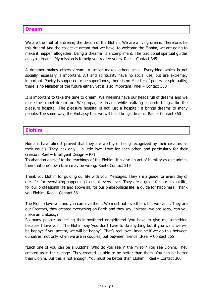#### <span id="page-22-0"></span>**Dream**

We are the fruit of a dream, the dream of the Elohim. We are a living dream. Therefore, be this dream! And the collective dream that we have, to welcome the Elohim, we are going to make it happen altogether. Being a dreamer is a compliment. The traditional spiritual guides analyze dreams. My mission is to help you realize yours. Rael – Contact 345

A dreamer makes others dream. A smiler makes others smile. Everything which is not socially necessary is important. Art and spirituality have no social use, but are extremely important. Poetry is supposed to be superfluous, there is no Minister of poetry or spirituality; there is no Minister of the future either, yet it is so important. Rael – Contact 360

It is important to take the time to dream. We Raelians have our heads full of dreams and we make the planet dream too. We propagate dreams while realizing concrete things, like the pleasure hospital. The pleasure hospital is not just a hospital; it brings dreams to many people. The same way, the Embassy that we will build brings dreams. Rael – Contact 360

# <span id="page-22-1"></span>**Elohim**

Humans have almost proved that they are worthy of being recognized by their creators as their equals. They lack only ….a little love. Love for each other, and particularly for their creators. Raël – Intelligent Design – P71

To abandon oneself to the teachings of the Elohim, it is also an act of humility as one admits then that one's own brain may be wrong. Rael - Contact 319

Thank you Elohim for guiding our life with your Messages. They are a guide for every day of our life, for everything happening to us at every level. They are a guide for our sexual life, for our professional life and above all, for our philosophical life: a guide for happiness. Thank you Elohim. Rael – Contact 361

The Elohim love you and you can love them. We must not love them, but we can…. They are our Creators, they created everything on Earth and they say: "please, we are sorry, can you make an Embassy?"

So many people are telling their boyfriend or girlfriend "you have to give me something because I love you". The Elohim say "you don"t have to do anything but if you want we will be happy; if you accept, we will be happy". That"s real love. Imagine if we do this between ourselves, not only when we are in couples, but between friends...Rael – Contact 365

"Each one of you can be a Buddha. Who do you see in the mirror? You see Elohim. They created us in their image. They created us able to be better than them. You can be better than Elohim. But this is not enough. You must be better than Elohim!" Rael – Contact 366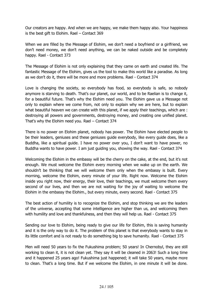Our creators are happy. And when we are happy, we make them happy also. Your happiness is the best gift to Elohim. Rael – Contact 369

When we are filled by the Message of Elohim, we don't need a boyfriend or a girlfriend, we don"t need money, we don"t need anything, we can be naked outside and be completely happy. Rael - Contact 373

The Message of Elohim is not only explaining that they came on earth and created life. The fantastic Message of the Elohim, gives us the tool to make this world like a paradise. As long as we don"t do it, there will be more and more problems. Rael - Contact 374

Love is changing the society, so everybody has food, so everybody is safe, so nobody anymore is starving to death. That's our planet, our world, and to be Raelian is to change it, for a beautiful future. That"s why the Elohim need you. The Elohim gave us a Message not only to explain where we come from, not only to explain why we are here, but to explain what beautiful heaven we can create with this planet, if we apply their teachings, which are : destroying all powers and governments, destroying money, and creating one unified planet. That's why the Elohim need you. Rael  $-$  Contact 374

There is no power on Elohim planet, nobody has power. The Elohim have elected people to be their leaders, geniuses and these geniuses guide everybody, like every guide does, like a Buddha, like a spiritual guide. I have no power over you, I don"t want to have power, no Buddha wants to have power. I am just guiding you, showing the way. Rael - Contact 374

Welcoming the Elohim in the embassy will be the cherry on the cake, at the end, but it's not enough. We must welcome the Elohim every morning when we wake up on the earth. We shouldn"t be thinking that we will welcome them only when the embassy is built. Every morning, welcome the Elohim, every minute of your life. Right now. Welcome the Elohim inside you right now, their energy, their love, their teachings, we must welcome them every second of our lives, and then we are not waiting for the joy of waiting to welcome the Elohim in the embassy the Elohim., but every minute, every second. Rael - Contact 375

The best action of humility is to recognize the Elohim, and stop thinking we are the leaders of the universe, accepting that some intelligence are higher than us, and welcoming them with humility and love and thankfulness, and then they will help us. Rael - Contact 375

Sending our love to Elohim, being ready to give our life for Elohim, this is saving humanity and it is the only way to do it. The problem of this planet is that everybody wants to stay in its little comfort and is not ready to do something big to save humanity. Rael - Contact 375

Men will need 50 years to fix the Fukushima problem; 50 years! In Chernobyl, they are still working to clean it, it is not clean yet. They say it will be cleaned in 2063! Such a long time and it happened 25 years ago! Fukushima just happened; it will take 50 years, maybe more to clean. That"s a long time. But if we welcome the Elohim, in one minute it will be done.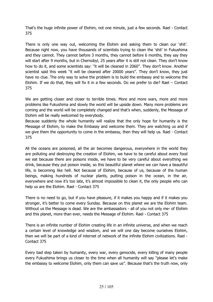That"s the huge infinite power of Elohim, not one minute, just a few seconds. Rael - Contact 375

There is only one way out, welcoming the Elohim and asking them to clean our 'shit'. Because right now, you have thousands of scientists trying to clean the 'shit' in Fukushima and they cannot. They cannot before 3 months, they cannot before 6 months, they say they will start after 9 months, but in Chernobyl, 25 years after it is still not clean. They don't know how to do it, and some scientists say: "it will be cleaned in 2060". They don't know. Another scientist said this week "it will be cleaned after 20000 years". They don't know, they just have no clue. The only way to solve the problem is to build the embassy and to welcome the Elohim. If we do that, they will fix it in a few seconds. Do we prefer to die? Rael – Contact 375

We are getting closer and closer to terrible times. More and more wars, more and more problems like Fukushima and slowly the world will be upside down. Many more problems are coming and the world will be completely changed and that"s when, suddenly, the Message of Elohim will be really welcomed by everybody.

Because suddenly the whole humanity will realize that the only hope for humanity is the Message of Elohim, to make the Embassy and welcome them. They are watching us and if we give them the opportunity to come in the embassy, then they will help us. Rael - Contact 375

All the oceans are poisoned, all the air becomes dangerous, everywhere in the world they are polluting and destroying the creation of Elohim, we have to be careful about every food we eat because there are poisons inside, we have to be very careful about everything we drink, because they put poison inside, so this beautiful planet where we can have a beautiful life, is becoming like hell. Not because of Elohim, because of us, because of the human beings, making hundreds of nuclear plants, putting poison in the ocean, in the air, everywhere and now it's too late, it's almost impossible to clean it, the only people who can help us are the Elohim. Rael - Contact 375

There is no need to go, but if you have pleasure, if it makes you happy and if it makes you stronger, it's better to come every Sunday. Because on this planet we are the Elohim team. Without us the Message is dead. We are the ambassadors - all of you not only me- of Elohim and this planet, more than ever, needs the Message of Elohim. Rael - Contact 375

There is an infinite number of Elohim creating life in an infinite universe, and when we reach a certain level of knowledge and wisdom, and we will one day become ourselves Elohim, then we will be part of a kind of internet of network of the infinite Elohim civilizations. Rael - Contact 375

Every bad step taken by humanity, every war, every genocide, every killing of many people every Fukushima brings us closer to the time when all humanity will say ""please let"s make the embassy to welcome Elohim, only them can save us". Because that's the truth now, only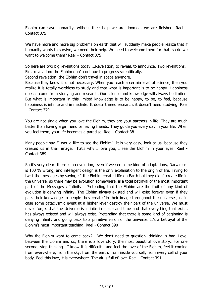Elohim can save humanity, without their help we are doomed, we are finished. Rael – Contact 375

We have more and more big problems on earth that will suddenly make people realize that if humanity wants to survive, we need their help. We need to welcome them for that, so do we want to welcome them? Rael – Contact 375

So here are two big revelations today....Revelation, to reveal, to announce. Two revelations. First revelation: the Elohim don't continue to progress scientifically.

Second revelation: the Elohim don't travel in space anymore.

Because they know it is not necessary. When you reach a certain level of science, then you realize it is totally worthless to study and that what is important is to be happy. Happiness doesn"t come from studying and research. Our science and knowledge will always be limited. But what is important in this limited knowledge is to be happy, to be, to feel, because happiness is infinite and immediate. It doesn't need research, it doesn't need studying. Rael – Contact 379

You are not single when you love the Elohim, they are your partners in life. They are much better than having a girlfriend or having friends. They guide you every day in your life. When you feel them, your life becomes a paradise. Rael - Contact 381

Many people say ''I would like to see the Elohim''. It is very easy, look at us, because they created us in their image. That's why I love you, I see the Elohim in your eyes. Rael - Contact 389

So it's very clear: there is no evolution, even if we see some kind of adaptations, Darwinism is 100 % wrong, and intelligent design is the only explanation to the origin of life. Trying to twist the messages by saying : " the Elohim created life on Earth but they didn"t create life in the universe, so there may be evolution somewhere, is a total betrayal of the most important part of the Messages : Infinity ! Pretending that the Elohim are the fruit of any kind of evolution is denying infinity. The Elohim always existed and will exist forever even if they pass their knowledge to people they create "in their image throughout the universe just in case some cataclysmic event at a higher lever destroy their part of the universe. We must never forget that the Universe is infinite in space and time and that everything that exists has always existed and will always exist. Pretending that there is some kind of beginning is denying infinity and going back to a primitive vision of the universe. It"s a betrayal of the Elohim"s most important teaching. Rael - Contact 390

Why the Elohim want to come back? ...We don't need to question, thinking is bad. Love, between the Elohim and us, there is a love story, the most beautiful love story...For one second, stop thinking - I know it is difficult - and feel the love of the Elohim, feel it coming from everywhere, from the sky, from the earth, from inside yourself, from every cell of your body. Feel this love, it is everywhere. The air is full of love. Rael - Contact 391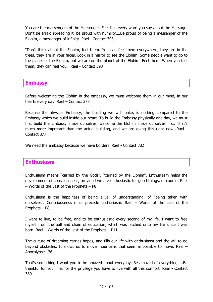You are the messengers of the Messenger. Feel it in every word you say about the Message. Don't be afraid spreading it, be proud with humility….Be proud of being a messenger of the Elohim, a messenger of infinity. Rael - Contact 393

"Don't think about the Elohim, feel them. You can feel them everywhere, they are in the trees, they are in your faces. Look in a mirror to see the Elohim. Some people want to go to the planet of the Elohim, but we are on the planet of the Elohim. Feel them. When you feel them, they can feel you." Rael - Contact 393

<span id="page-26-0"></span>**Embassy** 

Before welcoming the Elohim in the embassy, we must welcome them in our mind, in our hearts every day. Rael – Contact 375

Because the physical Embassy, the building we will make, is nothing compared to the Embassy which we build inside our heart. To build the Embassy physically one day, we must first build the Embassy inside ourselves, welcome the Elohim inside ourselves first. That"s much more important than the actual building, and we are doing this right now. Rael - Contact 377

We need the embassy because we have borders. Rael - Contact 382

# <span id="page-26-1"></span>**Enthusiasm**

Enthusiasm means "carried by the Gods", "carried by the Elohim". Enthusiasm helps the development of consciousness, provided we are enthusiastic for good things, of course. Rael – Words of the Last of the Prophets – P8

Enthusiasm is the happiness of being alive, of understanding, of "being taken with ourselves". Consciousness must precede enthusiasm. Rael – Words of the Last of the Prophets – P8

I want to live, to be free, and to be enthusiastic every second of my life. I want to free myself from the ball and chain of education, which was latched onto my life since I was born. Rael – Words of the Last of the Prophets – P11

The culture of dreaming carries hopes, and fills our life with enthusiasm and the will to go beyond obstacles. It allows us to move mountains that seem impossible to move. Rael – Apocalypse 136

That's something I want you to be amazed about everyday. Be amazed of everything…..Be thankful for your life, for the privilege you have to live with all this comfort. Rael - Contact 389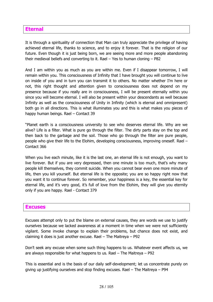# <span id="page-27-0"></span>**Eternal**

It is through a spirituality of connection that Man can truly appreciate the privilege of having achieved eternal life, thanks to science, and to enjoy it forever. That is the religion of our future. Even though it is just being born, we are seeing more and more people abandoning their medieval beliefs and converting to it. Rael – Yes to human cloning – P82

And I am within you as much as you are within me. Even if I disappear tomorrow, I will remain within you. This consciousness of Infinity that I have brought you will continue to live on inside of you and in turn you can transmit it to others. No matter whether I"m here or not, this right thought and attention given to consciousness does not depend on my presence because if you really are in consciousness, I will be present eternally within you since you will become eternal. I will also be present within your descendants as well because Infinity as well as the consciousness of Unity in Infinity (which is eternal and omnipresent) both go in all directions. This is what illuminates you and this is what makes you pieces of happy human beings. Rael – Contact 39

"Planet earth is a consciousness university to see who deserves eternal life. Why are we alive? Life is a filter. What is pure go through the filter. The dirty parts stay on the top and then back to the garbage and the soil. Those who go through the filter are pure people, people who give their life to the Elohim, developing consciousness, improving oneself. Rael – Contact 366

When you live each minute, like it is the last one, an eternal life is not enough, you want to live forever. But if you are very depressed, then one minute is too much, that's why many people kill themselves, they commit suicide. When you cannot bear even one more minute of life, then you kill yourself. But eternal life is the opposite; you are so happy right now that you want it to continue forever. So remember, your happiness is a key, the essential key for eternal life, and it"s very good, it"s full of love from the Elohim, they will give you eternity only if you are happy. Rael - Contact 379

#### <span id="page-27-1"></span>**Excuses**

Excuses attempt only to put the blame on external causes, they are words we use to justify ourselves because we lacked awareness at a moment in time when we were not sufficiently vigilant. Some invoke change to explain their problems, but chance does not exist, and claiming it does is just another excuse. Rael – The Maitreya – P92

Don"t seek any excuse when some such thing happens to us. Whatever event affects us, we are always responsible for what happens to us. Rael – The Maitreya – P92

This is essential and is the basis of our daily self-development; let us concentrate purely on giving up justifying ourselves and stop finding excuses. Rael – The Maitreya – P94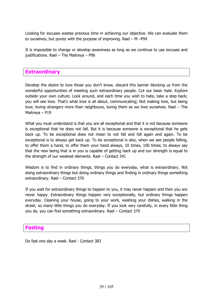Looking for excuses wastes precious time in achieving our objective. We can evaluate them to ourselves, but purely with the purpose of improving. Rael – M –P94

It is impossible to change or develop awareness as long as we continue to use excuses and justifications. Rael – The Maitreya – P96

# <span id="page-28-0"></span>**Extraordinary**

Develop the desire to love those you don"t know, discard this barrier blocking us from the wonderful opportunities of meeting such extraordinary people. Cut our basic hate. Explore outside your own culture. Look around, and each time you wish to hate, take a step back; you will see love. That"s what love is all about, communicating; Not making love, but being love; loving strangers more than neighbours, loving them as we love ourselves. Rael – The Maitreya – P19

What you must understand is that you are all exceptional and that it is not because someone is exceptional that he does not fall. But it is because someone is exceptional that he gets back up. To be exceptional does not mean to not fall and fall again and again. To be exceptional is to always get back up. To be exceptional is also, when we see people falling, to offer them a hand, to offer them your hand always, 10 times, 100 times; to always say that the new being that is in you is capable of getting back up and our strength is equal to the strength of our weakest elements. Rael – Contact 341

Wisdom is to find in ordinary things, things you do everyday, what is extraordinary. Not doing extraordinary things but doing ordinary things and finding in ordinary things something extraordinary. Rael – Contact 370

If you wait for extraordinary things to happen to you, it may never happen and then you are never happy. Extraordinary things happen very exceptionally, but ordinary things happen everyday. Cleaning your house, going to your work, washing your dishes, walking in the street, so many little things you do everyday. If you look very carefully, in every little thing you do, you can find something extraordinary. Rael – Contact 370

# <span id="page-28-1"></span>**Fasting**

Do fast one day a week. Rael - Contact 383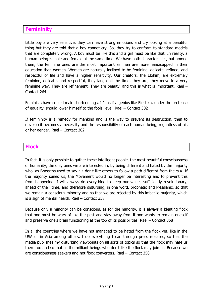# <span id="page-29-0"></span>**Femininity**

Little boy are very sensitive, they can have strong emotions and cry looking at a beautiful thing but they are told that a boy cannot cry. So, they try to conform to standard models that are completely wrong. A boy must be like this and a girl must be like that. In reality, a human being is male and female at the same time. We have both characteristics, but among them, the feminine ones are the most important as men are more handicapped in their education than women. Women are naturally inclined to be feminine, delicate, refined, and respectful of life and have a higher sensitivity. Our creators, the Elohim, are extremely feminine, delicate, and respectful, they laugh all the time, they are, they move in a very feminine way. They are refinement. They are beauty, and this is what is important. Rael – Contact 264

Feminists have copied male shortcomings. It's as if a genius like Einstein, under the pretense of equality, should lower himself to the fools" level. Rael – Contact 302

If femininity is a remedy for mankind and is the way to prevent its destruction, then to develop it becomes a necessity and the responsibility of each human being, regardless of his or her gender. Rael – Contact 302

#### <span id="page-29-1"></span>**Flock**

In fact, it is only possible to gather these intelligent people, the most beautiful consciousness of humanity, the only ones we are interested in, by being different and hated by the majority who, as Brassens used to say : « don't like others to follow a path different from theirs ». If the majority joined us, the Movement would no longer be interesting and to prevent this from happening, I will always do everything to keep our values sufficiently revolutionary, ahead of their time, and therefore disturbing, in one word, prophetic and Messianic, so that we remain a conscious minority and so that we are rejected by this imbecile majority, which is a sign of mental health. Rael – Contact 358

Because only a minority can be conscious, as for the majority, it is always a bleating flock that one must be wary of like the pest and stay away from if one wants to remain oneself and preserve one's brain functioning at the top of its possibilities. Rael  $-$  Contact 358

In all the countries where we have not managed to be hated from the flock yet, like in the USA or in Asia among others, I do everything I can through press releases, so that the media publishes my disturbing viewpoints on all sorts of topics so that the flock may hate us there too and so that all the brilliant beings who don"t like the flock may join us. Because we are consciousness seekers and not flock converters. Rael – Contact 358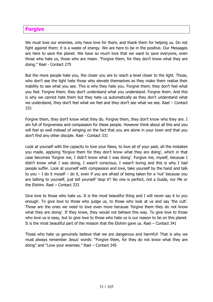# <span id="page-30-0"></span>**Forgive**

We must love our enemies, only have love for them, and thank them for helping us. Do not fight against them; it is a waste of energy. We are here to be in the positive. Our Messages are here to save the planet. We have so much love that we want to save everyone, even those who hate us, those who are mean. "Forgive them, for they don"t know what they are doing." Rael - Contact 275

But the more people hate you, the closer you are to reach a level closer to the light. Those, who don't see the light hate those who elevate themselves as they make them realize their inability to see what you see. This is why they hate you. Forgive them; they don't feel what you feel. Forgive them; they don't understand what you understand. Forgive them. And this is why we cannot hate them but they hate us automatically as they don"t understand what we understand, they don"t feel what we feel and they don"t see what we see. Rael – Contact 331

Forgive them, they don't know what they do. Forgive them, they don't know who they are. I am full of forgiveness and compassion for these people. However think about all this and you will feel so well instead of winging on the fact that you are alone in your town and that you don"t find any other disciple. Rael - Contact 331

Look at yourself with the capacity to love your flaws, to love all of your past, all the mistakes you made, applying 'forgive them for they don't know what they are doing', which in that case becomes 'forgive me, I didn't know what I was doing'. Forgive me, myself, because I didn"t know what I was doing, I wasn"t conscious, I wasn"t loving and this is why I had people suffer. Look at yourself with compassion and love, take yourself by the hand and talk to you  $-1$  do it myself  $-$  do it, even if you are afraid of being taken for a 'nut' because you are talking to yourself, just tell yourself 'stop it'! No one is perfect, not a Guide, nor Me or the Elohim. Rael – Contact 333

Give love to those who hate us. It is the most beautiful thing and I will never say it to you enough. To give love to those who judge us, to those who look at us and say "the cult". Those are the ones we need to love even more because "forgive them they do not know what they are doing'. If they knew, they would not behave this way. To give love to those who love us is easy, but to give love to those who hate us is our reason to be on this planet. It is the most beautiful part of the mission that the Elohim gave us. Rael – Contact 341

Those who hate us genuinely believe that we are dangerous and harmful! That is why we must always remember Jesus' words: "Forgive them, for they do not know what they are doing" and "Love your enemies." Rael – Contact 345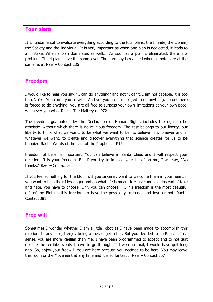# <span id="page-31-0"></span>**Four plans**

It is fundamental to evaluate everything according to the four plans, the Infinite, the Elohim, the Society and the Individual. It is very important as when one plan is neglected, it leads to a mistake. When a plan dominates as well…. As soon as a plan is eliminated, there is a problem. The 4 plans have the same level. The harmony is reached when all notes are at the same level. Rael – Contact 286

# <span id="page-31-1"></span>**Freedom**

I would like to hear you say:" I can do anything" and not "I can"t, I am not capable, it is too hard". Yes! You can if you so wish. And yet you are not obliged to do anything, no one here is forced to do anything; you are all free to surpass your own limitations at your own pace, whenever you wish. Rael – The Maitreya – P72

The freedom guaranteed by the Declaration of Human Rights includes the right to be atheistic, without which there is no religious freedom. The rest belongs to our liberty, our liberty to think what we want, to be what we want to be, to believe in whomever and in whatever we want, to create and discover everything that science creates for us to be happier. Rael – Words of the Last of the Prophets – P17

Freedom of belief is important. You can believe in Santa Claus and I will respect your decision. It is your freedom. But if you try to impose your belief on me, I will say, "No thanks." Rael – Contact 363

If you feel something for the Elohim, if you sincerely want to welcome them in your heart, if you want to help their Messenger and do what life is meant for: give and love instead of take and hate, you have to choose. Only you can choose. ....This freedom is the most beautiful gift of the Elohim, this freedom to have the possibility to serve and love or not. Rael - Contact 381

# <span id="page-31-2"></span>**Free will**

Sometimes I wonder whether I am a little robot as I have been made to accomplish this mission. In any case, I enjoy being a messenger robot. But you decided to be Raelian. In a sense, you are more Raelian than me. I have been programmed to accept and to not quit despite the terrible events I have to go through. If I were normal, I would have quit long ago. So, enjoy your freewill. You are here because you decided to be here. You may leave this room or the Movement at any time and it is so fantastic. Rael – Contact 357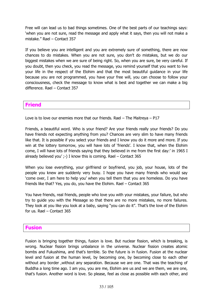Free will can lead us to bad things sometimes. One of the best parts of our teachings says: "when you are not sure, read the message and apply what it says, then you will not make a mistake." Rael – Contact 357

If you believe you are intelligent and you are extremely sure of something, there are now chances to do mistakes. When you are not sure, you don"t do mistakes, but we do our biggest mistakes when we are sure of being right. So, when you are sure, be very careful. If you doubt, then you check, you read the message, you remind yourself that you want to live your life in the respect of the Elohim and that the most beautiful guidance in your life because you are not programmed, you have your free will, you can choose to follow your consciousness, check the message to know what is best and together we can make a big difference. Rael – Contact 357

# <span id="page-32-0"></span>**Friend**

Love is to love our enemies more that our friends. Rael – The Maitreya – P17

Friends, a beautiful word. Who is your friend? Are your friends really your friends? Do you have friends not expecting anything from you? Chances are very slim to have many friends like that. It is possible if you select your friends and I know you do it more and more. If you win at the lottery tomorrow, you will have lots of 'friends'. I know that, when the Elohim come, I will have lots of friends saying that they believed in me from the first day:" in 1965 I already believed you'  $;$ -) I know this is coming. Rael – Contact 365

When you lose everything, your girlfriend or boyfriend, you job, your house, lots of the people you knew are suddenly very busy. I hope you have many friends who would say "come over, I am here to help you" when you tell them that you are homeless. Do you have friends like that? Yes, you do, you have the Elohim. Rael – Contact 365

You have friends, real friends, people who love you with your mistakes, your failure, but who try to guide you with the Message so that there are no more mistakes, no more failures. They look at you like you look at a baby, saying "you can do it". That"s the love of the Elohim for us. Rael – Contact 365

# <span id="page-32-1"></span>**Fusion**

Fusion is bringing together things, fusion is love. But nuclear fission, which is breaking, is wrong. Nuclear fission brings unbalance in the universe. Nuclear fission creates atomic bombs and Fukushima, and that"s terrible. So the future is in fusion. Fusion at the nuclear level and fusion at the human level, by becoming one, by becoming close to each other without any border ,without any separation. Because we are one. That was the teaching of Buddha a long time ago. I am you, you are me, Elohim are us and we are them, we are one, that"s fusion. Another word is love. So please, feel as close as possible with each other, and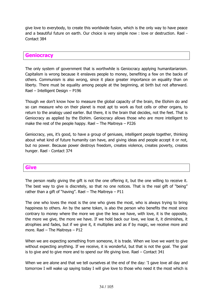give love to everybody, to create this worldwide fusion, which is the only way to have peace and a beautiful future on earth. Our choice is very simple now : love or destruction. Rael - Contact 384

# <span id="page-33-0"></span>**Geniocracy**

The only system of government that is worthwhile is Geniocracy applying humanitarianism. Capitalism is wrong because it enslaves people to money, benefiting a few on the backs of others. Communism is also wrong, since it place greater importance on equality than on liberty. There must be equality among people at the beginning, at birth but not afterward. Rael – Intelligent Design – P196

Though we don"t know how to measure the global capacity of the brain, the Elohim do and so can measure who on their planet is most apt to work as foot cells or other organs, to return to the analogy used earlier. But there, it is the brain that decides, not the feet. That is Geniocracy as applied by the Elohim. Geniocracy allows those who are more intelligent to make the rest of the people happy. Rael  $-$  The Maitreya  $-$  P226

Geniocracy, yes, it"s good, to have a group of geniuses, intelligent people together, thinking about what kind of future humanity can have, and giving ideas and people accept it or not, but no power. Because power destroys freedom, creates violence, creates poverty, creates hunger. Rael - Contact 374

# <span id="page-33-1"></span>**Give**

The person really giving the gift is not the one offering it, but the one willing to receive it. The best way to give is discretely, so that no one notices. That is the real gift of "being" rather than a gift of "having". Rael – The Maitreya – P11

The one who loves the most is the one who gives the most, who is always trying to bring happiness to others. An by the same token, is also the person who benefits the most since contrary to money where the more we give the less we have, with love, it is the opposite, the more we give, the more we have. If we hold back our love, we lose it, it diminishes, it atrophies and fades, but if we give it, it multiplies and as if by magic, we receive more and more. Rael – The Maitreya – P12

When we are expecting something from someone, it is trade. When we love we want to give without expecting anything. If we receive, it is wonderful, but that is not the goal. The goal is to give and to give more and to spend our life giving love. Rael – Contact 341

When we are alone and that we tell ourselves at the end of the day: "I gave love all day and tomorrow I will wake up saying today I will give love to those who need it the most which is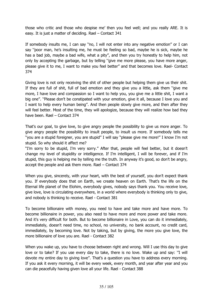those who critic and those who despise me" then you feel well; and you really ARE. It is easy. It is just a matter of deciding. Rael – Contact 341

If somebody insults me, I can say 'no, I will not enter into any negative emotion" or I can say "poor man, he's insulting me, he must be feeling so bad, maybe he is sick, maybe he has a bad job, maybe a bad wife, what a pity", and then you try honestly to help him, not only by accepting the garbage, but by telling "give me more please, you have more anger, please give it to me, I want to make you feel better"" and that becomes love. Rael- Contact 374

Giving love is not only receiving the shit of other people but helping them give us their shit. If they are full of shit, full of bad emotion and they give you a little, ask them "give me more, I have love and compassion so I want to help you, you give me a little shit, I want a big one". "Please don't be constipated with your emotion, give it all, because I love you and I want to help every human being". And then people slowly give more, and then after they will feel better. Most of the time, they will apologize, because they will realize how bad they have been. Rael – Contact 374

That"s our goal, to give love, to give angry people the possibility to give us more anger. To give angry people the possibility to insult people, to insult us more. If somebody tells me "you are a stupid foreigner, you are stupid" I will say "please give me more!" I know I'm not stupid. So why should it affect me?

"I'm sorry to be stupid, I'm very sorry." After that, people will feel better, but it doesn't change my level of stupidity or intelligence. If I"m intelligent, I will be forever, and if I"m stupid, this guy is helping me by telling me the truth. In anyway it's good, so don't be angry, accept the people and ask them more. Rael – Contact 374

When you give, sincerely, with your heart, with the best of yourself, you don't expect thank you. If everybody does that on Earth, we create heaven on Earth. That's the life on the Eternal life planet of the Elohim, everybody gives, nobody says thank you. You receive love, give love, love is circulating everywhere, in a world where everybody is thinking only to give, and nobody is thinking to receive. Rael - Contact 381

To become billionaire with money, you need to have and take more and have more. To become billionaire in power, you also need to have more and more power and take more. And it's very difficult for both. But to become billionaire in Love, you can do it immediately, immediately, doesn't need time, no school, no university, no bank account, no credit card, immediately, by becoming love. Not by taking, but by giving, the more you give love, the more billionaire of love you are. Rael - Contact 382

When you wake up, you have to choose between right and wrong. Will I use this day to give love or to take? If you use every day to take, there is no love. Wake up and say: "I will devote my entire day to giving love". That's a question you have to address every morning. If you ask it every morning, it will be every week, every month, and year after year and you can die peacefully having given love all your life. Rael - Contact 388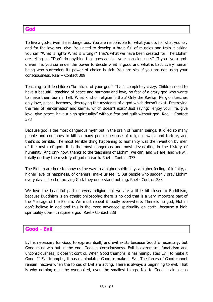<span id="page-35-0"></span>**God**

To live a god-driven life is dangerous. You are responsible for what you do, for what you say and for the love you give. You need to develop a brain full of muscles and train it asking yourself "What is right? What is wrong?" That"s what we have been created for. The Elohim are telling us: "Don"t do anything that goes against your consciousness". If you live a goddriven life, you surrender the power to decide what is good and what is bad. Every human being who surrenders its power of choice is sick. You are sick if you are not using your consciousness. Rael – Contact 309

Teaching to little children ""be afraid of your god""! That"s completely crazy. Children need to have a beautiful teaching of peace and harmony and love, no fear of a crazy god who wants to make them burn in hell. What kind of religion is that? Only the Raelian Religion teaches only love, peace, harmony, destroying the mysteries of a god which doesn"t exist. Destroying the fear of reincarnation and karma, which doesn"t exist? Just saying; ""enjoy your life, give love, give peace, have a high spirituality" without fear and guilt without god. Rael – Contact 373

Because god is the most dangerous myth put in the brain of human beings. It killed so many people and continues to kill so many people because of religious wars, and torture, and that"s so terrible. The most terrible thing happening to humanity was the invention by men of the myth of god. It is the most dangerous and most devastating in the history of humanity. And only now, thanks to the teachings of Elohim, we can, and we are, and we will totally destroy the mystery of god on earth. Rael – Contact 373

The Elohim are here to show us the way to a higher spirituality, a higher feeling of infinity, a higher level of happiness, of oneness, make us feel it. But people who suddenly pray Elohim every day instead of praying God, they understand nothing. Rael - Contact 388

We love the beautiful part of every religion but we are a little bit closer to Buddhism, because Buddhism is an atheist philosophy; there is no god that is a very important part of the Message of the Elohim. We must repeat it loudly everywhere. There is no god, Elohim don"t believe in god and this is the most advanced spirituality on earth, because a high spirituality doesn"t require a god. Rael - Contact 388

# <span id="page-35-1"></span>**Good - Evil**

Evil is necessary for Good to express itself, and evil exists because Good is necessary: but Good must win out in the end. Good is consciousness, Evil is extremism, fanaticism and unconsciousness; it doesn"t control. When Good triumphs, it has manipulated Evil, to make it Good. If Evil triumphs, it has manipulated Good to make it Evil. The forces of Good cannot remain inactive when the forces of Evil are acting. There is always a beginning to evil. That is why nothing must be overlooked, even the smallest things. Not to Good is almost as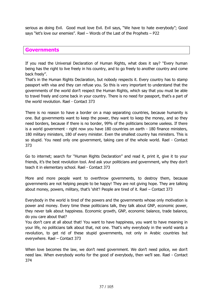serious as doing Evil. Good must love Evil. Evil says, "We have to hate everybody"; Good says "let's love our enemies". Rael – Words of the Last of the Prophets – P22

#### **Governments**

If you read the Universal Declaration of Human Rights, what does it say? ""Every human being has the right to live freely in his country, and to go freely to another country and come back freely".

That's in the Human Rights Declaration, but nobody respects it. Every country has to stamp passport with visa and they can refuse you. So this is very important to understand that the governments of the world don"t respect the Human Rights, which say that you must be able to travel freely and come back in your country. There is no need for passport, that's a part of the world revolution. Rael - Contact 373

There is no reason to have a border on a map separating countries, because humanity is one. But governments want to keep the power, they want to keep the money, and so they need borders, because if there is no border, 99% of the politicians become useless. If there is a world government - right now you have 180 countries on earth - 180 finance ministers, 180 military ministers, 180 of every minister. Even the smallest country has ministers. This is so stupid. You need only one government, taking care of the whole world. Rael - Contact 373

Go to internet; search for ''Human Rights Declaration" and read it, print it, give it to your friends, it's the best revolution tool. And ask your politicians and government, why they don't teach it in elementary school. Rael - Contact 373

More and more people want to overthrow governments, to destroy them, because governments are not helping people to be happy! They are not giving hope. They are talking about money, powers, military, that"s "shit"! People are tired of it. Rael – Contact 373

Everybody in the world is tired of the powers and the governments whose only motivation is power and money. Every time these politicians talk, they talk about GNP, economic power, they never talk about happiness. Economic growth, GNP, economic balance, trade balance, do you care about that?

You don"t care at all about that! You want to have happiness, you want to have meaning in your life, no politicians talk about that, not one. That"s why everybody in the world wants a revolution, to get rid of these stupid governments, not only in Arabic countries but everywhere. Rael – Contact 373

When love becomes the law, we don't need government. We don't need police, we don't need law. When everybody works for the good of everybody, then we"ll see. Rael - Contact 374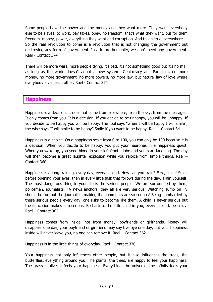Some people have the power and the money and they want more. They want everybody else to be slaves, to work, pay taxes, obey, no freedom, that's what they want, but for them freedom, money, power, everything they want and corruption. And this is true everywhere. So the real revolution to come is a revolution that is not changing the government but destroying any form of government. In a future humanity, we don't need any government. Rael - Contact 374

There will be more wars, more people dying, it's bad, it's not something good but it's normal, as long as the world doesn"t adopt a new system: Geniocracy and Paradism, no more money, no more government, no more powers, no more law, but natural law of love where everybody loves each other. Rael - Contact 374

## **Happiness**

Happiness is a decision. It does not come from elsewhere, from the sky, from the messages. It only comes from you. It is a decision. If you decide to be unhappy, you will be unhappy. If you decide to be happy you will be happy. The fool says "when I will be happy I will smile", the wise says "I will smile to be happy" Smile if you want to be happy. Rael – Contact 341

Happiness is a choice. On a happiness scale from 0 to 100, you can only be 100 because it is a decision. When you decide to be happy, you put your neurones in a happiness quest. When you wake up, you send blood in your left frontal lobe and you start laughing. The day will then become a great laughter explosion while you rejoice from simple things. Rael – Contact 360

Happiness is a long training, every day, every second. How can you train? First, smile! Smile before opening your eyes, then in every little task that follows during the day. Train yourself! The most dangerous thing in your life is the serious people! We are surrounded by them, policemen, journalists, TV news anchors, they all are very serious. Watching sumo on TV should be fun but the journalists making the comments are so serious! Being bombarded by these serious people every day, one risks to become like them. A child is never serious but the education makes him serious. Be back to the little child in you, every second, be crazy. Rael – Contact 362

Happiness comes from inside, not from money, boyfriends or girlfriends. Money will disappear one day, your boyfriend or girlfriend may say bye bye one day, but your happiness inside will never leave you, no one can remove it! Rael – Contact 362

Happiness is in the little things of everyday. Rael – Contact 370

Your happiness not only influences other people, but it also influences the trees, the butterflies, everything around you. The plants, the trees, are happy to feel your happiness. The grass is alive, it feels your happiness. Everything, the universe, the infinity feels your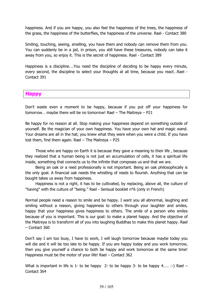happiness. And if you are happy, you also feel the happiness of the trees, the happiness of the grass, the happiness of the butterflies, the happiness of the universe. Rael - Contact 380

Smiling, touching, seeing, smelling, you have them and nobody can remove them from you. You can suddenly be in a jail, in prison, you still have these treasures, nobody can take it away from you, so enjoy it. This is the secret of happiness. Rael - Contact 389

Happiness is a discipline….You need the discipline of deciding to be happy every minute, every second, the discipline to select your thoughts at all time, because you react…Rael - Contact 391

# **Happy**

Don"t waste even a moment to be happy, because if you put off your happiness for tomorrow… maybe there will be no tomorrow! Rael – The Maitreya – P21

Be happy for no reason at all. Stop making your happiness depend on something outside of yourself. Be the magician of your own happiness. You have your own hat and magic wand. Your dreams are all in the hat; you knew what they were when you were a child. If you have lost them, find them again. Rael – The Maitreya – P25

Those who are happy on Earth it is because they gave a meaning to their life , because they realized that a human being is not just an accumulation of cells, it has a spiritual life inside, something that connects us to the infinite that composes us and that we are.

 Being an oak or a reed professionally is not important. Being an oak philosophically is the only goal. A financial oak needs the whistling of reeds to flourish. Anything that can be bought takes us away from happiness.

Happiness is not a right, it has to be cultivated, by replacing, above all, the culture of "having" with the culture of "being." Rael - Sensual booklet n°6 (only in French)

Normal people need a reason to smile and be happy. I want you all abnormal, laughing and smiling without a reason, giving happiness to others through your laughter and smiles, happy that your happiness gives happiness to others. The smile of a person who smiles because of you is important. This is our goal: to make a planet happy. And the objective of the Maitreya is to transform all of you into laughing Buddhas to make this planet happy. Rael – Contact 360

Don"t say I am too busy, I have to work, I will laugh tomorrow because maybe today you will die and it will be too late to be happy. If you are happy today and you work tomorrow, then you give yourself a chance to both be happy and work tomorrow at the same time! Happiness must be the motor of your life! Rael – Contact 362

What is important in life is 1- to be happy 2- to be happy 3- to be happy 4..... :-) Rael – Contact 364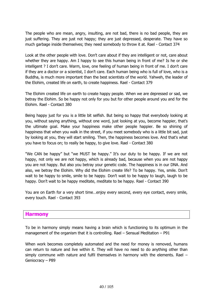The people who are mean, angry, insulting, are not bad, there is no bad people, they are just suffering. They are just not happy; they are just depressed, desperate. They have so much garbage inside themselves; they need somebody to throw it at. Rael - Contact 374

Look at the other people with love. Don't care about if they are intelligent or not, care about whether they are happy. Am I happy to see this human being in front of me? Is he or she intelligent ? I don't care. Warm, love, one feeling of human being in front of me. I don't care if they are a doctor or a scientist, I don"t care. Each human being who is full of love, who is a Buddha, is much more important than the best scientists of the world. Yahweh, the leader of the Elohim, created life on earth, to create happiness. Rael - Contact 379

The Elohim created life on earth to create happy people. When we are depressed or sad, we betray the Elohim. So be happy not only for you but for other people around you and for the Elohim. Rael - Contact 380

Being happy just for you is a little bit selfish. But being so happy that everybody looking at you, without saying anything, without one word, just looking at you, become happier, that"s the ultimate goal. Make your happiness make other people happier. Be so shining of happiness that when you walk in the street, if you meet somebody who is a little bit sad, just by looking at you, they will start smiling. Then, the happiness becomes love. And that's what you have to focus on; to really be happy, to give love. Rael - Contact 380

"We CAN be happy" but "we MUST be happy." It's our duty to be happy. If we are not happy, not only we are not happy, which is already bad, because when you are not happy you are not happy. But also you betray your genetic code. The happiness is in our DNA. And also, we betray the Elohim. Why did the Elohim create life? To be happy. Yes, smile. Don"t wait to be happy to smile, smile to be happy. Don't wait to be happy to laugh, laugh to be happy. Don"t wait to be happy meditate, meditate to be happy. Rael - Contact 390

You are on Earth for a very short time…enjoy every second, every eye contact, every smile, every touch. Rael - Contact 393

# **Harmony**

To be in harmony simply means having a brain which is functioning to its optimum in the management of the organism that it is controlling. Rael – Sensual Meditation – P91

When work becomes completely automated and the need for money is removed, humans can return to nature and live within it. They will have no need to do anything other than simply commune with nature and fulfil themselves in harmony with the elements. Rael – Geniocracy – P89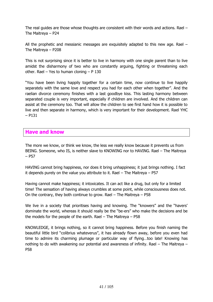The real guides are those whose thoughts are consistent with their words and actions. Rael – The Maitreya – P24

All the prophetic and messianic messages are exquisitely adapted to this new age. Rael – The Maitreya – P208

This is not surprising since it is better to live in harmony with one single parent than to live amidst the disharmony of two who are constantly arguing, fighting or threatening each other. Rael – Yes to human cloning –  $P$  130

"You have been living happily together for a certain time, now continue to live happily separately with the same love and respect you had for each other when together". And the raelian divorce ceremony finishes with a last goodbye kiss. This lasting harmony between separated couple is very important, especially if children are involved. And the children can assist at the ceremony too. That will allow the children to see first hand how it is possible to live and then separate in harmony, which is very important for their development. Rael YHC – P131

# **Have and know**

The more we know, or think we know, the less we really know because it prevents us from BEING. Someone, who IS, is neither slave to KNOWING nor to HAVING. Rael – The Maitreya – P57

HAVING cannot bring happiness, nor does it bring unhappiness; it just brings nothing. I fact it depends purely on the value you attribute to it. Rael – The Maitreya – P57

Having cannot make happiness; it intoxicates. It can act like a drug, but only for a limited time! The sensation of having always crumbles at some point, while consciousness does not. On the contrary, they both continue to grow. Rael – The Maitreya – P58

We live in a society that prioritises having and knowing. The "knowers" and the "havers' dominate the world, whereas it should really be the "be-ers" who make the decisions and be the models for the people of the earth. Rael – The Maitreya – P58

KNOWLEDGE, it brings nothing, so it cannot bring happiness. Before you finish naming the beautiful little bird "colibrius whateverus", it has already flown away, before you even had time to admire its charming plumage or particular way of flying…too late! Knowing has nothing to do with awakening our potential and awareness of infinity. Rael – The Maitreya – P58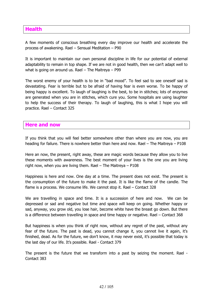#### **Health**

A few moments of conscious breathing every day improve our health and accelerate the process of awakening. Rael – Sensual Meditation – P90

It is important to maintain our own personal discipline in life for our potential of external adaptability to remain in top shape. If we are not in good health, then we can't adapt well to what is going on around us. Rael – The Maitreya – P99

The worst enemy of your health is to be in "bad mood". To feel sad to see oneself sad is devastating. Fear is terrible but to be afraid of having fear is even worse. To be happy of being happy is excellent. To laugh of laughing is the best, to be in stitches; lots of enzymes are generated when you are in stitches, which cure you. Some hospitals are using laughter to help the success of their therapy. To laugh of laughing, this is what I hope you will practice. Rael – Contact 325

## **Here and now**

If you think that you will feel better somewhere other than where you are now, you are heading for failure. There is nowhere better than here and now. Rael – The Maitreya – P108

Here an now, the present, right away, these are magic words because they allow you to live these moments with awareness. The best moment of your lives is the one you are living right now, when you are living them. Rael – The Maitreya – P108

Happiness is here and now. One day at a time. The present does not exist. The present is the consumption of the future to make it the past. It is like the flame of the candle. The flame is a process. We consume life. We cannot stop it. Rael – Contact 328

We are travelling in space and time. It is a succession of here and now. We can be depressed or sad and negative but time and space will keep on going. Whether happy or sad, anyway, you grow old, you lose hair, become white have the breast go down. But there is a difference between travelling in space and time happy or negative. Rael – Contact 368

But happiness is when you think of right now, without any regret of the past, without any fear of the future. The past is dead, you cannot change it, you cannot live it again, it"s finished, dead. As for the future, we don't know, it may never exist, it's possible that today is the last day of our life. It"s possible. Rael - Contact 379

The present is the future that we transform into a past by seizing the moment. Rael - Contact 383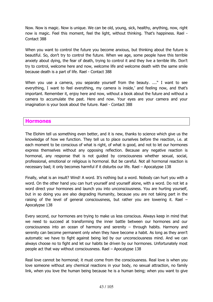Now. Now is magic. Now is unique. We can be old, young, sick, healthy, anything, now, right now is magic. Feel this moment, feel the light, without thinking. That's happiness. Rael -Contact 388

When you want to control the future you become anxious, but thinking about the future is beautiful. So, don"t try to control the future. When we age, some people have this terrible anxiety about dying, the fear of death, trying to control it and they live a terrible life. Don"t try to control, welcome here and now, welcome life and welcome death with the same smile because death is a part of life. Rael - Contact 388

When you use a camera, you separate yourself from the beauty. ...." I want to see everything, I want to feel everything, my camera is inside,' and feeling now, and that's important. Remember it, enjoy here and now, without a book about the future and without a camera to accumulate the past. Here and now. Your eyes are your camera and your imagination is your book about the future. Rael - Contact 388

## **Hormones**

The Elohim tell us something even better, and it is new, thanks to science which give us the knowledge of how we function. They tell us to place ourselves before the reaction, i.e. at each moment to be conscious of what is right, of what is good, and not to let our hormones express themselves without any opposing reflection. Because any negative reaction is hormonal, any response that is not guided by consciousness whether sexual, social, professional, emotional or religious is hormonal. But be careful. Not all hormonal reaction is necessary bad; it only becomes harmful if it disturbs our life. Rael – Apocalypse 138

Finally, what is an insult? Wind! A word. It's nothing but a word. Nobody can hurt you with a word. On the other hand you can hurt yourself and yourself alone, with a word. Do not let a word direct your hormones and launch you into unconsciousness. You are hurting yourself, but in so doing you are also degrading Humanity, because you are not taking part in the raising of the level of general consciousness, but rather you are lowering it. Rael – Apocalypse 138

Every second, our hormones are trying to make us less conscious. Always keep in mind that we need to succeed at transforming the inner battle between our hormones and our consciousness into an ocean of harmony and serenity – through habits. Harmony and serenity can become permanent only when they have become a habit. As long as they aren"t automatic we have to fight against being led by our unconsciousness mind. And we can always choose no to fight and let our habits be driven by our hormones. Unfortunately most people act that way without consciousness. Rael – Apocalypse 138

Real love cannot be hormonal; it must come from the consciousness. Real love is when you love someone without any chemical reactions in your body, no sexual attraction, no family link, when you love the human being because he is a human being; when you want to give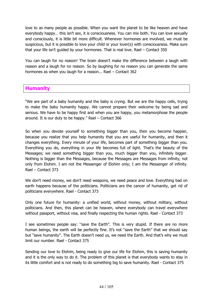love to as many people as possible. When you want the planet to be like heaven and have everybody happy... this isn't sex, it is consciousness. You can mix both. You can love sexually and consciously, it is little bit more difficult. Whenever hormones are involved, we must be suspicious, but it is possible to love your child or your lover(s) with consciousness. Make sure that your life isn"t guided by your hormones. That is real love. Rael – Contact 350

You can laugh for no reason! The brain doesn't make the difference between a laugh with reason and a laugh for no reason. So by laughing for no reason you can generate the same hormones as when you laugh for a reason... Rael – Contact 362

## **Humanity**

"We are part of a baby humanity and the baby is crying. But we are the happy cells, trying to make the baby humanity happy. We cannot prepare their welcome by being sad and serious. We have to be happy first and when you are happy, you metamorphose the people around. It is our duty to be happy." Rael – Contact 366

So when you devote yourself to something bigger than you, then you become happier, because you realize that you help humanity that you are useful for humanity, and then it changes everything. Every minute of your life, becomes part of something bigger than you. Everything you do, everything in your life becomes full of light. That"s the beauty of the Messages; we need something bigger than you, much bigger than you, infinitely bigger. Nothing is bigger than the Messages, because the Messages are Messages from infinity, not only from Elohim. I am not the Messenger of Elohim only; I am the Messenger of infinity. Rael – Contact 373

We don't need money, we don't need weapons, we need peace and love. Everything bad on earth happens because of the politicians. Politicians are the cancer of humanity, get rid of politicians everywhere. Rael - Contact 373

Only one future for humanity: a unified world, without money, without military, without politicians. And then, this planet can be heaven, where everybody can travel everywhere without passport, without visa, and finally respecting the human rights. Rael - Contact 373

I see sometimes people say: "save the Earth". This is very stupid. If there are no more human beings, the earth will be perfectly fine. It's not "save the Earth" that we should say but "save humanity". The Earth doesn't need us, we need the Earth. And that's why we must limit our number. Rael - Contact 375

Sending our love to Elohim, being ready to give our life for Elohim, this is saving humanity and it is the only way to do it. The problem of this planet is that everybody wants to stay in its little comfort and is not ready to do something big to save humanity. Rael - Contact 375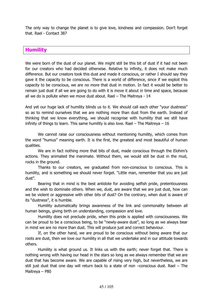The only way to change the planet is to give love, kindness and compassion. Don"t forget that. Rael - Contact 387

# **Humility**

We were born of the dust of our planet. We might still be this bit of dust if it had not been for our creators who had decided otherwise. Relative to infinity, it does not make much difference. But our creators took this dust and made it conscious, or rather I should say they gave it the capacity to be conscious. There is a world of difference, since if we exploit this capacity to be conscious, we are no more that dust in motion. In fact it would be better to remain just dust if all we are going to do with it is move it about in time and space, because all we do is pollute when we move dust about. Rael – The Maitreya - 14

And yet our huge lack of humility blinds us to it. We should call each other "your dustness" so as to remind ourselves that we are nothing more than dust from the earth. Instead of thinking that we know everything, we should recognise with humility that we still have infinity of things to learn. This same humility is also love. Rael  $-$  The Maitreya  $-16$ 

We cannot raise our consciousness without mentioning humility, which comes from the word "humus" meaning earth. It is the first, the greatest and most beautiful of human qualities.

We are in fact nothing more that bits of dust, made conscious through the Elohim's actions. They animated the inanimate. Without them, we would still be dust in the mud, rocks in the ground.

Thanks to our creators, we graduated from non-conscious to conscious. This is humility, and is something we should never forget. "Little man, remember that you are just dust".

Bearing that in mind is the best antidote for avoiding selfish pride, pretentiousness and the wish to dominate others. When we, dust, are aware that we are just dust, how can we be violent or aggressive with other bits of dust? On the contrary, when dust is aware of its "dustness", it is humble.

Humility automatically brings awareness of the link and commonality between all human beings, giving birth on understanding, compassion and love.

Humility does not preclude pride, when this pride is applied with consciousness. We can be proud to be a conscious being, to be "newly-aware dust", so long as we always bear in mind we are no more than dust. This will produce just and correct behaviour.

If, on the other hand, we are proud to be conscious without being aware that our roots are dust, then we love our humility in all that we undertake and in our attitude towards others.

Humility is what ground us. It links us with the earth; never forget that. There is nothing wrong with having our head in the stars so long as we always remember that we are dust that has become aware. We are capable of rising very high, but nevertheless, we are still just dust that one day will return back to a state of non –conscious dust. Rael – The Maitreya – P80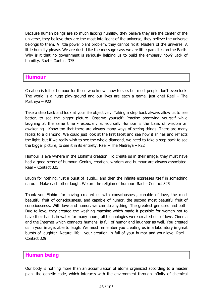Because human beings are so much lacking humility, they believe they are the center of the universe, they believe they are the most intelligent of the universe, they believe the universe belongs to them. A little power plant problem, they cannot fix it. Masters of the universe! A little humility please. We are dust. Like the message says we are little parasites on the Earth. Why is it that no government is seriously helping us to build the embassy now? Lack of humility. Rael – Contact 375

## **Humour**

Creation is full of humour for those who knows how to see, but most people don"t even look. The world is a huge play-ground and our lives are each a game, just one! Rael – The Maitreya – P22

Take a step back and look at your life objectively. Taking a step back always allow us to see better, to see the bigger picture. Observe yourself; Practise observing yourself while laughing at the same time - especially at yourself. Humour is the basis of wisdom an awakening. Know too that there are always many ways of seeing things. There are many facets to a diamond. We could just look at the first facet and see how it shines and reflects the light, but if we really wish to see the whole diamond, we need to take a step back to see the bigger picture, to see it in its entirety. Rael – The Maitreya – P22

Humour is everywhere in the Elohim"s creation. To create us in their image, they must have had a good sense of humour. Genius, creation, wisdom and humour are always associated. Rael – Contact 325

Laugh for nothing, just a burst of laugh… and then the infinite expresses itself in something natural. Make each other laugh. We are the religion of humour. Rael – Contact 325

Thank you Elohim for having created us with consciousness, capable of love, the most beautiful fruit of consciousness, and capable of humor, the second most beautiful fruit of consciousness. With love and humor, we can do anything. The greatest geniuses had both. Due to love, they created the washing machine which made it possible for women not to have their hands in water for many hours; all technologies were created out of love. Cinema and the Internet which connects humans, is full of humor and laughter as well. You created us in your image, able to laugh. We must remember you creating us in a laboratory in great bursts of laughter. Nature, life - your creation, is full of your humor and your love. Rael – Contact 329

# **Human being**

Our body is nothing more than an accumulation of atoms organized according to a master plan, the genetic code, which interacts with the environment through infinity of chemical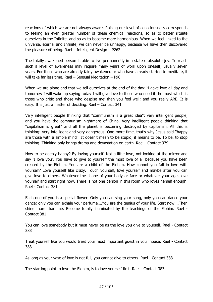reactions of which we are not always aware. Raising our level of consciousness corresponds to feeling an even greater number of these chemical reactions, so as to better situate ourselves in the Infinite, and so as to become more harmonious. When we feel linked to the universe, eternal and Infinite, we can never be unhappy, because we have then discovered the pleasure of being. Rael – Intelligent Design – P262

The totally awakened person is able to live permanently in a state o absolute joy. To reach such a level of awareness may require many years of work upon oneself, usually seven years. For those who are already fairly awakened or who have already started to meditate, it will take far less time. Rael – Sensual Meditation – P96

When we are alone and that we tell ourselves at the end of the day: "I gave love all day and tomorrow I will wake up saying today I will give love to those who need it the most which is those who critic and those who despise me" then you feel well; and you really ARE. It is easy. It is just a matter of deciding. Rael – Contact 341

Very intelligent people thinking that "communism is a great idea"; very intelligent people, and you have the communism nightmare of China. Very intelligent people thinking that ""capitalism is great"" and all the planet is becoming destroyed by capitalism. All this is thinking: very intelligent and very dangerous. One more time, that"s why Jesus said ""happy are those with a simple mind". It doesn't mean to be stupid, it means to be. To be, to stop thinking. Thinking only brings drama and devastation on earth. Rael - Contact 379

How to be deeply happy? By loving yourself. Not a little love, not looking at the mirror and say 'I love you'. You have to give to yourself the most love of all because you have been created by the Elohim. You are a child of the Elohim. How cannot you fall in love with yourself? Love yourself like crazy. Touch yourself, love yourself and maybe after you can give love to others. Whatever the shape of your body or face or whatever your age, love yourself and start right now. There is not one person in this room who loves herself enough. Rael - Contact 381

Each one of you is a special flower. Only you can sing your song, only you can dance your dance; only you can exhale your perfume….You are the genius of your life. Start now….Then shine more than me. Become totally illuminated by the teachings of the Elohim. Rael - Contact 381

You can love somebody but it must never be as the love you give to yourself. Rael - Contact 383

Treat yourself like you would treat your most important guest in your house. Rael - Contact 383

As long as your vase of love is not full, you cannot give to others. Rael - Contact 383

The starting point to love the Elohim, is to love yourself first. Rael - Contact 383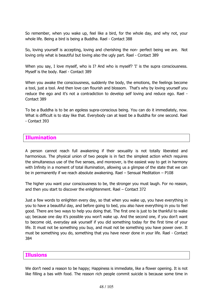So remember, when you wake up, feel like a bird, for the whole day, and why not, your whole life. Being a bird is being a Buddha. Rael - Contact 388

So, loving yourself is accepting, loving and cherishing the non- perfect being we are. Not loving only what is beautiful but loving also the ugly part. Rael - Contact 389

When you say, I love myself, who is I? And who is myself? 'I' is the supra consciousness. Myself is the body. Rael - Contact 389

When you awake the consciousness, suddenly the body, the emotions, the feelings become a tool, just a tool. And then love can flourish and blossom. That's why by loving yourself you reduce the ego and it's not a contradiction to develop self loving and reduce ego. Rael - Contact 389

To be a Buddha is to be an egoless supra-conscious being. You can do it immediately, now. What is difficult is to stay like that. Everybody can at least be a Buddha for one second. Rael - Contact 393

# **Illumination**

A person cannot reach full awakening if their sexuality is not totally liberated and harmonious. The physical union of two people is in fact the simplest action which requires the simultaneous use of the five senses, and moreover, is the easiest way to get in harmony with Infinity in a moment of total illumination, allowing us a glimpse of the state that we can be in permanently if we reach absolute awakening. Rael – Sensual Meditation – P108

The higher you want your consciousness to be, the stronger you must laugh. For no reason, and then you start to discover the enlightenment. Rael – Contact 372

Just a few words to enlighten every day, so that when you wake up, you have everything in you to have a beautiful day, and before going to bed, you also have everything in you to feel good. There are two ways to help you doing that. The first one is just to be thankful to wake up; because one day it's possible you won't wake up. And the second one, if you don't want to become old, everyday ask yourself if you did something today for the first time of your life. It must not be something you buy, and must not be something you have power over. It must be something you do, something that you have never done in your life. Rael - Contact 384

## **Illusions**

We don't need a reason to be happy; Happiness is immediate, like a flower opening. It is not like filling a bas with food. The reason rich people commit suicide is because some time in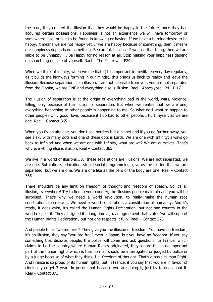the past, they created the illusion that they would be happy in the future, once they had acquired certain possessions. Happiness is not an experience we will have tomorrow or somewhere else, or is it to be found in knowing or having. If we have a burning desire to be happy, it means we are not happy yet. If we are happy because of something, then it means our happiness depends on something. Be careful, because if we lose that thing, then we are liable to be unhappy….. Be Happy for no reason at all. Stop making your happiness depend on something outside of yourself. Rael – The Maitreya – P24

When we think of infinity, when we meditate (it is important to meditate every day regularly, as it builds the highways forming in our minds), this brings us back to reality and leave the illusion. Because separation is an illusion. I am not separate from you, you are not separated from the Elohim, we are ONE and everything else is illusion. Rael - Apocalypse 124 - P 17

The illusion of separation is at the origin of everything bad in the world, wars, violence, killing, only because of the illusion of separation. But when we realize that we are one, everything happening to other people is happening to me. So what do I want to happen to other people? Only good, love, because if I do bad to other people, I hurt myself, as we are one. Rael – Contact 365

When you fly an airplane, you don't see borders but a planet and if you go further away, you see a sky with many dots and one of these dots is Earth. We are one with Infinity; always go back to Infinity! And when we are one with Infinity, what are we? We are ourselves. That"s why everything else is illusion. Rael – Contact 365

We live in a world of illusions… All these separations are illusions. We are not separated, we are one. But culture, education, stupid social programming, give us the illusion that we are separated, but we are one. We are one like all the cells of the body are one. Rael – Contact 365

There shouldn't be any limit on freedom of thought and freedom of speech. So it's all illusion, everywhere! Try to find in your country, the illusions people maintain and you will be surprised. That's why we need a world revolution, to really make the human race constitution, to create it. We need a world constitution, a constitution of humanity. And it"s ready, it does exist, it"s called the Human Rights Declaration, but not one country in the world respect it. They all signed it a long time ago, an agreement that states 'we will support the Human Rights Declaration', but not one respects it fully. Rael - Contact 373

And people think "we are free"! They give you the illusion of freedom. You have no freedom, it's an illusion, they say "you are free" even in Japan, but you have no freedom. If you say something that disturbs people, the police will come and ask questions. In France, which claims to be the country where Human Rights originated, they ignore the most important part of the human rights which is that no man should be interrogated or judged by police or by a judge because of what they think, I.e. freedom of thought. That"s a basic Human Right. And France is so proud of its human rights, but in France, if you say that you are in favour of cloning, you get 3 years in prison; not because you are doing it, just by talking about it! Rael – Contact 373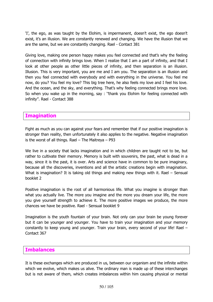"I", the ego, as was taught by the Elohim, is impermanent, doesn"t exist, the ego doesn"t exist, it's an illusion. We are constantly renewed and changing. We have the illusion that we are the same, but we are constantly changing. Rael - Contact 381

Giving love, making one person happy makes you feel connected and that's why the feeling of connection with infinity brings love. When I realize that I am a part of infinity, and that I look at other people as other little pieces of infinity, and then separation is an illusion. Illusion. This is very important, you are me and I am you. The separation is an illusion and then you feel connected with everybody and with everything in the universe. You feel me now, do you? You feel my love? This big tree here, he also feels my love and I feel his love. And the ocean, and the sky, and everything. That's why feeling connected brings more love. So when you wake up in the morning, say : "thank you Elohim for feeling connected with infinity". Rael - Contact 388

# **Imagination**

Fight as much as you can against your fears and remember that if our positive imagination is stronger than reality, then unfortunately it also applies to the negative. Negative imagination is the worst of all things. Rael  $-$  The Maitreya  $-$  P93

We live in a society that lacks imagination and in which children are taught not to be, but rather to cultivate their memory. Memory is built with souvenirs, the past, what is dead in a way, since it is the past, it is over. Arts and science have in common to be pure imaginary, because all the discoveries, inventions and all the artistic creations begin with imagination. What is imagination? It is taking old things and making new things with it. Rael – Sensual booklet 2

Positive imagination is the root of all harmonious life. What you imagine is stronger than what you actually live. The more you imagine and the more you dream your life, the more you give yourself strength to achieve it. The more positive images we produce, the more chances we have be positive. Rael - Sensual booklet 9

Imagination is the youth fountain of your brain. Not only can your brain be young forever but it can be younger and younger. You have to train your imagination and your memory constantly to keep young and younger. Train your brain, every second of your life! Rael – Contact 367

# **Imbalances**

It is these exchanges which are produced in us, between our organism and the infinite within which we evolve, which makes us alive. The ordinary man is made up of these interchanges but is not aware of them, which creates imbalances within him causing physical or mental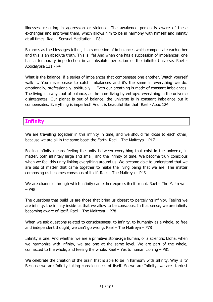illnesses, resulting in aggression or violence. The awakened person is aware of these exchanges and improves them, which allows him to be in harmony with himself and infinity at all times. Rael – Sensual Meditation – P84

Balance, as the Messages tell us, is a succession of imbalances which compensate each other and this is an absolute truth. This is life! And when one has a succession of imbalances, one has a temporary imperfection in an absolute perfection of the infinite Universe. Rael -Apocalypse 131 - P4

What is the balance, if a series of imbalances that compensate one another. Watch yourself walk ... You never cease to catch imbalances and it's the same in everything we do: emotionally, professionally, spiritually.... Even our breathing is made of constant imbalances. The living is always out of balance, as the non- living by entropy: everything in the universe disintegrates. Our planet is out of balance, the universe is in constant imbalance but it compensates. Everything is imperfect! And it is beautiful like that! Rael - Apoc 124

# **Infinity**

We are travelling together in this infinity in time, and we should fell close to each other, because we are all in the same boat: the Earth. Rael – The Maitreya – P17

Feeling infinity means feeling the unity between everything that exist in the universe, in matter, both infinitely large and small, and the infinity of time. We become truly conscious when we feel this unity linking everything around us. We become able to understand that we are bits of matter that came together to make the living being that we are. The matter composing us becomes conscious of itself. Rael – The Maitreya – P43

We are channels through which infinity can either express itself or not. Rael – The Maitreya – P49

The questions that build us are those that bring us closest to perceiving infinity. Feeling we are infinity, the infinity inside us that we allow to be conscious. In that sense, we are infinity becoming aware of itself. Rael – The Maitreya – P78

When we ask questions related to consciousness, to infinity, to humanity as a whole, to free and independent thought, we can't go wrong. Rael  $-$  The Maitreya  $-$  P78

Infinity is one. And whether we are a primitive stone-age human, or a scientific Eloha, when we harmonize with infinity, we are one at the same level. We are part of the whole, connected to the whole, and feeling the whole. Rael – Yes to human cloning – P81

We celebrate the creation of the brain that is able to be in harmony with Infinity. Why is it? Because we are Infinity taking consciousness of itself. So we are Infinity, we are stardust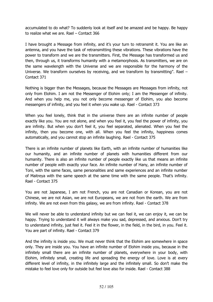accumulated to do what? To suddenly look at itself and be amazed and be happy. Be happy to realize what we are. Rael – Contact 366

I have brought a Message from infinity, and it's your turn to retransmit it. You are like an antenna, and you have the task of retransmitting these vibrations. These vibrations have the power to transform and we are the transmitters. First, the Message has transformed us and then, through us, it transforms humanity with a metamorphosis. As transmitters, we are on the same wavelength with the Universe and we are responsible for the harmony of the Universe. We transform ourselves by receiving, and we transform by transmitting". Rael – Contact 371

Nothing is bigger than the Messages, because the Messages are Messages from infinity, not only from Elohim. I am not the Messenger of Elohim only; I am the Messenger of infinity. And when you help me, you not only become messenger of Elohim, you also become messengers of infinity, and you feel it when you wake up. Rael - Contact 373

When you feel lonely, think that in the universe there are an infinite number of people exactly like you. You are not alone, and when you feel it, you feel the power of infinity, you are infinity. But when you don"t feel it, you feel separated, alienated. When you feel the infinity, then you become one, with all. When you feel the infinity, happiness comes automatically, and you cannot stop an infinite laughing. Rael - Contact 375

There is an infinite number of planets like Earth, with an infinite number of humanities like our humanity, and an infinite number of planets with humanities different from our humanity. There is also an infinite number of people exactly like us that means an infinite number of people with exactly your face. An infinite number of Hany, an infinite number of Toni, with the same faces, same personalities and same experiences and an infinite number of Maitreya with the same speech at the same time with the same people. That's infinity. Rael - Contact 375

You are not Japanese, I am not French, you are not Canadian or Korean, you are not Chinese, we are not Asian, we are not Europeans, we are not from the earth. We are from infinity. We are not even from this galaxy, we are from infinity. Rael - Contact 378

We will never be able to understand infinity but we can feel it, we can enjoy it, we can be happy. Trying to understand it will always make you sad, depressed, and anxious. Don't try to understand infinity, just feel it. Feel it in the flower, in the field, in the bird, in you. Feel it. You are part of infinity. Rael - Contact 379

And the infinity is inside you. We must never think that the Elohim are somewhere in space only. They are inside you. You have an infinite number of Elohim inside you, because in the infinitely small there are an infinite number of planets, everywhere in your body, with Elohim, infinitely small, creating life and spreading the energy of love. Love is at every different level of infinity, in the infinitely large and the infinitely small. So don't make the mistake to feel love only for outside but feel love also for inside. Rael - Contact 388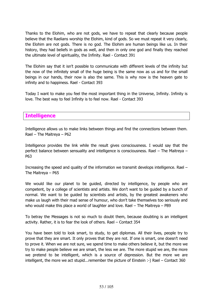Thanks to the Elohim, who are not gods, we have to repeat that clearly because people believe that the Raelians worship the Elohim, kind of gods. So we must repeat it very clearly, the Elohim are not gods. There is no god. The Elohim are human beings like us. In their history, they had beliefs in gods as well, and then in only one god and finally they reached the ultimate level of spirituality, the Infinity. Rael - Contact 391

The Elohim say that it isn't possible to communicate with different levels of the infinity but the now of the infinitely small of the huge being is the same now as us and for the small beings in our hands, their now is also the same. This is why now is the heaven gate to infinity and to happiness. Rael - Contact 393

Today I want to make you feel the most important thing in the Universe, Infinity. Infinity is love. The best way to feel Infinity is to feel now. Rael - Contact 393

# **Intelligence**

Intelligence allows us to make links between things and find the connections between them. Rael – The Maitreya – P62

Intelligence provides the link while the result gives consciousness. I would say that the perfect balance between sensuality and intelligence is consciousness. Rael – The Maitreya – P63

Increasing the speed and quality of the information we transmit develops intelligence. Rael – The Maitreya – P65

We would like our planet to be guided, directed by intelligence, by people who are competent, by a college of scientists and artists. We don"t want to be guided by a bunch of normal. We want to be guided by scientists and artists, by the greatest awakeners who make us laugh with their mad sense of humour, who don"t take themselves too seriously and who would make this place a world of laughter and love. Rael – The Maitreya – P89

To betray the Messages is not so much to doubt them, because doubting is an intelligent activity. Rather, it is to fear the look of others. Rael – Contact 354

You have been told to look smart, to study, to get diplomas. All their lives, people try to prove that they are smart. It only proves that they are not. If one is smart, one doesn"t need to prove it. When we are not sure, we spend time to make others believe it, but the more we try to make people believe we are smart, the less we are. The more stupid we are, the more we pretend to be intelligent, which is a source of depression. But the more we are intelligent, the more we act stupid...remember the picture of Einstein :-) Rael – Contact 360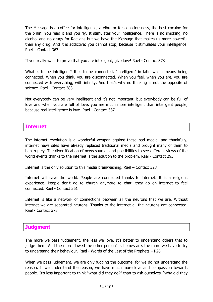The Message is a coffee for intelligence, a vibrator for consciousness, the best cocaine for the brain! You read it and you fly. It stimulates your intelligence. There is no smoking, no alcohol and no drugs for Raelians but we have the Message that makes us more powerful than any drug. And it is addictive; you cannot stop, because it stimulates your intelligence. Rael – Contact 363

If you really want to prove that you are intelligent, give love! Rael - Contact 378

What is to be intelligent? It is to be connected, "intelligere" in latin which means being connected. When you think, you are disconnected. When you feel, when you are, you are connected with everything, with infinity. And that's why no thinking is not the opposite of science. Rael - Contact 383

Not everybody can be very intelligent and it's not important, but everybody can be full of love and when you are full of love, you are much more intelligent than intelligent people, because real intelligence is love. Rael - Contact 387

# **Internet**

The internet revolution is a wonderful weapon against these bad media, and thankfully, internet news sites have already replaced traditional media and brought many of them to bankruptcy. The diversification of news sources and possibilities to see different views of the world events thanks to the internet is the solution to the problem. Rael - Contact 293

Internet is the only solution to this media brainwashing. Rael – Contact 328

Internet will save the world. People are connected thanks to internet. It is a religious experience. People don"t go to church anymore to chat; they go on internet to feel connected. Rael - Contact 361

Internet is like a network of connections between all the neurons that we are. Without internet we are separated neurons. Thanks to the internet all the neurons are connected. Rael - Contact 373

# **Judgment**

The more we pass judgement, the less we love. It's better to understand others that to judge them. And the more flawed the other person's schemes are, the more we have to try to understand their behaviour. Rael - Words of the Last of the Prophets – P26

When we pass judgement, we are only judging the outcome, for we do not understand the reason. If we understand the reason, we have much more love and compassion towards people. It's less important to think "what did they do?" than to ask ourselves, "why did they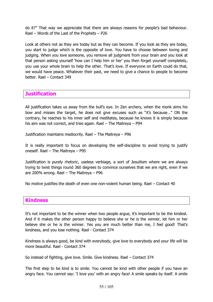do it?" That way we appreciate that there are always reasons for people"s bad behaviour. Rael – Words of the Last of the Prophets – P26

Look at others not as they are today but as they can become. If you look as they are today, you start to judge which is the opposite of love. You have to choose between loving and judging. When you love someone, you remove all judgment from your brain and you look at that person asking yourself "how can I help him or her" you then forget yourself completely, you use your whole brain to help the other. That's love. If everyone on Earth could do that, we would have peace. Whatever their past, we need to give a chance to people to become better. Rael – Contact 349

**Justification** 

All justification takes us away from the bull"s eye. In Zen archery, when the monk aims his bow and misses the target, he does not give excuses such as "it"s because…" ON the contrary, he reaches to his inner self and meditates, because he knows it is simply because his aim was not correct, and tries again. Rael – The Maitreya – P94

Justification maintains mediocrity. Rael – The Maitreya – P96

It is really important to focus on developing the self-discipline to avoid trying to justify oneself. Rael – The Maitreya – P95

Justification is purely rhetoric, useless verbiage, a sort of Jesuitism where we are always trying to twist things round 360 degrees to convince ourselves that we are right, even if we are 200% wrong. Rael – The Maitreya – P96

No motive justifies the death of even one non-violent human being. Rael – Contact 40

#### **Kindness**

It's not important to be the winner when two people argue, it's important to be the kindest. And if it makes the other person happy to believe she or he is the winner, let him or her believe she or he is the winner. Yes you are much better than me, I feel good! That's kindness, and you lose nothing. Rael - Contact 374

Kindness is always good, be kind with everybody, give love to everybody and your life will be more beautiful. Rael - Contact 374

So instead of fighting, give love. Smile. Give kindness. Rael – Contact 374

The first step to be kind is to smile. You cannot be kind with other people if you have an angry face. You cannot say: 'I love you' with an angry face! A smile speaks by itself. A smile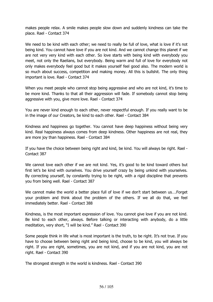makes people relax. A smile makes people slow down and suddenly kindness can take the place. Rael - Contact 374

We need to be kind with each other; we need to really be full of love, what is love if it's not being kind. You cannot have love if you are not kind. And we cannot change this planet if we are not very very kind with each other. So love starts with being kind with everybody you meet, not only the Raelians, but everybody. Being warm and full of love for everybody not only makes everybody feel good but it makes yourself feel good also. The modern world is so much about success, competition and making money. All this is bullshit. The only thing important is love. Rael - Contact 374

When you meet people who cannot stop being aggressive and who are not kind, it's time to be more kind. Thanks to that all their aggression will fade. If somebody cannot stop being aggressive with you, give more love. Rael - Contact 374

You are never kind enough to each other, never respectful enough. If you really want to be in the image of our Creators, be kind to each other. Rael - Contact 384

Kindness and happiness go together. You cannot have deep happiness without being very kind. Real happiness always comes from deep kindness. Other happiness are not real, they are more joy than happiness. Rael - Contact 384

If you have the choice between being right and kind, be kind. You will always be right. Rael - Contact 387

We cannot love each other if we are not kind. Yes, it's good to be kind toward others but first let's be kind with ourselves. You drive yourself crazy by being unkind with yourselves. By correcting yourself, by constantly trying to be right, with a rigid discipline that prevents you from being well. Rael - Contact 387

We cannot make the world a better place full of love if we don't start between us....Forget your problem and think about the problem of the others. If we all do that, we feel immediately better. Rael - Contact 388

Kindness, is the most important expression of love. You cannot give love if you are not kind. Be kind to each other, always. Before talking or interacting with anybody, do a little meditation, very short, "I will be kind." Rael - Contact 390

Some people think in life what is most important is the truth, to be right. It's not true. If you have to choose between being right and being kind, choose to be kind, you will always be right. If you are right, sometimes, you are not kind, and if you are not kind, you are not right. Rael - Contact 390

The strongest strength in the world is kindness. Rael - Contact 390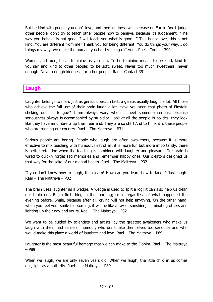But be kind with people you don't love, and then kindness will increase on Earth. Don't judge other people, don't try to teach other people how to behave, because it's judgement, "The way you behave is not good, I will teach you what is good..." This is not love, this is not kind. You are different from me? Thank you for being different. You do things your way, I do things my way, we make the humanity richer by being different. Rael - Contact 390

Women and men, be as feminine as you can. To be feminine means to be kind, kind to yourself and kind to other people; to be soft, sweet. Never too much sweetness, never enough. Never enough kindness for other people. Rael - Contact 391

## **Laugh**

Laughter belongs to man, just as genius does; In fact, a genius usually laughs a lot. All those who achieve the full use of their brain laugh a lot. Have you seen that photo of Einstein sticking out his tongue? I am always wary when I meet someone serious, because seriousness always is accompanied by stupidity. Look at all the people in politics; they look like they have an umbrella up their rear end. They are so stiff! And to think it is these people who are running our country. Rael – The Maitreya – P31

Serious people are boring. People who laugh are often awakeners, because it is more effective to mix teaching with humour. First of all, it is more fun but more importantly, there is better retention when the teaching is combined with laughter and pleasure. Our brain is wired to quickly forget sad memories and remember happy ones. Our creators designed us that way for the sake of our mental health. Rael – The Maitreya – P32

If you don't know how to laugh, then learn! How can you learn how to laugh? Just laugh! Rael – The Maitreya – P32

The brain uses laughter as a wedge. A wedge is used to split a log; it can also help us clean our brain out. Begin first thing in the morning; smile regardless of what happened the evening before. Smile, because after all, crying will not help anything. On the other hand, when you feel your smile blossoming, it will be like a ray of sunshine, illuminating others and lighting up their day and yours. Rael – The Maitreya – P32

We want to be guided by scientists and artists, by the greatest awakeners who make us laugh with their mad sense of humour, who don't take themselves too seriously and who would make this place a world of laughter and love. Rael – The Maitreya – P89

Laughter is the most beautiful homage that we can make to the Elohim. Rael – The Maitreya – P89

When we laugh, we are only seven years old. When we laugh, the little child in us comes out, light as a butterfly. Rael – Le Maitreya – P89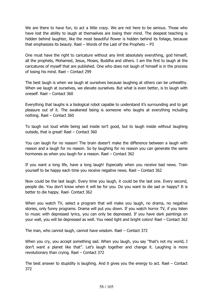We are there to have fun, to act a little crazy. We are not here to be serious. Those who have lost the ability to laugh at themselves are losing their mind. The deepest teaching is hidden behind laughter, like the most beautiful flower is hidden behind its foliage, because that emphasizes its beauty. Rael – Words of the Last of the Prophets – P3

One must have the right to caricature without any limit absolutely everything, god himself, all the prophets, Mohamed, Jesus, Moses, Buddha and others. I am the first to laugh at the caricatures of myself that are published. One who does not laugh of himself is in the process of losing his mind. Rael – Contact 299

The best laugh is when we laugh at ourselves because laughing at others can be unhealthy. When we laugh at ourselves, we elevate ourselves. But what is even better, is to laugh with oneself. Rael – Contact 360

Everything that laughs is a biological robot capable to understand it"s surrounding and to get pleasure out of it. The awakened being is someone who laughs at everything including nothing. Rael – Contact 360

To laugh out loud while being sad inside isn"t good, but to laugh inside without laughing outside, that is great! Rael – Contact 360

You can laugh for no reason! The brain doesn't make the difference between a laugh with reason and a laugh for no reason. So by laughing for no reason you can generate the same hormones as when you laugh for a reason. Rael – Contact 362

If you want a long life, have a long laugh! Especially when you receive bad news. Train yourself to be happy each time you receive negative news. Rael – Contact 362

Now could be the last laugh. Every time you laugh, it could be the last one. Every second, people die. You don"t know when it will be for you. Do you want to die sad or happy? It is better to die happy. Rael- Contact 362

When you watch TV, select a program that will make you laugh, no drama, no negative stories, only funny programs. Drama will put you down. If you watch horror TV, if you listen to music with depressed lyrics, you can only be depressed. If you have dark paintings on your wall, you will be depressed as well. You need light and bright colors! Rael – Contact 362

The man, who cannot laugh, cannot have wisdom. Rael – Contact 372

When you cry, you accept something sad. When you laugh, you say "that's not my world, I don't want a planet like that". Let's laugh together and change it. Laughing is more revolutionary than crying. Rael – Contact 372

The best answer to stupidity is laughing. And it gives you the energy to act. Rael – Contact 372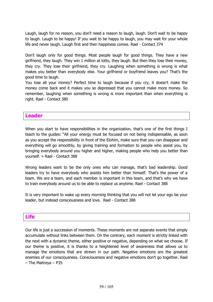Laugh, laugh for no reason, you don't need a reason to laugh, laugh. Don't wait to be happy to laugh. Laugh to be happy! If you wait to be happy to laugh, you may wait for your whole life and never laugh. Laugh first and then happiness comes. Rael - Contact 374

Don"t laugh only for good things. Most people laugh for good things. They have a new girlfriend, they laugh. They win 1 million at lotto, they laugh. But then they lose their money, they cry. They lose their girlfriend, they cry. Laughing when something is wrong is what makes you better than everybody else. Your girlfriend or boyfriend leaves you? That's the good time to laugh.

You lose all your money? Perfect time to laugh because if you cry, it doesn't make the money come back and it makes you so depressed that you cannot make more money. So remember, laughing when something is wrong is more important than when everything is right. Rael - Contact 380

# **Leader**

When you start to have responsibilities in the organization, that's one of the first things I teach to the guides: "All your energy must be focused on not being indispensable, as soon as you accept the responsibility in front of the Elohim, make sure that you can disappear and everything will go smoothly, by giving training and formation to people who assist you, by bringing everybody around you higher and higher, making people who help you better than yourself. » Rael - Contact 388

Wrong leaders want to be the only ones who can manage, that's bad leadership. Good leaders try to have everybody who assists him better than himself. That's the power of a team. We are a team, and each member is important in this team, and that's why we have to train everybody around us to be able to replace us anytime. Rael - Contact 388

It is very important to wake up every morning thinking that you will not let your ego be your leader, but instead consciousness and love. Rael - Contact 388

# **Life**

Our life is just a succession of moments. These moments are not separate events that simply accumulate without links between them. On the contrary, each moment is strictly linked with the next with a dynamic theme, either positive or negative, depending on what we choose. If our theme is positive, it is thanks to a heightened level of awareness that allows us to manage the emotions that are strewn in our path. Negative emotions are the greatest enemies of our consciousness. Consciousness and negative emotions don"t go together. Rael – The Maitreya – P35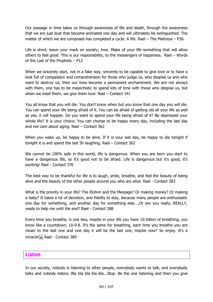Our passage in time takes us through awareness of life and death, through the awareness that we are just dust that became animated one day and will ultimately be extinguished. The matter of which we are composed has completed a cycle: A life. Rael – The Maitreya – P36

Life is short; leave your mark on society; love…Make of your life something that will allow others to feel good. This is our responsibility, to the messengers of happiness. Rael – Words of the Last of the Prophets – P12

When we sincerely start, not in a fake way, sincerely to be capable to give love or to have a look full of compassion and comprehension for those who judge us, who despise us and who want to destroy us; then our lives become a permanent enchantment. We are not always with them, one has to be masochistic to spend lots of time with those who despise us, but when we meet them, we give them love. Rael – Contact 341

You all know that you will die. You don"t know when but you know that one day you will die. You can spend your life being afraid of it. You can be afraid of getting old all your life as well as yes, it will happen. Do you want to spend your life being afraid of it? Be depressed your whole life? It is your choice. You can choose to be happy every day, including the last day and not care about aging. Rael – Contact 362

When you wake up, be happy to be alive. If it is your last day, be happy to die tonight if tonight it is and spend the last 5h laughing. Rael – Contact 362

We cannot be 100% safe in this world, life is dangerous. When you are born you start to have a dangerous life, so it's good not to be afraid. Life is dangerous but it's good, it's exciting! Rael - Contact 376

The best way to be thankful for life is to laugh, smile, breathe, and feel the beauty of being alive and the beauty of the other people around you who are alive. Rael - Contact 383

What is the priority in your life? The Elohim and the Message? Or making money? Or making a baby? It takes a lot of devotion, and fidelity to stay, because many people are enthusiastic one day for something, and another day for something else....Or are you really, REALLY, ready to help me until the end? Rael - Contact 388

Every time you breathe, is one less, maybe in your life you have 10 billion of breathing, you know like a countdown, 10-9-8. It's the same for breathing, each time you breathe you are closer to the last one and one day it will be the last one, maybe now? So enjoy. It's a miracle! Rael - Contact 389

## **Listen**

In our society, nobody is listening to other people, everybody wants to talk, and everybody talks and nobody listens. Bla bla bla bla bla...Stop. Be the one listening and then you give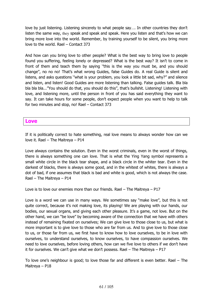love by just listening. Listening sincerely to what people say…. In other countries they don"t listen the same way, they speak and speak and speak. Here you listen and that's how we can bring more love into the world. Remember, by training yourself to be silent, you bring more love to the world. Rael – Contact 373

And how can you bring love to other people? What is the best way to bring love to people found you suffering, feeling lonely or depressed? What is the best way? It isn"t to come in front of them and teach them by saying ""this is the way you must be, and you should change"", no no no! That"s what wrong Guides, false Guides do. A real Guide is silent and listens, and asks questions "what is your problem, you look a little bit sad, why?" and silence and listen, and listen! Good Guides are more listening than talking. False guides talk. Bla bla bla bla bla..."You should do that, you should do this", that's bullshit. Listening! Listening with love, and listening more, until the person in front of you has said everything they want to say. It can take hours for some people, don"t expect people when you want to help to talk for two minutes and stop, no! Rael – Contact 373

#### **Love**

If it is politically correct to hate something, real love means to always wonder how can we love it. Rael – The Maitreya – P14

Love always contains the solution. Even in the worst criminals, even in the worst of things, there is always something one can love. That is what the Ying Yang symbol represents a small white circle in the black tear shape, and a black circle in the whiter tear. Even in the darkest of blacks, there is always some good, and in the whitest of whites, there is always a dot of bad, if one assumes that black is bad and white is good, which is not always the case. Rael – The Maitreya – P14

Love is to love our enemies more than our friends. Rael – The Maitreya – P17

Love is a word we can use in many ways. We sometimes say "make love", but this is not quite correct, because it's not making love, its playing! We are playing with our hands, our bodies, our sexual organs, and giving each other pleasure. It"s a game, not love. But on the other hand, we can "be love" by becoming aware of the connection that we have with others instead of remaining fixated on ourselves; We can give love to those close to us, but what is more important is to give love to those who are far from us. And to give love to those close to us, or those far from us, we first have to know how to love ourselves, to be in love with ourselves, to understand ourselves, to know ourselves, to have compassion ourselves. We need to love ourselves, before loving others, how can we five love to others if we don"t have it for ourselves. We can't give what we don't possess. Rael  $-$  The Maitreya  $-$  P17

To love one's neighbour is good; to love those far and different is even better. Rael  $-$  The Maitreya – P18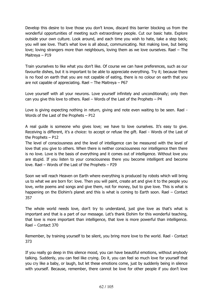Develop this desire to love those you don't know, discard this barrier blocking us from the wonderful opportunities of meeting such extraordinary people. Cut our basic hate. Explore outside your own culture. Look around, and each time you wish to hate, take a step back; you will see love. That"s what love is all about, communicating. Not making love, but being love; loving strangers more than neighbours, loving them as we love ourselves. Rael – The Maitreya – P19

Train yourselves to like what you don"t like. Of course we can have preferences, such as our favourite dishes, but it is important to be able to appreciate everything. Try it; because there is no food on earth that you are not capable of eating, there is no colour on earth that you are not capable of appreciating. Rael – The Maitreya – P67

Love yourself with all your neurons. Love yourself infinitely and unconditionally; only then can you give this love to others. Rael – Words of the Last of the Prophets – P4

Love is giving expecting nothing in return, giving and note even waiting to be seen. Rael - Words of the Last of the Prophets – P12

A real guide is someone who gives love; we have to love ourselves. It"s easy to give. Receiving is different, it's a choice: to accept or refuse the gift. Rael - Words of the Last of the Prophets – P12

The level of consciousness and the level of intelligence can be measured with the level of love that you give to others. When there is neither consciousness nor intelligence then there is no love. Love is the basis of everything and it comes out of intelligence. Without love you are stupid. If you listen to your consciousness there you become intelligent and become love. Rael – Words of the Last of the Prophets – P29

Soon we will reach Heaven on Earth where everything is produced by robots which will bring us to what we are born for: love. Then you will paint, create art and give it to the people you love, write poems and songs and give them, not for money, but to give love. This is what is happening on the Elohim's planet and this is what is coming to Earth soon. Rael – Contact 357

The whole world needs love, don't try to understand, just give love as that's what is important and that is a part of our message. Let"s thank Elohim for this wonderful teaching, that love is more important than intelligence, that love is more powerful than intelligence. Rael – Contact 370

Remember, by training yourself to be silent, you bring more love to the world. Rael - Contact 373

If you really go deep in this silence mood, you can have beautiful emotions, without anybody talking. Suddenly, you can feel like crying. Do it, you can feel so much love for yourself that you cry like a baby, or laugh, but let these emotions come, just by suddenly being in silence with yourself. Because, remember, there cannot be love for other people if you don't love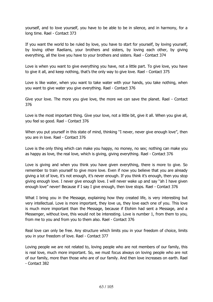yourself, and to love yourself, you have to be able to be in silence, and in harmony, for a long time. Rael - Contact 373

If you want the world to be ruled by love, you have to start for yourself, by loving yourself, by loving other Raelians, your brothers and sisters, by loving each other, by giving everything, all the love you have to your brothers and sisters. Rael - Contact 374

Love is when you want to give everything you have, not a little part. To give love, you have to give it all, and keep nothing, that"s the only way to give love. Rael - Contact 375

Love is like water, when you want to take water with your hands, you take nothing, when you want to give water you give everything. Rael - Contact 376

Give your love. The more you give love, the more we can save the planet. Rael - Contact 376

Love is the most important thing. Give your love, not a little bit, give it all. When you give all, you feel so good. Rael - Contact 376

When you put yourself in this state of mind, thinking "I never, never give enough love", then you are in love. Rael - Contact 376

Love is the only thing which can make you happy, no money, no sex; nothing can make you as happy as love, the real love, which is giving, giving everything. Rael - Contact 376

Love is giving and when you think you have given everything, there is more to give. So remember to train yourself to give more love. Even if now you believe that you are already giving a lot of love, it's not enough, it's never enough. If you think it's enough, then you stop giving enough love. I never give enough love. I will never wake up and say ""ah I have given enough love" never! Because if I say I give enough, then love stops. Rael - Contact 376

What I bring you in the Message, explaining how they created life, is very interesting but very intellectual. Love is more important, they love us, they love each one of you. This love is much more important than the Message, because if Elohim had sent a Message, and a Messenger, without love, this would not be interesting. Love is number 1, from them to you, from me to you and from you to them also. Rael - Contact 376

Real love can only be free. Any structure which limits you in your freedom of choice, limits you in your freedom of love. Rael - Contact 377

Loving people we are not related to, loving people who are not members of our family, this is real love, much more important. So, we must focus always on loving people who are not of our family, more than those who are of our family. And then love increases on earth. Rael - Contact 382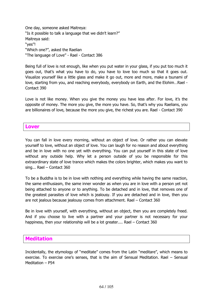One day, someone asked Maitreya: "Is it possible to talk a language that we didn"t learn?"" Maitreya said: "yes""! "Which one?", asked the Raelian "The language of Love" - Rael - Contact 386

Being full of love is not enough, like when you put water in your glass, if you put too much it goes out, that's what you have to do, you have to love too much so that it goes out. Visualize yourself like a little glass and make it go out, more and more, make a tsunami of love, starting from you, and reaching everybody, everybody on Earth, and the Elohim…Rael - Contact 390

Love is not like money. When you give the money you have less after. For love, it's the opposite of money. The more you give, the more you have. So, that"s why you Raelians, you are billionaires of love, because the more you give, the richest you are. Rael - Contact 390

#### **Lover**

You can fall in love every morning, without an object of love. Or rather you can elevate yourself to love, without an object of love. You can laugh for no reason and about everything and be in love with no one yet with everything. You can put yourself in this state of love without any outside help. Why let a person outside of you be responsible for this extraordinary state of love trance which makes the colors brighter, which makes you want to sing... Rael – Contact 360

To be a Buddha is to be in love with nothing and everything while having the same reaction, the same enthusiasm, the same inner wonder as when you are in love with a person yet not being attached to anyone or to anything. To be detached and in love, that removes one of the greatest parasites of love which is jealousy. If you are detached and in love, then you are not jealous because jealousy comes from attachment. Rael – Contact 360

Be in love with yourself, with everything, without an object, then you are completely freed. And if you choose to live with a partner and your partner is not necessary for your happiness, then your relationship will be a lot greater.... Rael – Contact 360

## **Meditation**

Incidentally, the etymology of "meditate" comes from the Latin "meditare", which means to exercise. To exercise one's senses, that is the aim of Sensual Meditation. Rael – Sensual Meditation – P54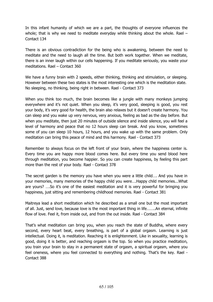In this infant humanity of which we are a part, the thoughts of everyone influences the whole; that is why we need to meditate everyday while thinking about the whole. Rael -Contact 134

There is an obvious contradiction for the being who is awakening, between the need to meditate and the need to laugh all the time. But both work together. When we meditate, there is an inner laugh within our cells happening. If you meditate seriously, you waste your meditations. Rael – Contact 360

We have a funny brain with 2 speeds, either thinking, thinking and stimulation, or sleeping. However between these two states is the most interesting one which is the meditation state. No sleeping, no thinking, being right in between. Rael - Contact 373

When you think too much, the brain becomes like a jungle with many monkeys jumping everywhere and it's not quiet. When you sleep, it's very good, sleeping is good, you rest your body, it's very good for health, the brain also relaxes but it doesn't create harmony. You can sleep and you wake up very nervous, very anxious, feeling as bad as the day before. But when you meditate, then just 20 minutes of outside silence and inside silence, you will feel a level of harmony and peace that no 12 hours sleep can break. And you know, sometimes some of you can sleep 10 hours, 12 hours, and you wake up with the same problem. Only meditation can bring this peace of mind and this harmony. Rael - Contact 373

Remember to always focus on the left front of your brain, where the happiness center is. Every time you are happy more blood comes here. But every time you send blood here through meditation, you become happier. So you can create happiness, by feeling this part more than the rest of your body. Rael - Contact 378

The secret garden is the memory you have when you were a little child…. And you have in your memories, many memories of the happy child you were….Happy child memories...What are yours? ....So it's one of the easiest meditation and it is very powerful for bringing you happiness, just sitting and remembering childhood memories. Rael - Contact 381

Maitreya lead a short meditation which he described as a small one but the most important of all. Just, send love, because love is the most important thing in life……..An eternal, infinite flow of love. Feel it, from inside out, and from the out inside. Rael - Contact 384

That"s what meditation can bring you, when you reach the state of Buddha, where every second, every heart beat, every breathing, is part of a global orgasm. Learning is just intellectual. Doing it, is meditation. Reaching it is enlightenment. Like in sexuality, learning is good, doing it is better, and reaching orgasm is the top. So when you practice meditation, you train your brain to stay in a permanent state of orgasm, a spiritual orgasm, where you feel oneness, where you feel connected to everything and nothing. That's the key. Rael -Contact 388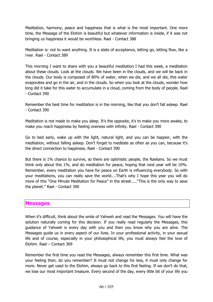Meditation, harmony, peace and happiness that is what is the most important. One more time, the Message of the Elohim is beautiful but whatever information is inside, if it was not bringing us happiness it would be worthless. Rael - Contact 388

Meditation is: not to want anything. It is a state of acceptance, letting go, letting flow, like a river. Rael - Contact 389

This morning I want to share with you a beautiful meditation I had this week, a meditation about these clouds. Look at the clouds. We have been in the clouds, and we will be back in the clouds. Our body is composed of 80% of water, when we die, and we all die, this water evaporates and go in the air, and in the clouds. So when you look at the clouds, wonder how long did it take for this water to accumulate in a cloud, coming from the body of people. Rael - Contact 390

Remember the best time for meditation is in the morning, like that you don"t fall asleep. Rael - Contact 390

Meditation is not made to make you sleep. It's the opposite, it's to make you more awake, to make you reach happiness by feeling oneness with infinity. Rael - Contact 390

Go to bed early, wake up with the light, natural light, and you can be happier, with the meditation, without falling asleep. Don't forget to meditate as often as you can, because it's the direct connection to happiness. Rael - Contact 390

But there is 1% chance to survive, so there are optimistic people, the Raelians. So we must think only about this 1%, and do meditation for peace, hoping that next year will be 10%. Remember, every meditation you have for peace on Earth is influencing everybody. So with your meditations, you can really save the world....That's why I hope this year you will do more of this "One Minute Meditation for Peace" in the street....."This is the only way to save the planet." Rael - Contact 390

## **Messages**

When it's difficult, think about the smile of Yahweh and read the Messages. You will have the solution naturally coming for this decision. If you really read regularly the Messages, this guidance of Yahweh is every day with you and then you know why you are alive. The Messages guide us in every aspect of our lives. In your professional activity, in your sexual life and of course, especially in your philosophical life, you must always feel the love of Elohim. Rael – Contact 369

Remember the first time you read the Messages, always remember this first time. What was your feeling then, do you remember? It must not change for less, it must only change for more. Never get used to the Elohim, always go back to this first feeling. If we don"t do that, we lose our most important treasure. Every second of the day, every little bit of your life you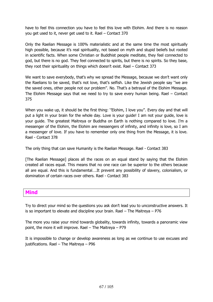have to feel this connection you have to feel this love with Elohim. And there is no reason you get used to it, never get used to it. Rael – Contact 370

Only the Raelian Message is 100% materialistic and at the same time the most spiritually high possible, because it's real spirituality, not based on myth and stupid beliefs but rooted in scientific facts. When some Christian or Buddhist people meditate, they feel connected to god, but there is no god. They feel connected to spirits, but there is no spirits. So they base, they root their spirituality on things which doesn"t exist. Rael – Contact 373

We want to save everybody, that's why we spread the Message, because we don't want only the Raelians to be saved, that's not love, that's selfish. Like the Jewish people say ''we are the saved ones, other people not our problem". No. That's a betrayal of the Elohim Message. The Elohim Message says that we need to try to save every human being. Rael – Contact 375

When you wake up, it should be the first thing: "Elohim, I love you". Every day and that will put a light in your brain for the whole day. Love is your guide! I am not your guide, love is your guide. The greatest Maitreya or Buddha on Earth is nothing compared to love. I"m a messenger of the Elohim, the Elohim are messengers of infinity, and infinity is love, so I am a messenger of love. If you have to remember only one thing from the Message, it is love. Rael - Contact 378

The only thing that can save Humanity is the Raelian Message. Rael - Contact 383

[The Raelian Message] places all the races on an equal stand by saying that the Elohim created all races equal. This means that no one race can be superior to the others because all are equal. And this is fundamental….It prevent any possibility of slavery, colonialism, or domination of certain races over others. Rael - Contact 383

## **Mind**

Try to direct your mind so the questions you ask don"t lead you to unconstructive answers. It is so important to elevate and discipline your brain. Rael – The Maitreya – P76

The more you raise your mind towards globality, towards infinity, towards a panoramic view point, the more it will improve. Rael – The Maitreya – P79

It is impossible to change or develop awareness as long as we continue to use excuses and justifications. Rael – The Maitreya – P96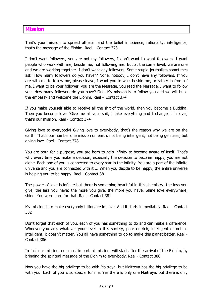#### **Mission**

That"s your mission to spread atheism and the belief in science, rationality, intelligence, that"s the message of the Elohim. Rael – Contact 373

I don"t want followers, you are not my followers, I don"t want to want followers. I want people who work with me, beside me, not following me. But at the same level, we are one and we are working together. I don"t want any followers. Some stupid journalists sometimes ask "How many followers do you have"? None, nobody, I don't have any followers. If you are with me to follow me, please leave, I want you to walk beside me, or rather in front of me. I want to be your follower, you are the Message, you read the Message, I want to follow you. How many followers do you have? One. My mission is to follow you and we will build the embassy and welcome the Elohim. Rael – Contact 374

If you make yourself able to receive all the shit of the world, then you become a Buddha. Then you become love. 'Give me all your shit, I take everything and I change it in love', that"s our mission. Rael - Contact 374

Giving love to everybody! Giving love to everybody, that"s the reason why we are on the earth. That's our number one mission on earth, not being intelligent, not being geniuses, but giving love. Rael - Contact 378

You are born for a purpose, you are born to help infinity to become aware of itself. That's why every time you make a decision, especially the decision to become happy, you are not alone. Each one of you is connected to every star in the infinity. You are a part of the infinite universe and you are connected with it.... When you decide to be happy, the entire universe is helping you to be happy. Rael - Contact 381

The power of love is infinite but there is something beautiful in this chemistry: the less you give, the less you have; the more you give, the more you have. Shine love everywhere, shine. You were born for that. Rael - Contact 381

My mission is to make everybody billionaire in Love. And it starts immediately. Rael - Contact 382

Don"t forget that each of you, each of you has something to do and can make a difference. Whoever you are, whatever your level in this society, poor or rich, intelligent or not so intelligent, it doesn"t matter. You all have something to do to make this planet better. Rael - Contact 386

In fact our mission, our most important mission, will start after the arrival of the Elohim, by bringing the spiritual message of the Elohim to everybody. Rael - Contact 388

Now you have the big privilege to be with Maitreya, but Maitreya has the big privilege to be with you. Each of you is so special for me. Yes there is only one Maitreya, but there is only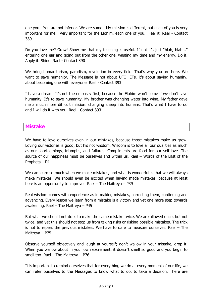one you. You are not inferior. We are same. My mission is different, but each of you is very important for me. Very important for the Elohim, each one of you. Feel it. Rael - Contact 389

Do you love me? Grow! Show me that my teaching is useful. If not it's just "blah, blah..." entering one ear and going out from the other one, wasting my time and my energy. Do it. Apply it. Shine. Rael - Contact 390

We bring humanitarism, paradism, revolution in every field. That's why you are here. We want to save humanity. The Message is not about UFO, ETs, it's about saving humanity, about becoming one with everyone. Rael - Contact 393

I have a dream. It's not the embassy first, because the Elohim won't come if we don't save humanity. It's to save humanity. My brother was changing water into wine. My father gave me a much more difficult mission: changing sheep into humans. That's what I have to do and I will do it with you. Rael - Contact 393

# **Mistake**

We have to love ourselves even in our mistakes, because those mistakes make us grow. Loving our victories is good, but his not wisdom. Wisdom is to love all our qualities as much as our shortcomings, triumphs, and failures. Compliments are food for our self-love. The source of our happiness must be ourselves and within us. Rael – Words of the Last of the Prophets – P4

We can learn so much when we make mistakes, and what is wonderful is that we will always make mistakes. We should even be excited when having made mistakes, because at least here is an opportunity to improve. Rael – The Maitreya – P39

Real wisdom comes with experience as in making mistakes, correcting them, continuing and advancing. Every lesson we learn from a mistake is a victory and yet one more step towards awakening. Rael – The Maitreya – P45

But what we should not do is to make the same mistake twice. We are allowed once, but not twice, and yet this should not stop us from taking risks or risking possible mistakes. The trick is not to repeat the previous mistakes. We have to dare to measure ourselves. Rael – The Maitreya – P75

Observe yourself objectively and laugh at yourself; don"t wallow in your mistake, drop it. When you wallow about in your own excrement, it doesn't smell so good and you begin to smell too. Rael – The Maitreya – P76

It is important to remind ourselves that for everything we do at every moment of our life, we can refer ourselves to the Messages to know what to do, to take a decision. There are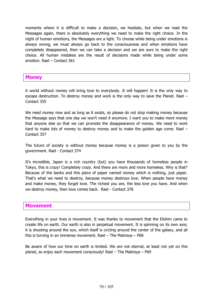moments where it is difficult to make a decision, we hesitate, but when we read the Messages again, there is absolutely everything we need to make the right choice. In the night of human emotions, the Messages are a light. To choose while being under emotions is always wrong, we must always go back to the consciousness and when emotions have completely disappeared, then we can take a decision and we are sure to make the right choice. All human mistakes are the result of decisions made while being under some emotion. Rael – Contact 361

## **Money**

A world without money will bring love to everybody. It will happen! It is the only way to escape destruction. To destroy money and work is the only way to save the Planet. Rael – Contact 355

We need money now and as long as it exists, so please do not stop making money because the Message says that one day we won"t need it anymore. I want you to make more money that anyone else so that we can promote the disappearance of money. We need to work hard to make lots of money to destroy money and to make the golden age come. Rael – Contact 357

The future of society is without money because money is a poison given to you by the government. Rael - Contact 374

It's incredible, Japan is a rich country (but) you have thousands of homeless people in Tokyo, this is crazy! Completely crazy. And there are more and more homeless. Why is that? Because of the banks and this piece of paper named money which is nothing, just paper. That's what we need to destroy, because money destroys love. When people have money and make money, they forget love. The richest you are, the less love you have. And when we destroy money, then love comes back. Rael - Contact 378

# **Movement**

Everything in your lives is movement. It was thanks to movement that the Elohim came to create life on earth. Our earth is also in perpetual movement. It is spinning on its own axis; it is shooting around the sun, which itself is circling around the center of the galaxy, and all this is turning in an immense movement. Rael – The Maitreya – P68

Be aware of how our time on earth is limited. We are not eternal, at least not yet on this planet, so enjoy each movement consciously! Rael – The Maitreya – P69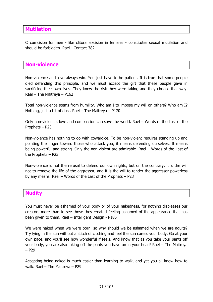## **Mutilation**

Circumcision for men - like clitoral excision in females - constitutes sexual mutilation and should be forbidden. Rael - Contact 382

## **Non-violence**

Non-violence and love always win. You just have to be patient. It is true that some people died defending this principle, and we must accept the gift that these people gave in sacrificing their own lives. They knew the risk they were taking and they choose that way. Rael – The Maitreya – P162

Total non-violence stems from humility. Who am I to impose my will on others? Who am I? Nothing, just a bit of dust. Rael – The Maitreya – P170

Only non-violence, love and compassion can save the world. Rael – Words of the Last of the Prophets – P23

Non-violence has nothing to do with cowardice. To be non-violent requires standing up and pointing the finger toward those who attack you; it means defending ourselves. It means being powerful and strong. Only the non-violent are admirable. Rael – Words of the Last of the Prophets – P23

Non-violence is not the refusal to defend our own rights, but on the contrary, it is the will not to remove the life of the aggressor, and it is the will to render the aggressor powerless by any means. Rael – Words of the Last of the Prophets – P23

## **Nudity**

You must never be ashamed of your body or of your nakedness, for nothing displeases our creators more than to see those they created feeling ashamed of the appearance that has been given to them. Rael – Intelligent Design - P186

We were naked when we were born, so why should we be ashamed when we are adults? Try lying in the sun without a stitch of clothing and feel the sun caress your body. Go at your own pace, and you"ll see how wonderful if feels. And know that as you take your pants off your body, you are also taking off the pants you have on in your head! Rael – The Maitreya – P29

Accepting being naked is much easier than learning to walk, and yet you all know how to walk. Rael – The Maitreya – P29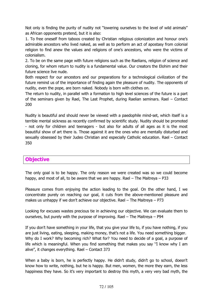Not only is finding the purity of nudity not "lowering ourselves to the level of wild animals" as African opponents pretend, but it is also:

1. To free oneself from taboos created by Christian religious colonization and honour one"s admirable ancestors who lived naked, as well as to perform an act of apostasy from colonial religion to find anew the values and religions of one"s ancestors, who were the victims of colonialism.

2. To be on the same page with future religions such as the Raelians, religion of science and cloning, for whom return to nudity is a fundamental value. Our creators the Elohim and their future science live nude.

Both respect for our ancestors and our preparations for a technological civilization of the future remind us of the importance of finding again the pleasure of nudity. The opponents of nudity, even the pope, are born naked. Nobody is born with clothes on.

The return to nudity, in parallel with a formation to high level sciences of the future is a part of the seminars given by Rael, The Last Prophet, during Raelian seminars. Rael – Contact 200

Nudity is beautiful and should never be viewed with a paedophile mind-set, which itself is a terrible mental sickness as recently confirmed by scientific study. Nudity should be promoted - not only for children and teenagers - but also for adults of all ages as it is the most beautiful show of art there is. Those against it are the ones who are mentally disturbed and sexually obsessed by their Judeo Christian and especially Catholic education. Rael – Contact 350

# **Objective**

The only goal is to be happy. The only reason we were created was so we could become happy, and most of all, to be aware that we are happy. Rael – The Maitreya – P33

Pleasure comes from enjoying the action leading to the goal. On the other hand, I we concentrate purely on reaching our goal, it cuts from the above-mentioned pleasure and makes us unhappy if we don't achieve our objective. Rael  $-$  The Maitreya  $-$  P73

Looking for excuses wastes precious tie in achieving our objective. We can evaluate them to ourselves, but purely with the purpose of improving. Rael – The Maitreya – P94

If you don"t have something in your life, that you give your life to, if you have nothing, if you are just living, eating, sleeping, making money, that's not a life. You need something bigger. Why do I work? Why becoming rich? What for? You need to decide of a goal, a purpose of life which is meaningful. When you find something that makes you say 'T know why I am alive", it changes everything. Rael  $-$  Contact 373

When a baby is born, he is perfectly happy. He didn't study, didn't go to school, doesn't know how to write, nothing, but he is happy. But men, women, the more they earn, the less happiness they have. So it's very important to destroy this myth, a very very bad myth, the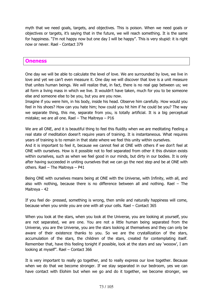myth that we need goals, targets, and objectives. This is poison. When we need goals or objectives or targets, it's saying that in the future, we will reach something. It is the same for happiness. "I'm not happy now but one day I will be happy". This is very stupid: it is right now or never. Rael - Contact 379

### **Oneness**

One day we will be able to calculate the level of love. We are surrounded by love, we live in love and yet we can't even measure it. One day we will discover that love is a unit measure that unites human beings. We will realize that, in fact, there is no real gap between us; we all form a living mass in which we live. It wouldn"t have taken, much for you to be someone else and someone else to be you, but you are you now.

Imagine if you were him, in his body, inside his head. Observe him carefully. How would you feel in his shoes? How can you hate him; how could you hit him if he could be you? The way we separate thing, this me, separate from you, is totally artificial. It is a big perceptual mistake; we are all one. Rael – The Maitreya – P16

We are all ONE, and it is beautiful thing to feel this fluidity when we are meditating Feeling a real state of meditation doesn't require years of training. It is instantaneous. What requires years of training is to remain in that state where we feel this unity within ourselves.

And it is important to feel it, because we cannot feel at ONE with others if we don"t feel at ONE with ourselves. How is it possible not to feel separated from other it this division exists within ourselves, such as when we feel good in our minds, but dirty in our bodies. It is only after having succeeded in uniting ourselves that we can go the next step and be at ONE with others. Rael – The Maitreya – P41

Being ONE with ourselves means being at ONE with the Universe, with Infinity, with all, and also with nothing, because there is no difference between all and nothing. Rael – The Maitreya - 42

If you feel de- pressed, something is wrong, then smile and naturally happiness will come, because when you smile you are one with all your cells. Rael – Contact 365

When you look at the stars, when you look at the Universe, you are looking at yourself, you are not separated, we are one. You are not a little human being separated from the Universe, you are the Universe, you are the stars looking at themselves and they can only be aware of their existence thanks to you. So we are the crystallization of the stars, accumulation of the stars, the children of the stars, created for contemplating itself. Remember that, have this feeling tonight if possible, look at the stars and say "wooow", I am looking at myself". Rael – Contact 366

It is very important to really go together, and to really express our love together. Because when we do that we become stronger. If we stay separated in our bedroom, yes we can have contact with Elohim but when we go and do it together, we become stronger, we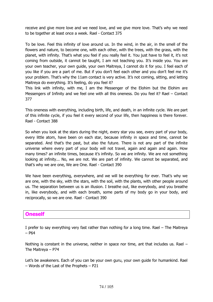receive and give more love and we need love, and we give more love. That"s why we need to be together at least once a week. Rael - Contact 375

To be love. Feel this infinity of love around us. In the wind, in the air, in the smell of the flowers and nature, to become one, with each other, with the trees, with the grass, with the planet, with infinity. That"s what you feel if you really feel it. You just have to feel it, it"s not coming from outside, it cannot be taught, I am not teaching you. It's inside you. You are your own teacher, your own guide, your own Maitreya, I cannot do it for you. I feel each of you like if you are a part of me. But if you don"t feel each other and you don"t feel me it"s your problem. That's why the 11am contact is very active. It's not coming, sitting, and letting Maitreya do everything. It's feeling, do you feel it?

This link with infinity, with me, I am the Messenger of the Elohim but the Elohim are Messengers of Infinity and we feel one with all this oneness. Do you feel it? Rael – Contact 377

This oneness with everything, including birth, life, and death, in an infinite cycle. We are part of this infinite cycle, if you feel it every second of your life, then happiness is there forever. Rael - Contact 388

So when you look at the stars during the night, every star you see, every part of your body, every little atom, have been on each star, because infinity in space and time, cannot be separated. And that's the past, but also the future. There is not any part of the infinite universe where every part of your body will not travel, again and again and again. How many times? an infinite times, because it's infinity. So we are infinity. We are not something looking at infinity... No, we are not. We are part of infinity. We cannot be separated, and that"s why we are one, We are One. Rael - Contact 390

We have been everything, everywhere, and we will be everything for ever. That's why we are one, with the sky, with the stars, with the soil, with the plants, with other people around us. The separation between us is an illusion. I breathe out, like everybody, and you breathe in, like everybody, and with each breath, some parts of my body go in your body, and reciprocally, so we are one. Rael - Contact 390

# **Oneself**

I prefer to say everything very fast rather than nothing for a long time. Rael – The Maitreya – P64

Nothing is constant in the universe, neither in space nor time, ant that includes us. Rael – The Maitreya – P74

Let's be awakeners. Each of you can be your own guru, your own guide for humankind. Rael – Words of the Last of the Prophets – P21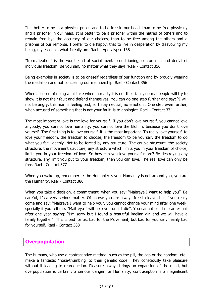It is better to be in a physical prison and to be free in our head, than to be free physically and a prisoner in our head. It is better to be a prisoner within the hatred of others and to remain free bye the accuracy of our choices, than to be free among the others and a prisoner of our remorse. I prefer to die happy, that to live in desperation by disavowing my being, my essence, what I really am. Rael – Apocalypse 138

"Normalization" is the worst kind of social mental conditioning, conformism and denial of individual freedom. Be yourself, no matter what they say! "Rael - Contact 356

Being examples in society is to be oneself regardless of our function and by proudly wearing the medallion and not concealing our membership. Rael - Contact 356

When accused of doing a mistake when in reality it is not their fault, normal people will try to show it is not their fault and defend themselves. You can go one step further and say: 'T will not be angry, this man is feeling bad, so I stay neutral, no emotion". One step even further, when accused of something that is not your fault, is to apologize. Rael - Contact 374

The most important love is the love for yourself. If you don"t love yourself, you cannot love anybody, you cannot love humanity; you cannot love the Elohim, because you don't love yourself. The first thing is to love yourself, it is the most important. To really love yourself, to love your freedom, the freedom to choose, the freedom to be yourself, the freedom to do what you feel, deeply. Not to be forced by any structure. The couple structure, the society structure, the movement structure, any structure which limits you in your freedom of choice, limits you in your freedom of love. So how can you love yourself more? By destroying any structure, any limit you put to your freedom, then you can love. The real love can only be free. Rael - Contact 377

When you wake up, remember it: the Humanity is you. Humanity is not around you, you are the Humanity. Rael - Contact 386

When you take a decision, a commitment, when you say: "Maitreya I want to help you". Be careful, it's a very serious matter. Of course you are always free to leave, but if you really come and say: "Maitreya I want to help you", you cannot change your mind after one week, specially if you tell me: "Maitreya I will help you until I die". You cannot send me an e-mail after one year saying: "I"m sorry but I found a beautiful Raelian girl and we will have a family together". This is bad for us, bad for the Movement, but bad for yourself, mainly bad for yourself. Rael - Contact 388

# **Overpopulation**

The humans, who use a contraceptive method, such as the pill, the cap or the condom, etc., make a fantastic "nose-thumbing' to their genetic code. They consciously take pleasure without it leading to reproduction. Pleasure always brings an expansion of the mind, but overpopulation is certainly a serious danger for Humanity; contraception is a magnificent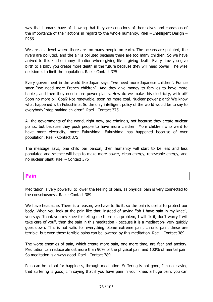way that humans have of showing that they are conscious of themselves and conscious of the importance of their actions in regard to the whole humanity. Rael – Intelligent Design – P266

We are at a level where there are too many people on earth. The oceans are polluted, the rivers are polluted, and the air is polluted because there are too many children. So we have arrived to this kind of funny situation where giving life is giving death. Every time you give birth to a baby you create more death in the future because they will need power. The wise decision is to limit the population. Rael - Contact 375

Every government in the world like Japan says: "we need more Japanese children". France says: "we need more French children". And they give money to families to have more babies, and then they need more power plants. How do we make this electricity, with oil? Soon no more oil. Coal? Not renewable, soon no more coal. Nuclear power plant? We know what happened with Fukushima. So the only intelligent policy of the world would be to say to everybody "stop making children". Rael - Contact 375

All the governments of the world, right now, are criminals, not because they create nuclear plants, but because they push people to have more children. More children who want to have more electricity, more Fukushima. Fukushima has happened because of over population. Rael - Contact 375

The message says, one child per person, then humanity will start to be less and less populated and science will help to make more power, clean energy, renewable energy, and no nuclear plant. Rael – Contact 375

## **Pain**

Meditation is very powerful to lower the feeling of pain, as physical pain is very connected to the consciousness. Rael - Contact 389

We have headache. There is a reason, we have to fix it, so the pain is useful to protect our body. When you look at the pain like that, instead of saying ''oh I have pain in my knee'', you say: ''thank you my knee for telling me there is a problem, I will fix it, don't worry I will take care of you'', then the pain in this meditation - because it is a meditation- very quickly goes down. This is not valid for everything. Some extreme pain, chronic pain, these are terrible, but even these terrible pains can be lowered by this meditation. Rael - Contact 389

The worst enemies of pain, which create more pain, one more time, are fear and anxiety. Meditation can reduce almost more than 90% of the physical pain and 100% of mental pain. So meditation is always good. Rael - Contact 389

Pain can be a tool for happiness, through meditation. Suffering is not good, I'm not saying that suffering is good, I'm saying that if you have pain in your knee, a huge pain, you can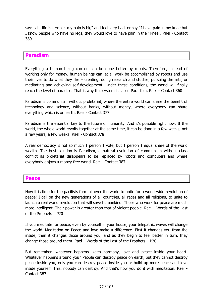say: ''ah, life is terrible, my pain is big'' and feel very bad, or say ''I have pain in my knee but I know people who have no legs, they would love to have pain in their knee''. Rael - Contact 389

# **Paradism**

Everything a human being can do can be done better by robots. Therefore, instead of working only for money, human beings can let all work be accomplished by robots and use their lives to do what they like – creating, doing research and studies, pursuing the arts, or meditating and achieving self-development. Under these conditions, the world will finally reach the level of paradise. That is why this system is called Paradism. Rael – Contact 360

Paradism is communism without proletariat, where the entire world can share the benefit of technology and science, without banks, without money, where everybody can share everything which is on earth. Rael - Contact 377

Paradism is the essential key to the future of humanity. And it's possible right now. If the world, the whole world revolts together at the same time, it can be done in a few weeks, not a few years, a few weeks! Rael - Contact 378

A real democracy is not so much 1 person 1 vote, but 1 person 1 equal share of the world wealth. The best solution is Paradism, a natural evolution of communism without class conflict as proletariat disappears to be replaced by robots and computers and where everybody enjoys a money free world. Rael - Contact 387

#### **Peace**

Now it is time for the pacifists form all over the world to unite for a world-wide revolution of peace! I call on the new generations of all countries, all races and all religions, to unite to launch a real world revolution that will save humankind! Those who work for peace are much more intelligent. Their power is greater than that of violent people. Rael – Words of the Last of the Prophets – P20

If you meditate for peace, even by yourself in your house, your telepathic waves will change the world. Meditation on Peace and love make a difference. First it changes you from the inside, then it changes those around you, and as they begin to feel better in turn, they change those around them. Rael – Words of the Last of the Prophets – P20

But remember, whatever happens, keep harmony, love and peace inside your heart. Whatever happens around you? People can destroy peace on earth, but they cannot destroy peace inside you, only you can destroy peace inside you or build up more peace and love inside yourself. This, nobody can destroy. And that's how you do it with meditation. Rael -Contact 387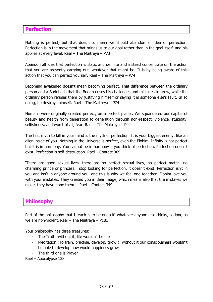## **Perfection**

Nothing is perfect, but that does not mean we should abandon all idea of perfection. Perfection is in the movement that brings us to our goal rather than in the goal itself, and his applies at every level. Rael – The Maitreya – P73

Abandon all idea that perfection is static and definite and instead concentrate on the action that you are presently carrying out, whatever that might be. It is by being aware of this action that you can perfect yourself. Rael – The Maitreya – P74

Becoming awakened doesn"t mean becoming perfect. That difference between the ordinary person and a Buddha is that the Buddha uses his challenges and mistakes to grow, while the ordinary person refuses them by justifying himself or saying it is someone else"s fault. In so doing, he destroys himself. Rael – The Maitreya – P74

Humans were originally created perfect, on a perfect planet. We squandered our capital of beauty and health from generation to generation through non-respect, violence, stupidity, selfishness, and worst of all, fear. Rael – The Maitreya – P92

The first myth to kill in your mind is the myth of perfection. It is your biggest enemy, like an alien inside of you. Nothing in the Universe is perfect, even the Elohim. Infinity is not perfect but it is in harmony. You cannot be in harmony if you think of perfection. Perfection doesn"t exist. Perfection is self-destruction. Rael – Contact 309

"There are good sexual lives, there are no perfect sexual lives, no perfect match, no charming prince or princess… stop looking for perfection, it doesn"t exist. Perfection isn"t in you and isn"t in anyone around you, and this is why we feel one together. Elohim love you with your mistakes. They created you in their image, which means also that the mistakes we make, they have done them...' Rael - Contact 349

# **Philosophy**

Part of the philosophy that I teach is to be oneself, whatever anyone else thinks, so long as we are non-violent. Rael – The Maitreya – P181

Your philosophy has three treasures:

- The Truth: without it, life wouldn"t be life
- Meditation (To train, practise, develop, grow ): without it our consciousness wouldn"t be able to develop now would happiness grow
- The third one is Prayer

Rael – Apocalypse 138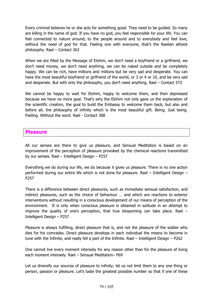Every criminal believes he or she acts for something good. They need to be guided. So many are killing in the name of god. If you have no god, you feel responsible for your life. You can feel connected to nature around, to the people around and to everybody and feel love, without the need of god for that. Feeling one with everyone, that's the Raelian atheist philosophy. Rael – Contact 363

When we are filled by the Message of Elohim, we don't need a boyfriend or a girlfriend, we don"t need money, we don"t need anything, we can be naked outside and be completely happy. We can be rich, have millions and millions but be very sad and desperate. You can have the most beautiful boyfriend or girlfriend of the world, or 3 or 4 or 10, and be very sad and desperate. But with only the philosophy, you don't need anything. Rael – Contact 373

We cannot be happy to wait for Elohim, happy to welcome them, and then depressed because we have no more goal. That"s why the Elohim not only gave us the explanation of the scientific creation, the goal to build the Embassy to welcome them back, but also and before all, the philosophy of infinity which is the most beautiful gift. Being. Just being. Feeling. Without the word. Rael - Contact 388

# **Pleasure**

All our senses are there to give us pleasure, and Sensual Meditation is based on an improvement of the perception of pleasure provoked by the chemical reactions transmitted by our senses. Rael – Intelligent Design – P257

Everything we do during our life, we do because it gives us pleasure. There is no one action performed during our entire life which is not done for pleasure. Rael – Intelligent Design – P257

There is a difference between direct pleasures, such as immediate sensual satisfaction, and indirect pleasures, such as the choice of behaviour … and which are reactions to exterior interventions without resulting in a conscious development of our means of perception of the environment. It is only when conscious pleasure is obtained in solitude in an attempt to improve the quality of one's perception, that true blossoming can take place. Rael  $-$ Intelligent Design – P257

Pleasure is always fulfilling, direct pleasure that is, and not the pleasure of the soldier who dies for his comrades. Direct pleasure develops in each individual the means to become in tune with the Infinite, and really fell a part of the Infinite. Rael – Intelligent Design – P262

One cannot live every moment intensely for any reason other than for the pleasure of living each moment intensely. Rael – Sensual Meditation– P69

Let us diversify our sources of pleasure to infinity; let us not limit them to any one thing or person, passion or pleasure. Let"s taste the greatest possible number so that if one of these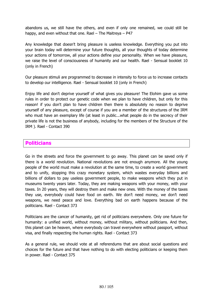abandons us, we still have the others, and even if only one remained, we could still be happy, and even without that one. Rael – The Maitreya – P47

Any knowledge that doesn"t bring pleasure is useless knowledge. Everything you put into your brain today will determine your future thoughts, all your thoughts of today determine your actions of tomorrow, all your actions define your personality. When we have pleasure, we raise the level of consciousness of humanity and our health. Rael - Sensual booklet 10 (only in French)

Our pleasure stimuli are programmed to decrease in intensity to force us to increase contacts to develop our intelligence. Rael - Sensual booklet 10 (only in French)

Enjoy life and don't deprive yourself of what gives you pleasure! The Elohim gave us some rules in order to protect our genetic code when we plan to have children, but only for this reason! if you don't plan to have children then there is absolutely no reason to deprive yourself of any pleasure, except of course if you are a member of the structures of the IRM who must have an exemplary life (at least in public...what people do in the secrecy of their private life is not the business of anybody, including for the members of the Structure of the IRM ). Rael - Contact 390

## **Politicians**

Go in the streets and force the government to go away. This planet can be saved only if there is a world revolution. National revolutions are not enough anymore. All the young people of the world must make a revolution at the same time, to create a world government and to unify, stopping this crazy monetary system, which wastes everyday billions and billions of dollars to pay useless government people, to make weapons which they put in museums twenty years later. Today, they are making weapons with your money, with your taxes. In 20 years, they will destroy them and make new ones. With the money of the taxes they use, everybody could have food on earth. We don"t need money, we don"t need weapons, we need peace and love. Everything bad on earth happens because of the politicians. Rael - Contact 373

Politicians are the cancer of humanity, get rid of politicians everywhere. Only one future for humanity: a unified world, without money, without military, without politicians. And then, this planet can be heaven, where everybody can travel everywhere without passport, without visa, and finally respecting the human rights. Rael - Contact 373

As a general rule, we should vote at all referendums that are about social questions and choices for the future and that have nothing to do with electing politicians or keeping them in power. Rael - Contact 375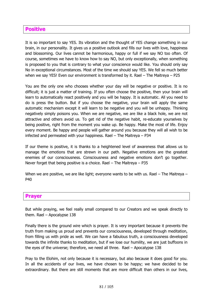## **Positive**

It is so important to say YES. Its vibration and the thought of YES change something in our brain, in our personality. It gives us a positive outlook and fills our lives with love, happiness and blossoming. Our lives cannot be harmonious, happy or full if we say NO too often. Of course, sometimes we have to know how to say NO, but only exceptionally, when something is proposed to you that is contrary to what your conscience would like. You should only say No in exceptional circumstances. Most of the time we should say YES. We fell so much better when we say YES! Even our environment is transformed by it. Rael – The Maitreya – P25

You are the only one who chooses whether your day will be negative or positive. It is no difficult; it is just a matter of training. If you often choose the positive, then your brain will learn to automatically react positively and you will be happy. It is automatic. All you need to do is press the button. But if you choose the negative, your brain will apply the same automatic mechanism except it will learn to be negative and you will be unhappy. Thinking negatively simply poisons you. When we are negative, we are like a black hole, we are not attractive and others avoid us. To get rid of the negative habit, re-educate yourselves by being positive, right from the moment you wake up. Be happy. Make the most of life. Enjoy every moment. Be happy and people will gather around you because they will all wish to be infected and permeated with your happiness. Rael – The Maitreya – P34

If our theme is positive, it is thanks to a heightened level of awareness that allows us to manage the emotions that are strewn in our path. Negative emotions are the greatest enemies of our consciousness. Consciousness and negative emotions don"t go together. Never forget that being positive is a choice. Rael – The Maitreya – P35

When we are positive, we are like light; everyone wants to be with us. Rael – The Maitreya – P40

#### **Prayer**

But while praying, we feel really small compared to our Creators and we speak directly to them. Rael – Apocalypse 138

Finally there is the ground wire which is prayer. It is very important because it prevents the truth from making us proud and prevents our consciousness, developed through meditation, from filling us with pride as well. We can have a fabulous truth, a consciousness developed towards the infinite thanks to meditation, but if we lose our humility, we are just buffoons in the eyes of the universe; therefore, we need all three. Rael – Apocalypse 138

Pray to the Elohim, not only because it is necessary, but also because it does good for you. In all the accidents of our lives, we have chosen to be happy; we have decided to be extraordinary. But there are still moments that are more difficult than others in our lives,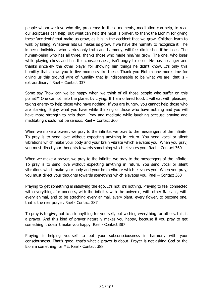people whom we love who die, problems; In these moments, meditation can help, to read our scriptures can help, but what can help the most is prayer, to thank the Elohim for giving these "accidents" that make us grow, as it is in the accident that we grow. Children learn to walk by falling. Whatever hits us makes us grow, if we have the humility to recognize it. The imbecile-individual who carries only truth and harmony, will feel diminished if he loses. The human-being who has all three, thanks those who made him/her grow. The one, who loses while playing chess and has this consciousness, isn't angry to loose. He has no anger and thanks sincerely the other player for showing him things he didn't know. It's only this humility that allows you to live moments like these. Thank you Elohim one more time for giving us this ground wire of humility that is indispensable to be what we are, that is extraordinary." Rael – Contact 337

Some say "how can we be happy when we think of all those people who suffer on this planet?" One cannot help the planet by crying. If I am offered food, I will eat with pleasure, taking energy to help those who have nothing. If you are hungry, you cannot help those who are starving. Enjoy what you have while thinking of those who have nothing and you will have more strength to help them. Pray and meditate while laughing because praying and meditating should not be serious. Rael – Contact 360

When we make a prayer, we pray to the infinite, we pray to the messengers of the infinite. To pray is to send love without expecting anything in return. You send vocal or silent vibrations which make your body and your brain vibrate which elevates you. When you pray, you must direct your thoughts towards something which elevates you. Rael – Contact 360

When we make a prayer, we pray to the infinite, we pray to the messengers of the infinite. To pray is to send love without expecting anything in return. You send vocal or silent vibrations which make your body and your brain vibrate which elevates you. When you pray, you must direct your thoughts towards something which elevates you. Rael – Contact 360

Praying to get something is satisfying the ego. It's not, it's nothing. Praying to feel connected with everything, for oneness, with the infinite, with the universe, with other Raelians, with every animal, and to be attaching every animal, every plant, every flower, to become one, that is the real prayer. Rael - Contact 387

To pray is to give, not to ask anything for yourself, but wishing everything for others, this is a prayer. And this kind of prayer naturally makes you happy, because if you pray to get something it doesn't make you happy. Rael - Contact 387

Praying is helping yourself to put your subconsciousness in harmony with your consciousness. That"s good, that"s what a prayer is about. Prayer is not asking God or the Elohim something for ME. Rael - Contact 388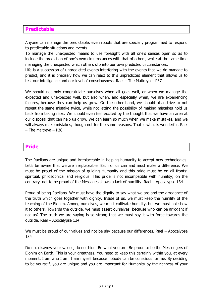# **Predictable**

Anyone can manage the predictable, even robots that are specially programmed to respond to predictable situations and events.

To manage the unexpected means to use foresight with all one"s senses open so as to include the prediction of one's own circumstances with that of others, while at the same time managing the unexpected which others slip into our own predicted circumstances.

Life is a succession of unpredicted events interfering with the events that we do manage to predict, and it is precisely how we can react to this unpredicted element that allows us to test our intelligence and our level of consciousness. Rael – The Maitreya – P37

We should not only congratulate ourselves when all goes well, or when we manage the expected and unexpected well, but also when, and especially when, we are experiencing failures, because they can help us grow. On the other hand, we should also strive to not repeat the same mistake twice, while not letting the possibility of making mistakes hold us back from taking risks. We should even feel excited by the thought that we have an area at our disposal that can help us grow. We can learn so much when we make mistakes, and we will always make mistakes, though not for the same reasons. That is what is wonderful. Rael – The Maitreya – P38

### **Pride**

The Raelians are unique and irreplaceable in helping humanity to accept new technologies. Let's be aware that we are irreplaceable. Each of us can and must make a difference. We must be proud of the mission of guiding Humanity and this pride must be on all fronts: spiritual, philosophical and religious. This pride is not incompatible with humility; on the contrary, not to be proud of the Messages shows a lack of humility. Rael – Apocalypse 134

Proud of being Raelians. We must have the dignity to say what we are and the arrogance of the truth which goes together with dignity. Inside of us, we must keep the humility of the teaching of the Elohim. Among ourselves, we must cultivate humility, but we must not show it to others. Towards the outside, we must assert ourselves, because who can be arrogant if not us? The truth we are saying is so strong that we must say it with force towards the outside. Rael – Apocalypse 134

We must be proud of our values and not be shy because our differences. Rael – Apocalypse 134

Do not disavow your values, do not hide. Be what you are. Be proud to be the Messengers of Elohim on Earth. This is your greatness. You need to keep this certainly within you, at every moment. I am who I am. I am myself because nobody can be conscious for me. By deciding to be yourself, you are unique and you are important for Humanity by the richness of your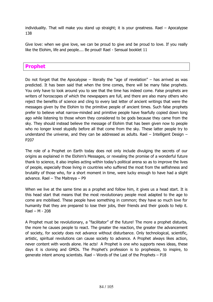individuality. That will make you stand up straight; it is your greatness. Rael – Apocalypse 138

Give love: when we give love, we can be proud to give and be proud to love. If you really like the Elohim, life and people.... Be proud! Rael - Sensual booklet 11

# **Prophet**

Do not forget that the Apocalypse – literally the "age of revelation" – has arrived as was predicted. It has been said that when the time comes, there will be many false prophets. You only have to look around you to see that the time has indeed come. False prophets are writers of horoscopes of which the newspapers are full, and there are also many others who reject the benefits of science and cling to every last letter of ancient writings that were the messages given by the Elohim to the primitive people of ancient times. Such false prophets prefer to believe what narrow-minded and primitive people have fearfully copied down long ago while listening to those whom they considered to be gods because they came from the sky. They should instead believe the message of Elohim that has been given now to people who no longer kneel stupidly before all that come from the sky. These latter people try to understand the universe, and they can be addressed as adults. Rael – Intelligent Design – P207

The role of a Prophet on Earth today does not only include divulging the secrets of our origins as explained in the Elohim"s Messages, or revealing the promise of a wonderful future thank to science, it also implies acting within today"s political arena so as to improve the lives of people, especially those living in countries who suffered the most from the selfishness and brutality of those who, for a short moment in time, were lucky enough to have had a slight advance. Rael – The Maitreya – P9

When we live at the same time as a prophet and follow him, it gives us a head start. It is this head start that means that the most revolutionary people most adapted to the age to come are mobilised. These people have something in common; they have so much love for humanity that they are prepared to lose their jobs, their friends and their goods to help it. Rael – M - 208

A Prophet must be revolutionary, a "facilitator" of the future! The more a prophet disturbs, the more he causes people to react. The greater the reaction, the greater the advancement of society, for society does not advance without disturbance. Only technological, scientific, artistic, spiritual revolutions can cause society to advance. A Prophet always likes action, never content with words alone. He acts! A Prophet is one who supports news ideas, these days it is cloning and GMOs. The Prophet"s profession is to prophesize, to inspire, to generate intent among scientists. Rael – Words of the Last of the Prophets – P18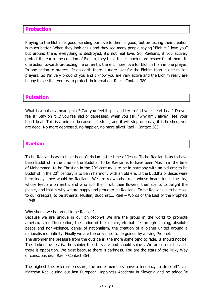Praying to the Elohim is good, sending our love to them is good, but protecting their creation is much better. When they look at us and they see many people saying ""Elohim I love you"" but around them, everything is destroyed, it"s not real love. So, Raelians, if you actively protect the earth, the creation of Elohim, they think this is much more respectful of them. In one action towards protecting life on earth, there is more love for Elohim than in one prayer. In one action to protect life on earth there is more love for the Elohim than in one million prayers. So I"m very proud of you and I know you are very active and the Elohim really are happy to see that you try to protect their creation. Rael - Contact 380

# **Pulsation**

What is a pulse, a heart pulse? Can you feel it, put and try to find your heart beat? Do you feel it? Stay on it. If you feel sad or depressed, when you ask: "why am I alive?", feel your heart beat. This is a miracle because if it stops, and it will stop one day, it is finished, you are dead. No more depressed, no happier, no more alive! Rael - Contact 383

## **Raelian**

To be Raelian is as to have been Christian in the time of Jesus. To be Raelian is as to have been Buddhist in the time of the Buddha. To be Raelian is to have been Muslim in the time of Mohammed; to be Christian in the  $20<sup>th</sup>$  century is to be in harmony with an old era; to be Buddhist in the  $20<sup>th</sup>$  century is to be in harmony with an old era. If the Buddha or Jesus were here today, they would be Raelians. We are redwoods, trees whose heads touch the sky, whose feet are on earth, and who spill their fruit, their flowers, their scents to delight the planet, and that is why we are happy and proud to be Raelians. To be Raelians is to be close to our creators, to be atheists, Muslim, Buddhist…. Rael – Words of the Last of the Prophets – P48

#### Why should we be proud to be Raelian?

Because we are unique in our philosophy! We are the group in the world to promote atheism, scientific creation, the notion of the infinite, eternal life through cloning, absolute peace and non-violence, denial of nationalism, the creation of a planet united around a nationalism of infinity. Finally we are the only ones to be guided by a living Prophet.

The stronger the pressure from the outside is, the more some tend to fade. It should not be. The darker the sky is, the shinier the stars are and should shine . We are useful because there is opposition. We exist because there is darkness. You are the stars of the Milky Way of consciousness. Rael - Contact 364

The highest the external pressure, the more members have a tendency to drop off" said Maitreya Rael during our last European Happiness Academy in Slovenia and he added "it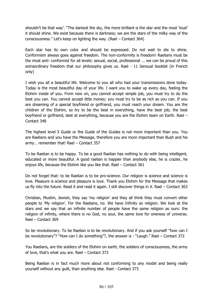shouldn't be that way'. "The darkest the sky, the more brilliant is the star and the most 'loud' it should shine. We exist because there is darkness; we are the stars of the milky way of the consciousness." Let's keep on lighting the way. (Rael – Contact 364)

Each star has its own color and should be expressed. Do not wait to die to shine. Conformism always goes against freedom. The non-conformity is freedom! Raelians must be the most anti- conformist for all levels: sexual, social, professional ... we can be proud of this extraordinary freedom that our philosophy gives us. Rael - 11 Sensual booklet (in French only)

I wish you all a beautiful life. Welcome to you all who had your transmissions done today. Today is the most beautiful day of your life. I want you to wake up every day, feeling the Elohim inside of you. From now on, you cannot accept simple job, you must try to do the best you can. You cannot accept little money; you must try to be as rich as you can. If you are dreaming of a special boyfriend or girlfriend, you must reach your dream. You are the children of the Elohim, so try to be the best in everything, have the best job, the best boyfriend or girlfriend, best at everything, because you are the Elohim team on Earth. Rael – Contact 348

The highest level 5 Guide or the Guide of the Guides is not more important than you. You are Raelians and you have the Message, therefore you are more important than Bush and his army… remember that! Rael – Contact 357

To be Raelian is to be happy. To be a good Raelian has nothing to do with being intelligent, educated or more beautiful. A good raelian is happier than anybody else, he is crazier, he enjoys life, because the Elohim like you like that. Rael – Contact 361

Do not forget that: to be Raelian is to be pro-science. Our religion is science and science is love. Pleasure is science and pleasure is love. Thank you Elohim for the Message that makes us fly into the future. Read it and read it again. I still discover things in it. Rael – Contact 363

Christian, Muslim, Jewish, they say "my religion" and they all think they must convert other people to "My religion". For the Raelians, no. We have Infinity as religion. We look at the stars and we say that an infinite number of people have the same religion as ours: the religion of infinity, where there is no God, no soul, the same love for oneness of universe. Rael – Contact 369

So be revolutionary. To be Raelian is to be revolutionary. And if you ask yourself "how can I be revolutionary"? "How can I do something"?, the answer is : "Laugh." Rael – Contact 372

You Raelians, are the soldiers of the Elohim on earth, the soldiers of consciousness, the army of love, that"s what you are. Rael – Contact 373

Being Raelian is in fact much more about not conforming to any model and being really yourself without any guilt, than anything else. Rael - Contact 373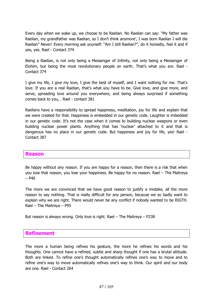Every day when we wake up, we choose to be Raelian. No Raelian can say: ""My father was Raelian, my grandfather was Raelian, so I don't think anymore', I was born Raelian I will die Raelian" Never! Every morning ask yourself: ''Am I still Raelian?", do it honestly, feel it and if yes, yes. Rael - Contact 374

Being a Raelian, is not only being a Messenger of Infinity, not only being a Messenger of Elohim, but being the most revolutionary people on earth. That"s what you are. Rael - Contact 374

I give my life, I give my love, I give the best of myself, and I want nothing for me. That's love. If you are a real Raelian, that's what you have to be. Give love, and give more, and serve, spreading love around you everywhere, and being always surprised if something comes back to you, . Rael - contact 381

Raelians have a responsibility to spread happiness, meditation, joy for life and explain that we were created for that. Happiness is embedded in our genetic code. Laughter is imbedded in our genetic code. It's not the case when it comes to building nuclear weapons or even building nuclear power plants. Anything that has "nuclear" attached to it and that is dangerous has no place in our genetic code. But happiness and joy for life, yes! Rael - Contact 387

#### **Reason**

Be happy without any reason. If you are happy for a reason, then there is a risk that when you lose that reason, you lose your happiness. Be happy for no reason. Rael – The Maitreya – P40

The more we are convinced that we have good reason to justify a mistake, all the more reason to say nothing. That is really difficult for any person, because we so badly want to explain why we are right. There would never be any conflict if nobody wanted to be RIGTH. Rael – The Maitreya – P95

But reason is always wrong. Only love is right. Rael – The Maitreya – P238

## **Refinement**

The more a human being refines his gesture, the more he refines his words and his thoughts. One cannot have a refined, subtle and sharp thought if one has a brutal attitude. Both are linked. To refine one's thought automatically refines one's way to move and to refine one's way to move automatically refines one's way to think. Our spirit and our body are one. Rael - Contact 264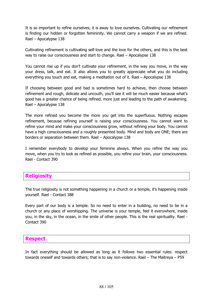It is so important to refine ourselves; it is away to love ourselves. Cultivating our refinement is finding our hidden or forgotten femininity. We cannot carry a weapon if we are refined. Rael – Apocalypse 138

Cultivating refinement is cultivating self-love and the love for the others, and this is the best way to raise our consciousness and start to change. Rael – Apocalypse 138

You cannot rise up if you don't cultivate your refinement, in the way you move, in the way your dress, talk, and eat. It also allows you to greatly appreciate what you do including everything you touch and eat, making a meditation out of it. Rael – Apocalypse 138

If choosing between good and bad is sometimes hard to achieve, then choose between refinement and rough, delicate and uncouth, you"ll see it will be much easier because what"s good has a greater chance of being refined, more just and leading to the path of awakening. Rael – Apocalypse 138

The more refined you become the more you get into the superfluous. Nothing escapes refinement, because refining yourself is raising your consciousness. You cannot want to refine your mind and make your consciousness grow, without refining your body. You cannot have a high consciousness and a roughly presented body. Mind and body are ONE; there are borders or separation between them. Rael – Apocalypse 138

I remember everybody to develop your feminine always. When you refine the way you move, when you try to look as refined as possible, you refine your brain, your consciousness. Rael - Contact 390

# **Religiosity**

The true religiosity is not something happening in a church or a temple, it's happening inside yourself. Rael - Contact 388

Every part of our body is a temple. So no need to enter in a building, no need to be in a church or any place of worshipping. The universe is your temple, feel it everywhere, inside you, in the sky, in the ocean, in the smile of other people. This is the real spirituality. Rael - Contact 390

## **Respect**

In fact everything should be allowed as long as it follows two essential rules: respect towards oneself and towards others; that is to say non-violence. Rael – The Maitreya – P59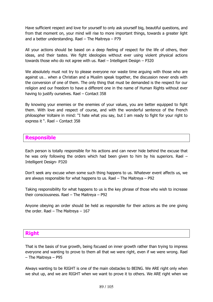Have sufficient respect and love for yourself to only ask yourself big, beautiful questions, and from that moment on, your mind will rise to more important things, towards a greater light and a better understanding. Rael – The Maitreya – P79

All your actions should be based on a deep feeling of respect for the life of others, their ideas, and their tastes. We fight ideologies without ever using violent physical actions towards those who do not agree with us. Rael – Intelligent Design – P320

We absolutely must not try to please everyone nor waste time arguing with those who are against us… when a Christian and a Muslim speak together, the discussion never ends with the conversion of one of them. The only thing that must be demanded is the respect for our religion and our freedom to have a different one in the name of Human Rights without ever having to justify ourselves. Rael – Contact 358

By knowing your enemies or the enemies of your values, you are better equipped to fight them. With love and respect of course, and with the wonderful sentence of the French philosopher Voltaire in mind: "I hate what you say, but I am ready to fight for your right to express it ". Rael – Contact 358

## **Responsible**

Each person is totally responsible for his actions and can never hide behind the excuse that he was only following the orders which had been given to him by his superiors. Rael – Intelligent Design- P320

Don"t seek any excuse when some such thing happens to us. Whatever event affects us, we are always responsible for what happens to us. Rael – The Maitreya – P92

Taking responsibility for what happens to us is the key phrase of those who wish to increase their consciousness. Rael – The Maitreya – P92

Anyone obeying an order should be held as responsible for their actions as the one giving the order. Rael – The Maitreya – 167

# **Right**

That is the basis of true growth, being focused on inner growth rather than trying to impress everyone and wanting to prove to them all that we were right, even if we were wrong. Rael – The Maitreya – P95

Always wanting to be RIGHT is one of the main obstacles to BEING. We ARE right only when we shut up, and we are RIGHT when we want to prove it to others. We ARE right when we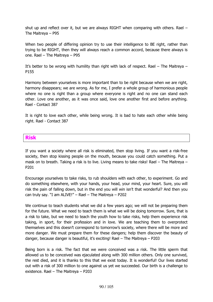shut up and reflect over it, but we are always RIGHT when comparing with others. Rael  $-$ The Maitreya – P95

When two people of differing opinion try to use their intelligence to BE right, rather than trying to be RIGHT, then they will always reach a common accord, because there always is one. Rael – The Maitreya – P95

It's better to be wrong with humility than right with lack of respect. Rael – The Maitreya – P155

Harmony between yourselves is more important than to be right because when we are right, harmony disappears; we are wrong. As for me, I prefer a whole group of harmonious people where no one is right than a group where everyone is right and no one can stand each other. Love one another, as it was once said, love one another first and before anything. Rael - Contact 387

It is right to love each other, while being wrong. It is bad to hate each other while being right. Rael - Contact 387

#### **Risk**

If you want a society where all risk is eliminated, then stop living. If you want a risk-free society, then stop kissing people on the mouth, because you could catch something. Put a mask on to breath. Taking a risk is to live. Living means to take risks! Rael – The Maitreya – P201

Encourage yourselves to take risks, to rub shoulders with each other, to experiment. Go and do something elsewhere, with your hands, your head, your mind, your heart. Sure, you will risk the pain of falling down, but in the end you will win isn"t that wonderful? And then you can truly say. "I am ALIVE!" – Rael – The Maitreya – P202

We continue to teach students what we did a few years ago; we will not be preparing them for the future. What we need to teach them is what we will be doing tomorrow. Sure, that is a risk to take, but we need to teach the youth how to take risks, help them experience risk taking, in sport, for their profession and in love. We are teaching them to overprotect themselves and this doesn"t correspond to tomorrow"s society, where there will be more and more danger. We must prepare them for these dangers; help them discover the beauty of danger, because danger is beautiful, it"s exciting! Rael – The Maitreya – P203

Being born is a risk. The fact that we were conceived was a risk. The little sperm that allowed us to be conceived was ejaculated along with 300 million others. Only one survived, the rest died, and it is thanks to this that we exist today. It is wonderful! Our lives started out with a risk of 300 million to one against us yet we succeeded. Our birth is a challenge to existence. Rael – The Maitreya – P203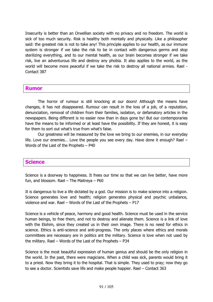Insecurity is better than an Orwellian society with no privacy and no freedom. The world is sick of too much security. Risk is healthy both mentally and physically. Like a philosopher said: the greatest risk is not to take any! This principle applies to our health, as our immune system is stronger if we take the risk to be in contact with dangerous germs and stop sterilizing everything, and to our mental health, as our brain becomes stronger if we take risk, live an adventurous life and destroy any phobia. It also applies to the world, as the world will become more peaceful if we take the risk to destroy all national armies. Rael - Contact 387

### **Rumor**

The horror of rumour is still knocking at our doors! Although the means have changes, it has not disappeared. Rumour can result in the loss of a job, of a reputation, denunciation, removal of children from their families, isolation, or defamatory articles in the newspapers. Being different is no easier now than in days gone by! But our contemporaries have the means to be informed or at least have the possibility. If they are honest, it is easy for them to sort out what's true from what's false.

Our greatness will be measured by the love we bring to our enemies, in our everyday life. Love our enemies… Love the people you see every day. Have done it enough? Rael – Words of the Last of the Prophets – P40

## **Science**

Science is a doorway to happiness. It frees our time so that we can live better, have more fun, and blossom. Rael – The Maitreya – P60

It is dangerous to live a life dictated by a god. Our mission is to make science into a religion. Science generates love and health; religion generates physical and psychic unbalance, violence and war. Rael – Words of the Last of the Prophets – P17

Science is a vehicle of peace, harmony and good health. Science must be used in the service human beings, to free them, and not to destroy and alienate them. Science is a link of love with the Elohim, since they created us in their own image. There is no need for ethics in science. Ethics is anti-science and anti-progress. The only places where ethics and morals committees are necessary are in politics ant the military. Science is love when not used by the military. Rael – Words of the Last of the Prophets – P34

Science is the most beautiful expression of human genius and should be the only religion in the world. In the past, there were magicians. When a child was sick, parents would bring it to a priest. Now they bring it to the hospital. That is simple. They used to pray; now they go to see a doctor. Scientists save life and make people happier. Rael – Contact 363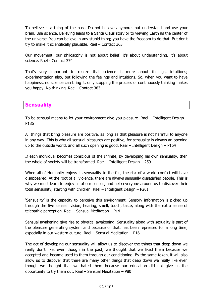To believe is a thing of the past. Do not believe anymore, but understand and use your brain. Use science. Believing leads to a Santa Claus story or to viewing Earth as the center of the universe. You can believe in any stupid thing; you have the freedom to do that. But don"t try to make it scientifically plausible. Rael – Contact 363

Our movement, our philosophy is not about belief, it"s about understanding, it"s about science. Rael - Contact 374

That's very important to realize that science is more about feelings, intuitions; experimentation also, but following the feelings and intuitions. So, when you want to have happiness, no science can bring it, only stopping the process of continuously thinking makes you happy. No thinking. Rael - Contact 383

**Sensuality** 

To be sensual means to let your environment give you pleasure. Rael – Intelligent Design – P186

All things that bring pleasure are positive, as long as that pleasure is not harmful to anyone in any way. This is why all sensual pleasures are positive, for sensuality is always an opening up to the outside world, and all such opening is good. Rael – Intelligent Design – P164

If each individual becomes conscious of the Infinite, by developing his own sensuality, then the whole of society will be transformed. Rael – Intelligent Design – 259

When all of Humanity enjoys its sensuality to the full, the risk of a world conflict will have disappeared. At the root of all violence, there are always sensually dissatisfied people. This is why we must learn to enjoy all of our senses, and help everyone around us to discover their total sensuality, starting with children. Rael – Intelligent Design – P261

"Sensuality" is the capacity to perceive this environment. Sensory information is picked up through the five senses: vision, hearing, smell, touch, taste, along with the extra sense of telepathic perception. Rael – Sensual Meditation – P14

Sensual awakening give rise to physical awakening. Sensuality along with sexuality is part of the pleasure generating system and because of that, has been repressed for a long time, especially in our western culture. Rael – Sensual Meditation – P16

The act of developing our sensuality will allow us to discover the things that deep down we really don"t like, even though in the past, we thought that we liked them because we accepted and became used to them through our conditioning. By the same token, it will also allow us to discover that there are many other things that deep down we really like even though we thought that we hated them because our education did not give us the opportunity to try them out. Rael – Sensual Meditation – P80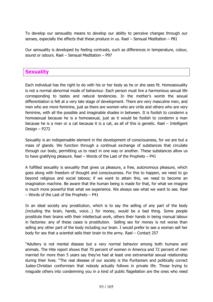To develop our sensuality means to develop our ability to perceive changes through our senses, especially the effects that these produce in us. Rael  $-$  Sensual Meditation  $-$  P81

Our sensuality is developed by feeling contrasts, such as differences in temperature, colour, sound or odours. Rael – Sensual Meditation – P97

# **Sexuality**

Each individual has the right to do with his or her body as he or she sees fit. Homosexuality is not a normal abnormal mode of behaviour. Each person must live a harmonious sexual life corresponding to tastes and natural tendencies. In the mother"s womb the sexual differentiation is felt at a very late stage of development. There are very masculine men, and men who are more feminine, just as there are women who are virile and others who are very feminine, with all the possible and imaginable shades in between. It is foolish to condemn a homosexual because he is a homosexual, just as it would be foolish to condemn a man because he is a man or a cat because it is a cat, as all of this is genetic. Rael – Intelligent Design – P272

Sexuality is an indispensable element in the development of consciousness, for we are but a mass of glands. We function through a continual exchange of substances that circulate through our body, permitting us to react in one way or another. These substances allow us to have gratifying pleasure. Rael – Words of the Last of the Prophets – P41

A fulfilled sexuality is sexuality that gives us pleasure, a free, autonomous pleasure, which goes along with freedom of thought and consciousness. For this to happen, we need to go beyond religious and social taboos; if we want to attain this, we need to become an imagination machine. Be aware that the human being is made for that, for what we imagine is much more powerful that what we experience. We always see what we want to see. Rael – Words of the Last of the Prophets – P41

In an ideal society any prostitution, which is to say the selling of any part of the body (including the brain, hands, voice…) for money, would be a bad thing. Some people prostitute their brains with their intellectual work, others their hands in being manual labour in factories: any of these cases is prostitution. Selling sex for money is not worse than selling any other part of the body including our brain. I would prefer to see a woman sell her body for sex that a scientist sells their brain to the army. Rael – Contact 257

"Adultery is not mental disease but a very normal behavior among both humans and animals. The Hite report shows that 70 percent of women in America and 72 percent of men married for more than 5 years say they"ve had at least one extramarital sexual relationship during their lives. "The real disease of our society is the Puritanism and politically correct Judeo-Christian conformism that nobody actually follows in private life. Those trying to misguide others into condemning you in a kind of public flagellation are the ones who need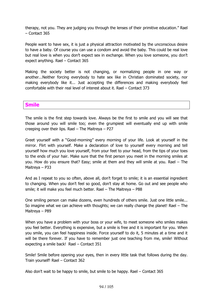therapy, not you. They are judging you through the lenses of their primitive education." Rael – Contact 365

People want to have sex, it is just a physical attraction motivated by the unconscious desire to have a baby. Of course you can use a condom and avoid the baby. This could be real love but real love is when you don"t expect sex in exchange. When you love someone, you don"t expect anything. Rael – Contact 365

Making the society better is not changing, or normalizing people in one way or another...Neither forcing everybody to hate sex like in Christian dominated society, nor making everybody like it... Just accepting the differences and making everybody feel comfortable with their real level of interest about it. Rael – Contact 373

## **Smile**

The smile is the first step towards love. Always be the first to smile and you will see that those around you will smile too; even the grumpiest will eventually end up with smile creeping over their lips. Rael – The Maitreya – P27

Greet yourself with a "Good-morning" every morning of your life. Look at yourself in the mirror. Flirt with yourself. Make a declaration of love to yourself every morning and tell yourself how much you love yourself, from your feet to your head, from the tips of your toes to the ends of your hair. Make sure that the first person you meet in the morning smiles at you. How do you ensure that? Easy; smile at them and they will smile at you. Rael – The Maitreya – P33

And as I repeat to you so often, above all, don't forget to smile; it is an essential ingredient to changing. When you don"t feel so good, don"t stay at home. Go out and see people who smile; it will make you feel much better. Rael – The Maitreya – P88

One smiling person can make dozens, even hundreds of others smile. Just one little smile... So imagine what we can achieve with thoughts; we can really change the planet! Rael – The Maitreya – P89

When you have a problem with your boss or your wife, to meet someone who smiles makes you feel better. Everything is expensive, but a smile is free and it is important for you. When you smile, you can feel happiness inside. Force yourself to do it, 5 minutes at a time and it will be there forever. If you have to remember just one teaching from me, smile! Without expecting a smile back! Rael – Contact 351

Smile! Smile before opening your eyes, then in every little task that follows during the day. Train yourself! Rael – Contact 362

Also don"t wait to be happy to smile, but smile to be happy. Rael – Contact 365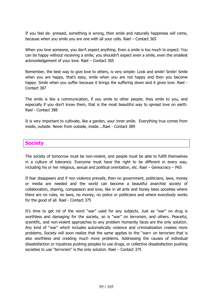If you feel de- pressed, something is wrong, then smile and naturally happiness will come, because when you smile you are one with all your cells. Rael – Contact 365

When you love someone, you don"t expect anything. Even a smile is too much to expect. You can be happy without receiving a smile; you shouldn"t expect even a smile, even the smallest acknowledgement of your love. Rael – Contact 365

Remember, the best way to give love to others, is very simple: Look and smile! Smile! Smile when you are happy, that"s easy, smile when you are not happy and then you become happy. Smile when you suffer because it brings the suffering down and it gives love. Rael -Contact 387

The smile is like a communication, if you smile to other people, they smile to you, and especially if you don"t know them, that is the most beautiful way to spread love on earth. Rael - Contact 388

It is very important to cultivate, like a garden, your inner smile. Everything true comes from inside, outside. Never from outside, inside….Rael - Contact 389

## **Society**

The society of tomorrow must be non-violent, and people must be able to fulfill themselves in a culture of tolerance. Everyone must have the right to be different in every way, including his or her religious, sexual and political orientation, etc. Rael – Geniocracy – P65

If fear disappears and if non violence prevails, then no government, politicians, laws, money or media are needed and the world can become a beautiful anarchist society of collaboration, sharing, compassion and love, like in all ants and honey bees societies where there are no rules, no laws, no money, no police or politicians and where everybody works for the good of all. Rael - Contact 375

It's time to get rid of the word "war" used for any subjects. Just as "war" on drug is worthless and damaging for the society, so is "war" on terrorism, and others. Peaceful, scientific, and non-violent approaches to any problem Humanity faces are the only solution. Any kind of "war" which includes automatically violence and criminalization creates more problems. Society will soon realize that the same applies to the "war» on terrorism that is also worthless and creating much more problems. Addressing the causes of individual dissatisfaction or injustices pushing peoples to use drugs, or collective dissatisfaction pushing societies to use "terrorism" is the only solution. Rael – Contact 375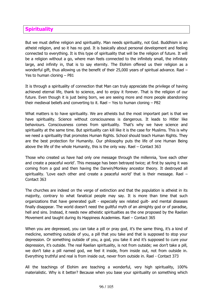# **Spirituality**

But we must define religion and spirituality. Man needs spirituality, not God. Buddhism is an atheist religion, and so it has no god. It is basically about personal development and feeling connected to everything. It is this type of spirituality that will be the religion of future. It will be a religion without a go, where man feels connected to the infinitely small, the infinitely large, and infinity in, that is to say eternity. The Elohim offered us their religion as a wonderful gift, thus allowing us the benefit of their 25,000 years of spiritual advance. Rael – Yes to human cloning – P81

It is through a spirituality of connection that Man can truly appreciate the privilege of having achieved eternal life, thank to science, and to enjoy it forever. That is the religion of our future. Even though it is just being born, we are seeing more and more people abandoning their medieval beliefs and converting to it. Rael – Yes to human cloning – P82

What matters is to have spirituality. We are atheists but the most important part is that we have spirituality. Science without consciousness is dangerous. It leads to Hitler like behaviours. Consciousness comes from spirituality. That's why we have science and spirituality at the same time. But spirituality can kill like it is the case for Muslims. This is why we need a spirituality that promotes Human Rights. School should teach Human Rights. They are the best protection for Humanity. Our philosophy puts the life of one Human Being above the life of the whole Humanity, this is the only way. Rael – Contact 363

Those who created us have had only one message through the millennia, "love each other and create a peaceful world'. This message has been betrayed twice; at first by saying it was coming from a god and then having the Darwin/Monkey ancestor theory. It destroyed all spirituality. 'Love each other and create a peaceful world' that is their message. Rael – Contact 363

The churches are indeed on the verge of extinction and that the population is atheist in its majority, contrary to what fanatical people may say. It is more than time that such organizations that have generated guilt - especially sex related guilt- and mental diseases finally disappear. The world doesn't need the guiltful myth of an almighty god or of paradise, hell and sins. Instead, it needs new atheistic spiritualties as the one proposed by the Raelian Movement and taught during its Happiness Academies. Rael – Contact 365

When you are depressed, you can take a pill or pray god, it's the same thing, it's a kind of medicine, something outside of you, a pill that you take and that is supposed to stop your depression. Or something outside of you, a god, you take it and it"s supposed to cure your depression, it's outside. The real Raelian spirituality, is not from outside; we don't take a pill, we don"t take a pill named god, we feel it inside, from inside out, not from outside in. Everything truthful and real is from inside out, never from outside in. Rael - Contact 373

All the teachings of Elohim are teaching a wonderful, very high spirituality, 100% materialistic. Why is it better? Because when you base your spirituality on something which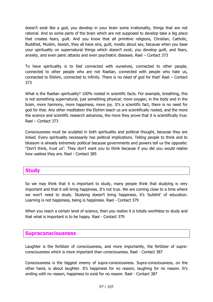doesn"t exist like a god, you develop in your brain some irrationality, things that are not rational. And so some parts of the brain which are not supposed to develop take a big place that creates fears, guilt. And you know that all primitive religions, Christian, Catholic, Buddhist, Muslim, Jewish, they all have sins, guilt, mostly about sex, because when you base your spirituality on supernatural things which doesn"t exist, you develop guilt, and fears, anxiety, and even panic attacks and even psychiatric diseases. Rael – Contact 373

To have spirituality is to feel connected with ourselves, connected to other people, connected to other people who are not Raelian, connected with people who hate us, connected to Elohim, connected to infinity. There is no need of god for that! Rael – Contact 373

What is the Raelian spirituality? 100% rooted in scientific facts. For example, breathing, this is not something supernatural, just something physical; more oxygen, in the body and in the brain, more harmony, more happiness, more joy. It"s a scientific fact, there is no need for god for that. Any other meditation the Elohim teach us are scientifically rooted, and the more the science and scientific research advances, the more they prove that it is scientifically true. Rael – Contact 373

Consciousness must be sculpted in both spirituality and political thought, because they are linked. Every spirituality necessarily has political implications. Telling people to think and to blossom is already extremely political because governments and powers tell us the opposite: "Don"t think, trust us". They don"t want you to think because if you did you would realize how useless they are. Rael - Contact 385

# **Study**

So we may think that it is important to study, many people think that studying is very important and that it will bring happiness. It's not true. We are coming close to a time where we won't need to study. Studying doesn't bring happiness, it's 'bullshit' of education. Learning is not happiness, being is happiness. Rael - Contact 379

When you reach a certain level of science, then you realize it is totally worthless to study and that what is important is to be happy. Rael - Contact 379

## **Supraconsciousness**

Laughter is the fertilizer of consciousness, and more importantly, the fertilizer of supraconsciousness which is more important than consciousness. Rael - Contact 387

Consciousness is the biggest enemy of supra-consciousness. Supra-consciousness, on the other hand, is about laughter. It's happiness for no reason, laughing for no reason. It's smiling with no reason, happiness to exist for no reason. Rael - Contact 387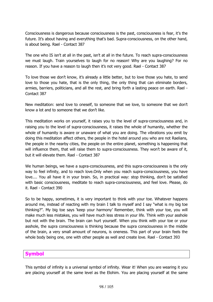Consciousness is dangerous because consciousness is the past, consciousness is fear, it's the future. It's about having and everything that's bad. Supra-consciousness, on the other hand, is about being. Rael - Contact 387

The one who IS isn"t at all in the past, isn"t at all in the future. To reach supra-consciousness we must laugh. Train yourselves to laugh for no reason! Why are you laughing? For no reason. If you have a reason to laugh then it's not very good. Rael - Contact 387

To love those we don't know, it's already a little better, but to love those you hate, to send love to those you hate, that is the only thing, the only thing that can eliminate borders, armies, barriers, politicians, and all the rest, and bring forth a lasting peace on earth. Rael - Contact 387

New meditation: send love to oneself, to someone that we love, to someone that we don"t know a lot and to someone that we don"t like.

This meditation works on yourself, it raises you to the level of supra-consciousness and, in raising you to the level of supra-consciousness, it raises the whole of humanity, whether the whole of humanity is aware or unaware of what you are doing. The vibrations you emit by doing this meditation affect others, the people in the hotel around you who are not Raelians, the people in the nearby cities, the people on the entire planet, something is happening that will influence them, that will raise them to supra-consciousness. They won't be aware of it, but it will elevate them. Rael - Contact 387

We human beings, we have a supra-consciousness, and this supra-consciousness is the only way to feel infinity, and to reach love.Only when you reach supra-consciousness, you have love.... You all have it in your brain. So, in practical way: stop thinking, don't be satisfied with basic consciousness, meditate to reach supra-consciousness, and feel love. Please, do it. Rael - Contact 390

So to be happy, sometimes, it is very important to think with your toe. Whatever happens around me, instead of reacting with my brain I talk to myself and I say "what is my big toe thinking?". My big toe says "keep your harmony" Remember, think with your toe, you will make much less mistakes, you will have much less stress in your life. Think with your asshole but not with the brain. The brain can hurt yourself. When you think with your toe or your asshole, the supra consciousness is thinking because the supra consciousness in the middle of the brain, a very small amount of neurons, is oneness. This part of your brain feels the whole body being one, one with other people as well and create love. Rael - Contact 393

# **Symbol**

This symbol of infinity is a universal symbol of infinity. Wear it! When you are wearing it you are placing yourself at the same level as the Elohim. You are placing yourself at the same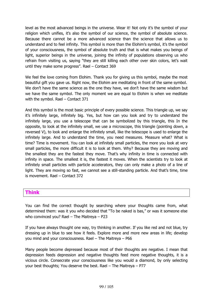level as the most advanced beings in the universe. Wear it! Not only it"s the symbol of your religion which unifies, it's also the symbol of our science, the symbol of absolute science. Because there cannot be a more advanced science than the science that allows us to understand and to feel infinity. This symbol is more than the Elohim"s symbol, it"s the symbol of your consciousness, the symbol of absolute truth and that is what makes you beings of light, superior beings in the universe, joining the infinity of populations observing us who refrain from visiting us, saying "they are still killing each other over skin colors, let's wait until they make some progress". Rael – Contact 369

We feel the love coming from Elohim. Thank you for giving us this symbol, maybe the most beautiful gift you gave us. Right now, the Elohim are meditating in front of the same symbol. We don't have the same science as the one they have, we don't have the same wisdom but we have the same symbol. The only moment we are equal to Elohim is when we meditate with the symbol. Rael – Contact 371

And this symbol is the most basic principle of every possible science. This triangle up, we say it's infinitely large, infinitely big. Yes, but how can you look and try to understand the infinitely large, you use a telescope that can be symbolized by this triangle, this In the opposite, to look at the infinitely small, we use a microscope, this triangle (pointing down, a reversed V), to look and enlarge the infinitely small, like the telescope is used to enlarge the infinitely large. And to understand the time, you need measures. Measure what? What is time? Time is movement. You can look at infinitely small particles, the more you look at very small particles, the more difficult it is to look at them. Why? Because they are moving and the smallest they are the fastest they move. That"s why infinity in time is connected with infinity in space. The smallest it is, the fastest it moves. When the scientists try to look at infinitely small particles with particle accelerators, they can only make a photo of a line of light. They are moving so fast, we cannot see a still-standing particle. And that's time, time is movement. Rael – Contact 372

# **Think**

You can find the correct thought by searching where your thoughts came from, what determined them: was it you who decided that "To be naked is bas," or was it someone else who convinced you? Rael – The Maitreya – P23

If you have always thought one way, try thinking in another. If you like red and not blue, try dressing up in blue to see how it feels. Explore more and more new areas in life; develop you mind and your consciousness. Rael – The Maitreya – P66

Many people become depressed because most of their thoughts are negative. I mean that depression feeds depression and negative thoughts feed more negative thoughts, it is a vicious circle. Consecrate your consciousness like you would a diamond, by only selecting your best thoughts; You deserve the best. Rael – The Maitreya – P77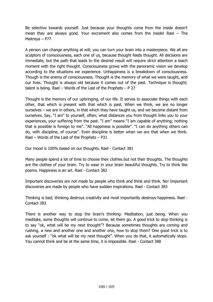Be selective towards yourself. Just because your thoughts come from the inside doesn't mean they are always good. Your excrement also comes from the inside! Rael – The Maitreya – P77

A person can change anything at will; you can turn your brain into a masterpiece. We all are sculptors of consciousness, each one of us, because thought feeds thought. All decisions are immediate, but the path that leads to the desired result will require strict attention a teach moment with the right thought. Consciousness grows with the panoramic vision we develop according to the situations we experience. Unhappiness is a breakdown of consciousness. Though is the enemy of consciousness. Thought is the memory of what we were taught, and our lives. Thought is always old because it comes out of the past. Technique is thought; talent is being. Rael – Words of the Last of the Prophets – P 27

Thought is the memory of our upbringing, of our life. It serves to associate things with each other, that which is present with that which is past. When we think, we are no longer ourselves – we are in others, in that which they have taught us, and we become distant from ourselves. Say, "I am" to yourself, often; what distances you from thought links you to your experiences, your suffering from the past. "I am" means "I am capable of anything; nothing that is possible is foreign to me". "All happiness is possible". "I can do anything others can do, with discipline, of course". Even discipline is better when we are that when we think. Rael – Words of the Last of the Prophets – P31

Our mood is 100% based on our thoughts. Rael - Contact 381

Many people spend a lot of time to choose their clothes but not their thoughts. The thoughts are the clothes of your brain. Try to wear in your brain beautiful thoughts. Try to think like poems. Happiness is an art. Rael - Contact 382

Important discoveries are not made by people who think and think and think. No! Important discoveries are made by people who have sudden inspirations. Rael - Contact 383

Thinking is bad; thinking destroys creativity and most importantly destroys happiness. Rael - Contact 383

There is another way to stop the brain"s thinking: Meditation, just being. When you meditate, some thoughts will continue to come, let them go. A good trick to stop thinking is to say "ok, what will be my next thought"? Because sometimes thoughts are coming and rushing, a new and another one and another one, how to stop them? One good trick is to ask yourself : "ok what will be my next thought". When you do that, it automatically stops. You cannot think and be at the same time, it is impossible. Rael - Contact 388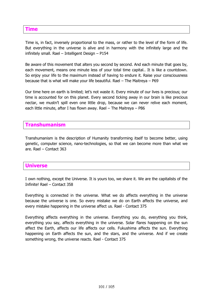#### **Time**

Time is, in fact, inversely proportional to the mass, or rather to the level of the form of life. But everything in the universe is alive and in harmony with the infinitely large and the infinitely small. Rael – Intelligent Design – P154

Be aware of this movement that alters you second by second. And each minute that goes by, each movement, means one minute less of your total time capital.. It is like a countdown. So enjoy your life to the maximum instead of having to endure it. Raise your consciousness because that is what will make your life beautiful. Rael – The Maitreya – P69

Our time here on earth is limited; let"s not waste it. Every minute of our lives is precious; our time is accounted for on this planet. Every second ticking away in our brain is like precious nectar, we mustn"t spill even one little drop, because we can never relive each moment, each little minute, after I has flown away. Rael – The Maitreya – P86

## **Transhumanism**

Transhumanism is the description of Humanity transforming itself to become better, using genetic, computer science, nano-technologies, so that we can become more than what we are. Rael – Contact 363

## **Universe**

I own nothing, except the Universe. It is yours too, we share it. We are the capitalists of the Infinite! Rael – Contact 358

Everything is connected in the universe. What we do affects everything in the universe because the universe is one. So every mistake we do on Earth affects the universe, and every mistake happening in the universe affect us. Rael - Contact 375

Everything affects everything in the universe. Everything you do, everything you think, everything you say, affects everything in the universe. Solar flares happening on the sun affect the Earth, affects our life affects our cells. Fukushima affects the sun. Everything happening on Earth affects the sun, and the stars, and the universe. And if we create something wrong, the universe reacts. Rael - Contact 375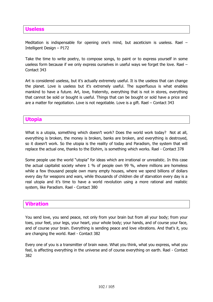#### **Useless**

Meditation is indispensable for opening one's mind, but asceticism is useless. Rael -Intelligent Design – P172

Take the time to write poetry, to compose songs, to paint or to express yourself in some useless form because if we only express ourselves in useful ways we forget the love. Rael – Contact 343

Art is considered useless, but it's actually extremely useful. It is the useless that can change the planet. Love is useless but it's extremely useful. The superfluous is what enables mankind to have a future. Art, love, fraternity, everything that is not in stores, everything that cannot be sold or bought is useful. Things that can be bought or sold have a price and are a matter for negotiation. Love is not negotiable. Love is a gift. Rael – Contact 343

# **Utopia**

What is a utopia, something which doesn't work? Does the world work today? Not at all, everything is broken, the money is broken, banks are broken, and everything is destroyed, so it doesn"t work. So the utopia is the reality of today and Paradism, the system that will replace the actual one, thanks to the Elohim, is something which works. Rael - Contact 378

Some people use the world "utopia" for ideas which are irrational or unrealistic. In this case the actual capitalist society where 1 % of people own 99 %, where millions are homeless while a few thousand people own many empty houses, where we spend billions of dollars every day for weapons and wars, while thousands of children die of starvation every day is a real utopia and it's time to have a world revolution using a more rational and realistic system, like Paradism. Rael - Contact 380

## **Vibration**

You send love, you send peace, not only from your brain but from all your body; from your toes, your feet, your legs, your heart, your whole body; your hands, and of course your face, and of course your brain. Everything is sending peace and love vibrations. And that's it, you are changing the world. Rael - Contact 382

Every one of you is a transmitter of brain wave. What you think, what you express, what you feel, is affecting everything in the universe and of course everything on earth. Rael - Contact 382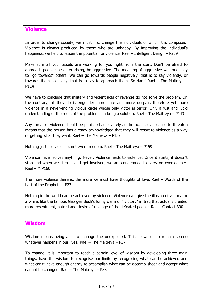## **Violence**

In order to change society, we must first change the individuals of which it is composed. Violence is always produced by those who are unhappy. By improving the individual"s happiness, we help to lessen the potential for violence. Rael – Intelligent Design – P259

Make sure all your assets are working for you right from the start. Don't be afraid to approach people; be enterprising, be aggressive. The meaning of aggressive was originally to "go towards" others. We can go towards people negatively, that is to say violently, or towards them positively, that is to say to approach them. So dare! Rael – The Maitreya – P114

We have to conclude that military and violent acts of revenge do not solve the problem. On the contrary, all they do is engender more hate and more despair, therefore yet more violence in a never-ending vicious circle whose only victor is terror. Only a just and lucid understanding of the roots of the problem can bring a solution. Rael – The Maitreya – P143

Any threat of violence should be punished as severely as the act itself, because to threaten means that the person has already acknowledged that they will resort to violence as a way of getting what they want. Rael – The Maitreya – P157

Nothing justifies violence, not even freedom. Rael – The Maitreya – P159

Violence never solves anything. Never. Violence leads to violence; Once it starts, it doesn"t stop and when we step in and get involved, we are condemned to carry on ever deeper. Rael – M P160

The more violence there is, the more we must have thoughts of love. Rael – Words of the Last of the Prophets – P23

Nothing in the world can be achieved by violence. Violence can give the illusion of victory for a while, like the famous Georges Bush"s funny claim of " victory" in Iraq that actually created more resentment, hatred and desire of revenge of the defeated people. Rael - Contact 390

## **Wisdom**

Wisdom means being able to manage the unexpected. This allows us to remain serene whatever happens in our lives. Rael – The Maitreya – P37

To change, it is important to reach a certain level of wisdom by developing three main things: have the wisdom to recognise our limits by recognising what can be achieved and what can't; have enough energy to accomplish what can be accomplished; and accept what cannot be changed. Rael – The Maitreya – P88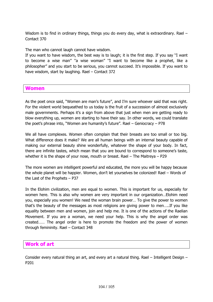Wisdom is to find in ordinary things, things you do every day, what is extraordinary. Rael – Contact 370

The man who cannot laugh cannot have wisdom.

If you want to have wisdom, the best way is to laugh; it is the first step. If you say 'T want to become a wise man" "a wise woman" "I want to become like a prophet, like a philosopher" and you start to be serious, you cannot succeed. It's impossible. If you want to have wisdom, start by laughing. Rael – Contact 372

### **Women**

As the poet once said, "Women are man"s future", and I"m sure whoever said that was right. For the violent world bequeathed to us today is the fruit of a succession of almost exclusively male governments. Perhaps it's a sign from above that just when men are getting ready to blow everything up, women are starting to have their say. In other words, we could translate the poet's phrase into, "Women are humanity's future". Rael  $-$  Geniocracy  $-$  P78

We all have complexes. Women often complain that their breasts are too small or too big. What difference does it make? We are all human beings with an internal beauty capable of making our external beauty shine wonderfully, whatever the shape of your body. In fact, there are infinite tastes, which mean that you are bound to correspond to someone"s taste, whether it is the shape of your nose, mouth or breast. Rael – The Maitreya – P29

The more women are intelligent powerful and educated, the more you will be happy because the whole planet will be happier. Women, don"t let yourselves be colonized! Rael – Words of the Last of the Prophets – P37

In the Elohim civilization, men are equal to women. This is important for us, especially for women here. This is also why women are very important in our organization…Elohim need you, especially you women! We need the woman brain power… To give the power to women that"s the beauty of the messages as most religions are giving power to men…..If you like equality between men and women, join and help me. It is one of the actions of the Raelian Movement. If you are a woman, we need your help. This is why the angel order was created…… The angel order is here to promote the freedom and the power of women through femininity. Rael – Contact 348

## **Work of art**

Consider every natural thing an art, and every art a natural thing. Rael – Intelligent Design – P201